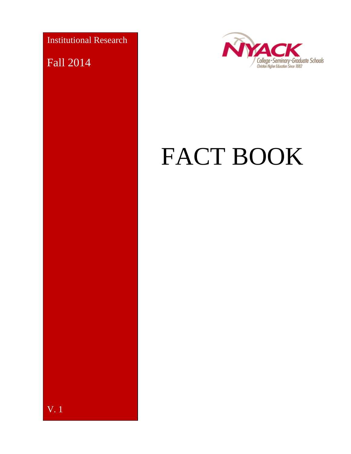Institutional Research

Fall 2014

V. 1



# FACT BOOK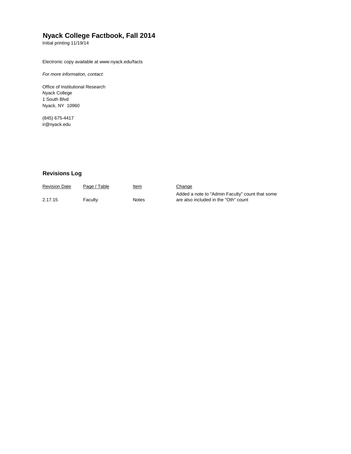#### **Nyack College Factbook, Fall 2014**

Initial printing 11/19/14

Electronic copy available at www.nyack.edu/facts

*For more information, contact:*

Office of Institutional Research Nyack College 1 South Blvd Nyack, NY 10960

(845) 675-4417 [ir@nyack.edu](mailto:ir@nyack.edu)

#### **Revisions Log**

| <b>Revision Date</b> | Page / Table | <u>Item</u> | Change                                          |
|----------------------|--------------|-------------|-------------------------------------------------|
|                      |              |             | Added a note to "Admin Faculty" count that some |
| 2.17.15              | Faculty      | Notes       | are also included in the "Oth" count            |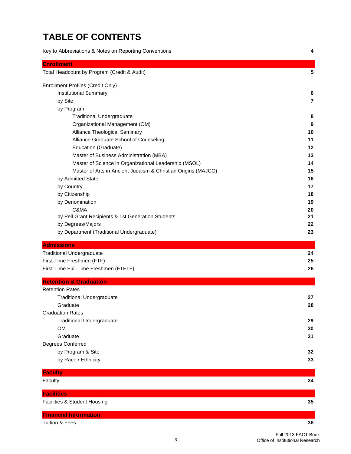## **TABLE OF CONTENTS**

Key to Abbreviations & Notes on Reporting Conventions **4 Enrollment** Total Headcount by Program (Credit & Audit) **5** Enrollment Profiles (Credit Only) Institutional Summary **6** by Site **7** by Program Traditional Undergraduate **8** Organizational Management (OM) **9** Alliance Theological Seminary **10** Alliance Graduate School of Counseling **11** Education (Graduate) **12** Master of Business Administration (MBA) **13** Master of Science in Organizational Leadership (MSOL) **14** Master of Arts in Ancient Judaism & Christian Origins (MAJCO) **15** by Admitted State **16** by Country **17** by Citizenship **18** by Denomination **19** C&MA **20** by Pell Grant Recipients & 1st Generation Students **21** by Degrees/Majors **22** by Department (Traditional Undergraduate) **23 Admissions** Traditional Undergraduate **24** First-Time Freshmen (FTF) **25** First-Time Full-Time Freshmen (FTFTF) **26 Retention & Graduation** Retention Rates Traditional Undergraduate **27** Graduate **28** Graduation Rates Traditional Undergraduate **29** OM **30** Graduate **31** Degrees Conferred by Program & Site **32**

| <b>Faculty</b>               |    |
|------------------------------|----|
| Faculty                      | 34 |
| <b>Facilities</b>            |    |
| Facilities & Student Housing | 35 |
| <b>Financial Information</b> |    |

by Race / Ethnicity **33**

Tuition & Fees **36**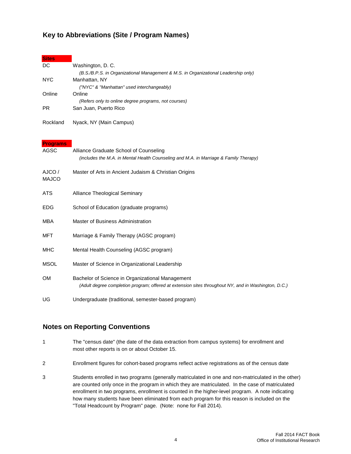#### **Key to Abbreviations (Site / Program Names)**

| <b>Sites</b>    |                                                                                                      |
|-----------------|------------------------------------------------------------------------------------------------------|
| DC              | Washington, D. C.                                                                                    |
| <b>NYC</b>      | (B.S./B.P.S. in Organizational Management & M.S. in Organizational Leadership only)<br>Manhattan, NY |
|                 | ("NYC" & "Manhattan" used interchangeably)                                                           |
| Online          | Online                                                                                               |
| <b>PR</b>       | (Refers only to online degree programs, not courses)<br>San Juan, Puerto Rico                        |
|                 |                                                                                                      |
| Rockland        | Nyack, NY (Main Campus)                                                                              |
|                 |                                                                                                      |
| <b>Programs</b> |                                                                                                      |
| <b>AGSC</b>     | Alliance Graduate School of Counseling                                                               |
|                 | (includes the M.A. in Mental Health Counseling and M.A. in Marriage & Family Therapy)                |
| AJCO /          | Master of Arts in Ancient Judaism & Christian Origins                                                |
| <b>MAJCO</b>    |                                                                                                      |
|                 |                                                                                                      |
| <b>ATS</b>      | Alliance Theological Seminary                                                                        |
| <b>EDG</b>      | School of Education (graduate programs)                                                              |
|                 |                                                                                                      |
| <b>MBA</b>      | Master of Business Administration                                                                    |
| <b>MFT</b>      | Marriage & Family Therapy (AGSC program)                                                             |
|                 |                                                                                                      |
| <b>MHC</b>      | Mental Health Counseling (AGSC program)                                                              |
| <b>MSOL</b>     | Master of Science in Organizational Leadership                                                       |
|                 |                                                                                                      |
| <b>OM</b>       | Bachelor of Science in Organizational Management                                                     |
|                 | (Adult degree completion program; offered at extension sites throughout NY, and in Washington, D.C.) |
| UG              | Undergraduate (traditional, semester-based program)                                                  |

#### **Notes on Reporting Conventions**

- 1 The "census date" (the date of the data extraction from campus systems) for enrollment and most other reports is on or about October 15.
- 2 Enrollment figures for cohort-based programs reflect active registrations as of the census date
- 3 Students enrolled in two programs (generally matriculated in one and non-matriculated in the other) are counted only once in the program in which they are matriculated. In the case of matriculated enrollment in two programs, enrollment is counted in the higher-level program. A note indicating how many students have been eliminated from each program for this reason is included on the "Total Headcount by Program" page. (Note: none for Fall 2014).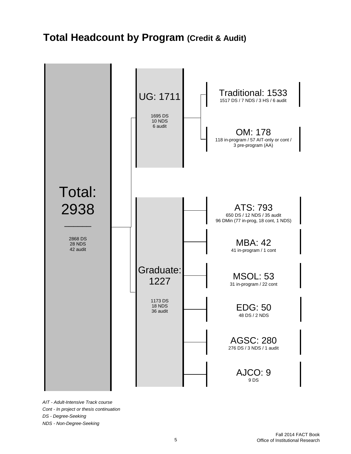# **Total Headcount by Program (Credit & Audit)**



*AIT - Adult-Intensive Track course Cont - In project or thesis continuation DS - Degree-Seeking NDS - Non-Degree-Seeking*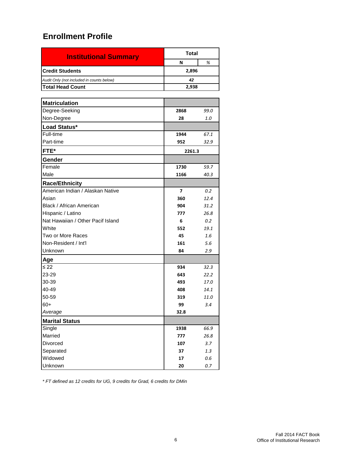| <b>Institutional Summary</b>              | Total |   |  |  |  |
|-------------------------------------------|-------|---|--|--|--|
|                                           | N     | % |  |  |  |
| <b>Credit Students</b>                    | 2,896 |   |  |  |  |
| Audit Only (not included in counts below) | 42    |   |  |  |  |
| <b>Total Head Count</b><br>2,938          |       |   |  |  |  |

| <b>Matriculation</b>              |                          |      |
|-----------------------------------|--------------------------|------|
| Degree-Seeking                    | 2868                     | 99.0 |
| Non-Degree                        | 28                       | 1.0  |
| Load Status*                      |                          |      |
| Full-time                         | 1944                     | 67.1 |
| Part-time                         | 952                      | 32.9 |
| FTE*                              | 2261.3                   |      |
| Gender                            |                          |      |
| Female                            | 1730                     | 59.7 |
| Male                              | 1166                     | 40.3 |
| <b>Race/Ethnicity</b>             |                          |      |
| American Indian / Alaskan Native  | $\overline{\phantom{a}}$ | 0.2  |
| Asian                             | 360                      | 12.4 |
| Black / African American          | 904                      | 31.2 |
| Hispanic / Latino                 | 777                      | 26.8 |
| Nat Hawaiian / Other Pacif Island | 6                        | 0.2  |
| White                             | 552                      | 19.1 |
| Two or More Races                 | 45                       | 1.6  |
| Non-Resident / Int'l              | 161                      | 5.6  |
| Unknown                           | 84                       | 2.9  |
| Age                               |                          |      |
| ≤ 22                              | 934                      | 32.3 |
| 23-29                             | 643                      | 22.2 |
| 30-39                             | 493                      | 17.0 |
| 40-49                             | 408                      | 14.1 |
| 50-59                             | 319                      | 11.0 |
| $60+$                             | 99                       | 3.4  |
| Average                           | 32.8                     |      |
| <b>Marital Status</b>             |                          |      |
| Single                            | 1938                     | 66.9 |
| Married                           | 777                      | 26.8 |
| Divorced                          | 107                      | 3.7  |
| Separated                         | 37                       | 1.3  |
| Widowed                           | 17                       | 0.6  |
| Unknown                           | 20                       | 0.7  |

*\* FT defined as 12 credits for UG, 9 credits for Grad, 6 credits for DMin*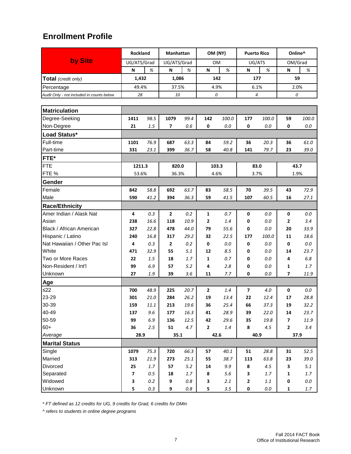|                                                                                                                                                                                                                           | <b>Rockland</b>                                                                                       |                                                                                                     | Manhattan                                                                  |                                                                                 | OM (NY)                                                               |                                                                                                    | <b>Puerto Rico</b>                                                                 |                                                                                                | Online^                                                                                              |                                                                                                            |  |    |  |  |
|---------------------------------------------------------------------------------------------------------------------------------------------------------------------------------------------------------------------------|-------------------------------------------------------------------------------------------------------|-----------------------------------------------------------------------------------------------------|----------------------------------------------------------------------------|---------------------------------------------------------------------------------|-----------------------------------------------------------------------|----------------------------------------------------------------------------------------------------|------------------------------------------------------------------------------------|------------------------------------------------------------------------------------------------|------------------------------------------------------------------------------------------------------|------------------------------------------------------------------------------------------------------------|--|----|--|--|
| by Site                                                                                                                                                                                                                   | UG/ATS/Grad                                                                                           |                                                                                                     | UG/ATS/Grad                                                                |                                                                                 | <b>OM</b>                                                             |                                                                                                    | UG/ATS                                                                             |                                                                                                | OM/Grad                                                                                              |                                                                                                            |  |    |  |  |
|                                                                                                                                                                                                                           | N                                                                                                     | %                                                                                                   | N                                                                          | %                                                                               | N                                                                     | %                                                                                                  | N                                                                                  | %                                                                                              | N                                                                                                    | %                                                                                                          |  |    |  |  |
| Total (credit only)                                                                                                                                                                                                       | 1,432                                                                                                 |                                                                                                     | 1,086                                                                      |                                                                                 |                                                                       | 142                                                                                                |                                                                                    | 177                                                                                            |                                                                                                      |                                                                                                            |  | 59 |  |  |
| Percentage                                                                                                                                                                                                                | 49.4%                                                                                                 |                                                                                                     | 37.5%                                                                      |                                                                                 |                                                                       | 4.9%                                                                                               |                                                                                    | 6.1%                                                                                           |                                                                                                      | 2.0%                                                                                                       |  |    |  |  |
| Audit Only - not included in counts below                                                                                                                                                                                 | 28                                                                                                    |                                                                                                     | 10                                                                         |                                                                                 |                                                                       | 0                                                                                                  | 4                                                                                  |                                                                                                |                                                                                                      | 0                                                                                                          |  |    |  |  |
|                                                                                                                                                                                                                           |                                                                                                       |                                                                                                     |                                                                            |                                                                                 |                                                                       |                                                                                                    |                                                                                    |                                                                                                |                                                                                                      |                                                                                                            |  |    |  |  |
| <b>Matriculation</b>                                                                                                                                                                                                      |                                                                                                       |                                                                                                     |                                                                            |                                                                                 |                                                                       |                                                                                                    |                                                                                    |                                                                                                |                                                                                                      |                                                                                                            |  |    |  |  |
| Degree-Seeking                                                                                                                                                                                                            | 1411                                                                                                  | 98.5                                                                                                | 1079                                                                       | 99.4                                                                            | 142                                                                   | 100.0                                                                                              | 177                                                                                | 100.0                                                                                          | 59                                                                                                   | 100.0                                                                                                      |  |    |  |  |
| Non-Degree                                                                                                                                                                                                                | 21                                                                                                    | 1.5                                                                                                 | 7                                                                          | 0.6                                                                             | 0                                                                     | 0.0                                                                                                | 0                                                                                  | 0.0                                                                                            | 0                                                                                                    | 0.0                                                                                                        |  |    |  |  |
| Load Status*                                                                                                                                                                                                              |                                                                                                       |                                                                                                     |                                                                            |                                                                                 |                                                                       |                                                                                                    |                                                                                    |                                                                                                |                                                                                                      |                                                                                                            |  |    |  |  |
| Full-time                                                                                                                                                                                                                 | 1101                                                                                                  | 76.9                                                                                                | 687                                                                        | 63.3                                                                            | 84                                                                    | 59.2                                                                                               | 36                                                                                 | 20.3                                                                                           | 36                                                                                                   | 61.0                                                                                                       |  |    |  |  |
| Part-time                                                                                                                                                                                                                 | 331                                                                                                   | 23.1                                                                                                | 399                                                                        | 36.7                                                                            | 58                                                                    | 40.8                                                                                               | 141                                                                                | 79.7                                                                                           | 23                                                                                                   | 39.0                                                                                                       |  |    |  |  |
| FTE*                                                                                                                                                                                                                      |                                                                                                       |                                                                                                     |                                                                            |                                                                                 |                                                                       |                                                                                                    |                                                                                    |                                                                                                |                                                                                                      |                                                                                                            |  |    |  |  |
| <b>FTE</b>                                                                                                                                                                                                                | 1211.3                                                                                                |                                                                                                     | 820.0                                                                      |                                                                                 |                                                                       | 103.3                                                                                              |                                                                                    | 83.0                                                                                           |                                                                                                      | 43.7                                                                                                       |  |    |  |  |
| FTE %                                                                                                                                                                                                                     | 53.6%                                                                                                 |                                                                                                     | 36.3%                                                                      |                                                                                 |                                                                       | 4.6%                                                                                               |                                                                                    | 3.7%                                                                                           |                                                                                                      | 1.9%                                                                                                       |  |    |  |  |
| Gender                                                                                                                                                                                                                    |                                                                                                       |                                                                                                     |                                                                            |                                                                                 |                                                                       |                                                                                                    |                                                                                    |                                                                                                |                                                                                                      |                                                                                                            |  |    |  |  |
| Female                                                                                                                                                                                                                    | 842                                                                                                   | 58.8                                                                                                | 692                                                                        | 63.7                                                                            | 83                                                                    | 58.5                                                                                               | 70                                                                                 | 39.5                                                                                           | 43                                                                                                   | 72.9                                                                                                       |  |    |  |  |
| Male                                                                                                                                                                                                                      | 590                                                                                                   | 41.2                                                                                                | 394                                                                        | 36.3                                                                            | 59                                                                    | 41.5                                                                                               | 107                                                                                | 60.5                                                                                           | 16                                                                                                   | 27.1                                                                                                       |  |    |  |  |
| <b>Race/Ethnicity</b>                                                                                                                                                                                                     |                                                                                                       |                                                                                                     |                                                                            |                                                                                 |                                                                       |                                                                                                    |                                                                                    |                                                                                                |                                                                                                      |                                                                                                            |  |    |  |  |
| Amer Indian / Alask Nat                                                                                                                                                                                                   | 4                                                                                                     | 0.3                                                                                                 | $\overline{2}$                                                             | 0.2                                                                             | 1                                                                     | 0.7                                                                                                | 0                                                                                  | 0.0                                                                                            | $\pmb{0}$                                                                                            | 0.0                                                                                                        |  |    |  |  |
| Asian                                                                                                                                                                                                                     | 238                                                                                                   | 16.6                                                                                                | 118                                                                        | 10.9                                                                            | $\mathbf{2}$                                                          | 1.4                                                                                                | 0                                                                                  | 0.0                                                                                            | 2                                                                                                    | 3.4                                                                                                        |  |    |  |  |
| Black / African American                                                                                                                                                                                                  | 327                                                                                                   | 22.8                                                                                                | 478                                                                        | 44.0                                                                            | 79                                                                    | 55.6                                                                                               | 0                                                                                  | 0.0                                                                                            | 20                                                                                                   | 33.9                                                                                                       |  |    |  |  |
| Hispanic / Latino                                                                                                                                                                                                         | 240                                                                                                   | 16.8                                                                                                | 317                                                                        | 29.2                                                                            | 32                                                                    | 22.5                                                                                               | 177                                                                                | 100.0                                                                                          | 11                                                                                                   | 18.6                                                                                                       |  |    |  |  |
| Nat Hawaiian / Other Pac Isl                                                                                                                                                                                              | 4                                                                                                     | 0.3                                                                                                 | 2                                                                          | 0.2                                                                             | 0                                                                     | 0.0                                                                                                | 0                                                                                  | 0.0                                                                                            | 0                                                                                                    | 0.0                                                                                                        |  |    |  |  |
| White                                                                                                                                                                                                                     | 471                                                                                                   | 32.9                                                                                                | 55                                                                         | 5.1                                                                             | 12                                                                    | 8.5                                                                                                | 0                                                                                  | $0.0\,$                                                                                        | 14                                                                                                   | 23.7                                                                                                       |  |    |  |  |
|                                                                                                                                                                                                                           | 22                                                                                                    | 1.5                                                                                                 | 18                                                                         | 1.7                                                                             | $\mathbf{1}$                                                          | 0.7                                                                                                | 0                                                                                  | 0.0                                                                                            | 4                                                                                                    | 6.8                                                                                                        |  |    |  |  |
|                                                                                                                                                                                                                           |                                                                                                       |                                                                                                     | 57                                                                         | 5.2                                                                             | 4                                                                     | 2.8                                                                                                | 0                                                                                  | 0.0                                                                                            | $\mathbf{1}$                                                                                         |                                                                                                            |  |    |  |  |
|                                                                                                                                                                                                                           | 27                                                                                                    |                                                                                                     | 39                                                                         | 3.6                                                                             | 11                                                                    |                                                                                                    |                                                                                    |                                                                                                |                                                                                                      |                                                                                                            |  |    |  |  |
|                                                                                                                                                                                                                           |                                                                                                       |                                                                                                     |                                                                            |                                                                                 |                                                                       |                                                                                                    |                                                                                    |                                                                                                |                                                                                                      |                                                                                                            |  |    |  |  |
|                                                                                                                                                                                                                           | 700                                                                                                   | 48.9                                                                                                | 225                                                                        | 20.7                                                                            | $\mathbf{2}$                                                          | 1.4                                                                                                | $\overline{\mathbf{z}}$                                                            | 4.0                                                                                            | $\mathbf 0$                                                                                          | 0.0                                                                                                        |  |    |  |  |
|                                                                                                                                                                                                                           |                                                                                                       |                                                                                                     |                                                                            |                                                                                 |                                                                       |                                                                                                    |                                                                                    |                                                                                                | 17                                                                                                   |                                                                                                            |  |    |  |  |
|                                                                                                                                                                                                                           |                                                                                                       |                                                                                                     |                                                                            |                                                                                 |                                                                       |                                                                                                    |                                                                                    |                                                                                                |                                                                                                      |                                                                                                            |  |    |  |  |
|                                                                                                                                                                                                                           |                                                                                                       |                                                                                                     |                                                                            |                                                                                 |                                                                       |                                                                                                    |                                                                                    |                                                                                                |                                                                                                      |                                                                                                            |  |    |  |  |
|                                                                                                                                                                                                                           |                                                                                                       |                                                                                                     |                                                                            |                                                                                 |                                                                       |                                                                                                    |                                                                                    |                                                                                                |                                                                                                      |                                                                                                            |  |    |  |  |
|                                                                                                                                                                                                                           |                                                                                                       |                                                                                                     |                                                                            |                                                                                 |                                                                       |                                                                                                    |                                                                                    |                                                                                                |                                                                                                      |                                                                                                            |  |    |  |  |
|                                                                                                                                                                                                                           |                                                                                                       |                                                                                                     |                                                                            |                                                                                 |                                                                       |                                                                                                    |                                                                                    |                                                                                                |                                                                                                      |                                                                                                            |  |    |  |  |
|                                                                                                                                                                                                                           |                                                                                                       |                                                                                                     |                                                                            |                                                                                 |                                                                       |                                                                                                    |                                                                                    |                                                                                                |                                                                                                      |                                                                                                            |  |    |  |  |
|                                                                                                                                                                                                                           |                                                                                                       |                                                                                                     |                                                                            |                                                                                 |                                                                       |                                                                                                    |                                                                                    |                                                                                                |                                                                                                      |                                                                                                            |  |    |  |  |
|                                                                                                                                                                                                                           |                                                                                                       |                                                                                                     |                                                                            |                                                                                 |                                                                       |                                                                                                    |                                                                                    |                                                                                                |                                                                                                      |                                                                                                            |  |    |  |  |
|                                                                                                                                                                                                                           |                                                                                                       |                                                                                                     |                                                                            |                                                                                 |                                                                       |                                                                                                    |                                                                                    |                                                                                                |                                                                                                      |                                                                                                            |  |    |  |  |
|                                                                                                                                                                                                                           |                                                                                                       |                                                                                                     |                                                                            |                                                                                 |                                                                       |                                                                                                    |                                                                                    |                                                                                                |                                                                                                      |                                                                                                            |  |    |  |  |
|                                                                                                                                                                                                                           |                                                                                                       |                                                                                                     |                                                                            |                                                                                 |                                                                       |                                                                                                    |                                                                                    |                                                                                                |                                                                                                      |                                                                                                            |  |    |  |  |
| Two or More Races<br>Non-Resident / Int'l<br>Unknown<br>Age<br>$≤22$<br>23-29<br>30-39<br>40-49<br>50-59<br>$60+$<br>Average<br><b>Marital Status</b><br>Single<br>Married<br>Divorced<br>Separated<br>Widowed<br>Unknown | 99<br>301<br>159<br>137<br>99<br>36<br>28.9<br>1079<br>313<br>25<br>$\overline{\mathbf{z}}$<br>3<br>5 | 6.9<br>1.9<br>21.0<br>11.1<br>9.6<br>$6.9\,$<br>2.5<br>75.3<br>21.9<br>1.7<br>0.5<br>0.2<br>$0.3\,$ | 284<br>213<br>177<br>136<br>51<br>35.1<br>720<br>273<br>57<br>18<br>9<br>9 | 26.2<br>19.6<br>16.3<br>12.5<br>4.7<br>66.3<br>25.1<br>5.2<br>1.7<br>0.8<br>0.8 | 19<br>36<br>41<br>42<br>$\mathbf{2}$<br>57<br>55<br>14<br>8<br>3<br>5 | 7.7<br>13.4<br>25.4<br>28.9<br>29.6<br>$1.4\,$<br>42.6<br>40.1<br>38.7<br>9.9<br>5.6<br>2.1<br>3.5 | 0<br>22<br>66<br>39<br>35<br>8<br>40.9<br>51<br>113<br>8<br>3<br>$\mathbf{2}$<br>0 | 0.0<br>12.4<br>37.3<br>22.0<br>19.8<br>4.5<br>28.8<br>63.8<br>4.5<br>1.7<br>$1.1\,$<br>$0.0\,$ | 7<br>19<br>14<br>$\overline{\phantom{a}}$<br>$\mathbf{2}$<br>31<br>23<br>3<br>1<br>0<br>$\mathbf{1}$ | 1.7<br>11.9<br>28.8<br>32.2<br>23.7<br>11.9<br>3.4<br>37.9<br>52.5<br>39.0<br>5.1<br>1.7<br>$0.0\,$<br>1.7 |  |    |  |  |

*\* FT defined as 12 credits for UG, 9 credits for Grad, 6 credits for DMin*

*^ refers to students in online degree programs*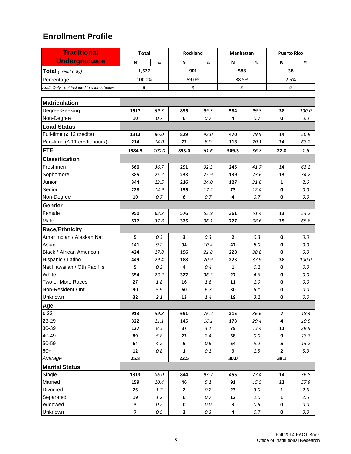| <b>Traditional</b>                        | <b>Total</b>            |         | Rockland         |         | Manhattan    |       | <b>Puerto Rico</b>       |         |
|-------------------------------------------|-------------------------|---------|------------------|---------|--------------|-------|--------------------------|---------|
| <b>Undergraduate</b>                      | N                       | %       | %<br>N<br>N<br>% |         |              | N     | %                        |         |
| Total (credit only)                       | 1,527                   |         | 901<br>588       |         |              | 38    |                          |         |
| Percentage                                | 100.0%                  |         |                  | 59.0%   |              | 38.5% | 2.5%                     |         |
| Audit Only - not included in counts below | 6                       |         | 3                |         | 3            |       | 0                        |         |
|                                           |                         |         |                  |         |              |       |                          |         |
| <b>Matriculation</b>                      |                         |         |                  |         |              |       |                          |         |
| Degree-Seeking                            | 1517                    | 99.3    | 895              | 99.3    | 584          | 99.3  | 38                       | 100.0   |
| Non-Degree                                | 10                      | 0.7     | 6                | 0.7     | 4            | 0.7   | 0                        | $0.0\,$ |
| <b>Load Status</b>                        |                         |         |                  |         |              |       |                          |         |
| Full-time ( $\geq$ 12 credits)            | 1313                    | 86.0    | 829              | 92.0    | 470          | 79.9  | 14                       | 36.8    |
| Part-time (≤ 11 credit hours)             | 214                     | 14.0    | 72               | 8.0     | 118          | 20.1  | 24                       | 63.2    |
| <b>FTE</b>                                | 1384.3                  | 100.0   | 853.0            | 61.6    | 509.3        | 36.8  | 22.0                     | 1.6     |
| <b>Classification</b>                     |                         |         |                  |         |              |       |                          |         |
| Freshmen                                  | 560                     | 36.7    | 291              | 32.3    | 245          | 41.7  | 24                       | 63.2    |
| Sophomore                                 | 385                     | 25.2    | 233              | 25.9    | 139          | 23.6  | 13                       | 34.2    |
| Junior                                    | 344                     | 22.5    | 216              | 24.0    | 127          | 21.6  | 1                        | 2.6     |
| Senior                                    | 228                     | 14.9    | 155              | 17.2    | 73           | 12.4  | 0                        | 0.0     |
| Non-Degree                                | 10                      | 0.7     | 6                | 0.7     | 4            | 0.7   | 0                        | $0.0\,$ |
| <b>Gender</b>                             |                         |         |                  |         |              |       |                          |         |
| Female                                    | 950                     | 62.2    | 576              | 63.9    | 361          | 61.4  | 13                       | 34.2    |
| Male                                      | 577                     | 37.8    | 325              | 36.1    | 227          | 38.6  | 25                       | 65.8    |
| <b>Race/Ethnicity</b>                     |                         |         |                  |         |              |       |                          |         |
| Amer Indian / Alaskan Nat                 | 5                       | 0.3     | 3                | 0.3     | $\mathbf{2}$ | 0.3   | 0                        | 0.0     |
| Asian                                     | 141                     | 9.2     | 94               | 10.4    | 47           | 8.0   | 0                        | 0.0     |
| Black / African American                  | 424                     | 27.8    | 196              | 21.8    | 228          | 38.8  | 0                        | 0.0     |
| Hispanic / Latino                         | 449                     | 29.4    | 188              | 20.9    | 223          | 37.9  | 38                       | 100.0   |
| Nat Hawaiian / Oth Pacif Isl              | 5                       | 0.3     | 4                | $0.4\,$ | 1            | 0.2   | 0                        | 0.0     |
| White                                     | 354                     | 23.2    | 327              | 36.3    | 27           | 4.6   | 0                        | 0.0     |
| Two or More Races                         | 27                      | 1.8     | 16               | 1.8     | 11           | 1.9   | 0                        | 0.0     |
| Non-Resident / Int'l                      | 90                      | 5.9     | 60               | 6.7     | 30           | 5.1   | 0                        | 0.0     |
| Unknown                                   | 32                      | 2.1     | 13               | 1.4     | 19           | 3.2   | 0                        | $0.0\,$ |
| Age                                       |                         |         |                  |         |              |       |                          |         |
| $\leq 22$                                 | 913                     | 59.8    | 691              | 76.7    | 215          | 36.6  | $\overline{\phantom{a}}$ | 18.4    |
| 23-29                                     | 322                     | 21.1    | 145              | 16.1    | 173          | 29.4  | 4                        | 10.5    |
| 30-39                                     | 127                     | $8.3\,$ | 37               | 4.1     | 79           | 13.4  | 11                       | 28.9    |
| 40-49                                     | 89                      | $5.8\,$ | 22               | 2.4     | 58           | 9.9   | 9                        | 23.7    |
| 50-59                                     | 64                      | 4.2     | 5                | $0.6\,$ | 54           | 9.2   | 5                        | 13.2    |
| $60+$                                     | 12                      | $0.8\,$ | $\mathbf{1}$     | $0.1\,$ | 9            | 1.5   | $\mathbf{2}$             | 5.3     |
| Average                                   | 25.8                    |         | 22.5             |         | 30.0         |       | 38.1                     |         |
| <b>Marital Status</b>                     |                         |         |                  |         |              |       |                          |         |
| Single                                    | 1313                    | 86.0    | 844              | 93.7    | 455          | 77.4  | 14                       | 36.8    |
| Married                                   | 159                     | 10.4    | 46               | 5.1     | 91           | 15.5  | 22                       | 57.9    |
| Divorced                                  | 26                      | $1.7\,$ | $\mathbf{2}$     | $0.2\,$ | 23           | 3.9   | $\mathbf 1$              | 2.6     |
| Separated                                 | 19                      | $1.2\,$ | $\bf 6$          | $0.7\,$ | ${\bf 12}$   | 2.0   | 1                        | 2.6     |
| Widowed                                   | 3                       | $0.2\,$ | 0                | $0.0\,$ | 3            | 0.5   | 0                        | $0.0\,$ |
| Unknown                                   | $\overline{\mathbf{z}}$ | $0.5\,$ | 3                | $0.3\,$ | 4            | 0.7   | 0                        | $0.0\,$ |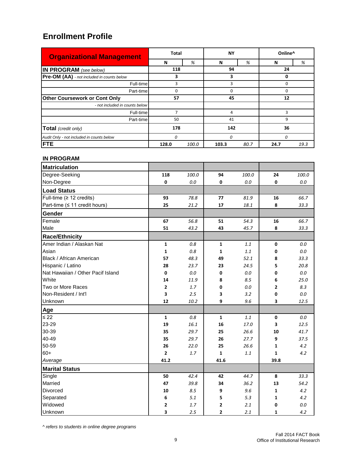| <b>Organizational Management</b>           | <b>Total</b>   |       | <b>NY</b>     |        | Online <sup>^</sup> |      |  |  |
|--------------------------------------------|----------------|-------|---------------|--------|---------------------|------|--|--|
|                                            | N              | %     |               | %<br>N |                     | %    |  |  |
| <b>IN PROGRAM</b> (see below)              | 118            |       | 94            |        | 24                  |      |  |  |
| Pre-OM (AA) - not included in counts below | 3<br>3         |       |               |        |                     |      |  |  |
| Full-time                                  | 3              |       | 3             |        | 0                   |      |  |  |
| Part-time                                  | O              |       | 0             |        |                     |      |  |  |
| <b>Other Coursework or Cont Only</b>       | 57             |       | 45            |        | 12                  |      |  |  |
| - not included in counts below             |                |       |               |        |                     |      |  |  |
| Full-time                                  | $\overline{7}$ |       |               |        | ξ                   |      |  |  |
| Part-time                                  | 50             |       | 41            |        | 9                   |      |  |  |
| Total (credit only)                        | 178            |       | 142           |        | 36                  |      |  |  |
| Audit Only - not included in counts below  | $\Omega$       |       | 0             |        | 0                   |      |  |  |
| <b>FTE</b>                                 | 128.0          | 100.0 | 103.3<br>80.7 |        | 24.7                | 19.3 |  |  |

#### **IN PROGRAM**

| <b>Matriculation</b>              |              |         |                |         |              |         |
|-----------------------------------|--------------|---------|----------------|---------|--------------|---------|
| Degree-Seeking                    | 118          | 100.0   | 94             | 100.0   | 24           | 100.0   |
| Non-Degree                        | $\pmb{0}$    | $0.0\,$ | $\pmb{0}$      | $0.0\,$ | $\mathbf 0$  | $0.0\,$ |
| <b>Load Status</b>                |              |         |                |         |              |         |
| Full-time ( $\geq$ 12 credits)    | 93           | 78.8    | 77             | 81.9    | 16           | 66.7    |
| Part-time (≤ 11 credit hours)     | 25           | 21.2    | 17             | 18.1    | 8            | 33.3    |
| Gender                            |              |         |                |         |              |         |
| Female                            | 67           | 56.8    | 51             | 54.3    | 16           | 66.7    |
| Male                              | 51           | 43.2    | 43             | 45.7    | 8            | 33.3    |
| <b>Race/Ethnicity</b>             |              |         |                |         |              |         |
| Amer Indian / Alaskan Nat         | $\mathbf 1$  | 0.8     | $\mathbf{1}$   | 1.1     | $\pmb{0}$    | $0.0\,$ |
| Asian                             | $\mathbf{1}$ | 0.8     | $\mathbf{1}$   | 1.1     | 0            | $0.0\,$ |
| Black / African American          | 57           | 48.3    | 49             | 52.1    | 8            | 33.3    |
| Hispanic / Latino                 | 28           | 23.7    | 23             | 24.5    | 5            | 20.8    |
| Nat Hawaiian / Other Pacif Island | $\pmb{0}$    | $0.0\,$ | $\mathbf 0$    | $0.0\,$ | 0            | $0.0\,$ |
| White                             | 14           | 11.9    | 8              | 8.5     | 6            | 25.0    |
| Two or More Races                 | $\mathbf{2}$ | 1.7     | 0              | $0.0\,$ | 2            | 8.3     |
| Non-Resident / Int'l              | 3            | 2.5     | 3              | 3.2     | 0            | $0.0\,$ |
| Unknown                           | 12           | 10.2    | 9              | 9.6     | 3            | 12.5    |
| Age                               |              |         |                |         |              |         |
| $\leq 22$                         | $\mathbf 1$  | 0.8     | $\mathbf{1}$   | 1.1     | $\pmb{0}$    | 0.0     |
| 23-29                             | 19           | 16.1    | 16             | 17.0    | 3            | 12.5    |
| 30-39                             | 35           | 29.7    | 25             | 26.6    | 10           | 41.7    |
| 40-49                             | 35           | 29.7    | 26             | 27.7    | 9            | 37.5    |
| 50-59                             | 26           | 22.0    | 25             | 26.6    | 1            | 4.2     |
| $60+$                             | 2            | 1.7     | $\mathbf{1}$   | $1.1\,$ | $\mathbf{1}$ | 4.2     |
| Average                           | 41.2         |         | 41.6           |         | 39.8         |         |
| <b>Marital Status</b>             |              |         |                |         |              |         |
| Single                            | 50           | 42.4    | 42             | 44.7    | 8            | 33.3    |
| Married                           | 47           | 39.8    | 34             | 36.2    | 13           | 54.2    |
| Divorced                          | 10           | 8.5     | 9              | 9.6     | 1            | 4.2     |
| Separated                         | 6            | 5.1     | 5              | 5.3     | 1            | 4.2     |
| Widowed                           | 2            | 1.7     | 2              | 2.1     | 0            | $0.0\,$ |
| Unknown                           | 3            | 2.5     | $\overline{2}$ | 2.1     | 1            | 4.2     |

*^ refers to students in online degree programs*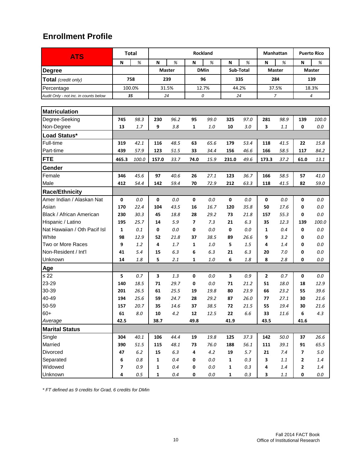| <b>ATS</b>                            |                         | <b>Total</b><br>Rockland<br>Manhattan |              |               |                |                  |              |           |              | <b>Puerto Rico</b> |             |               |
|---------------------------------------|-------------------------|---------------------------------------|--------------|---------------|----------------|------------------|--------------|-----------|--------------|--------------------|-------------|---------------|
|                                       | N                       | %                                     | N            | %             | N              | %                | N            | %         | N            | %                  | N           | %             |
| <b>Degree</b>                         |                         |                                       |              | <b>Master</b> |                | <b>DMin</b>      |              | Sub-Total |              | <b>Master</b>      |             | <b>Master</b> |
| Total (credit only)                   |                         | 758                                   |              | 239           |                | 96<br>335<br>284 |              | 139       |              |                    |             |               |
| Percentage                            |                         | 100.0%                                |              | 31.5%         |                | 12.7%            |              | 44.2%     |              | 37.5%              | 18.3%       |               |
| Audit Only - not inc. in counts below |                         | 35                                    | 24           |               |                | 0                |              | 24        |              | 7                  |             | 4             |
|                                       |                         |                                       |              |               |                |                  |              |           |              |                    |             |               |
| <b>Matriculation</b>                  |                         |                                       |              |               |                |                  |              |           |              |                    |             |               |
| Degree-Seeking                        | 745                     | 98.3                                  | 230          | 96.2          | 95             | 99.0             | 325          | 97.0      | 281          | 98.9               | 139         | 100.0         |
| Non-Degree                            | 13                      | 1.7                                   | 9            | 3.8           | 1              | 1.0              | 10           | 3.0       | 3            | 1.1                | 0           | 0.0           |
| Load Status*                          |                         |                                       |              |               |                |                  |              |           |              |                    |             |               |
| Full-time                             | 319                     | 42.1                                  | 116          | 48.5          | 63             | 65.6             | 179          | 53.4      | 118          | 41.5               | 22          | 15.8          |
| Part-time                             | 439                     | 57.9                                  | 123          | 51.5          | 33             | 34.4             | 156          | 46.6      | 166          | 58.5               | 117         | 84.2          |
| <b>FTE</b>                            | 465.3                   | 100.0                                 | 157.0        | 33.7          | 74.0           | 15.9             | 231.0        | 49.6      | 173.3        | 37.2               | 61.0        | 13.1          |
| <b>Gender</b>                         |                         |                                       |              |               |                |                  |              |           |              |                    |             |               |
| Female                                | 346                     | 45.6                                  | 97           | 40.6          | 26             | 27.1             | 123          | 36.7      | 166          | 58.5               | 57          | 41.0          |
| Male                                  | 412                     | 54.4                                  | 142          | 59.4          | 70             | 72.9             | 212          | 63.3      | 118          | 41.5               | 82          | 59.0          |
| <b>Race/Ethnicity</b>                 |                         |                                       |              |               |                |                  |              |           |              |                    |             |               |
| Amer Indian / Alaskan Nat             | 0                       | $0.0\,$                               | 0            | $0.0\,$       | $\mathbf 0$    | $0.0\,$          | $\mathbf 0$  | $0.0\,$   | 0            | $0.0\,$            | 0           | 0.0           |
| Asian                                 | 170                     | 22.4                                  | 104          | 43.5          | 16             | 16.7             | 120          | 35.8      | 50           | 17.6               | 0           | 0.0           |
| Black / African American              | 230                     | 30.3                                  | 45           | 18.8          | 28             | 29.2             | 73           | 21.8      | 157          | 55.3               | 0           | 0.0           |
| Hispanic / Latino                     | 195                     | 25.7                                  | 14           | 5.9           | $\overline{ }$ | 7.3              | 21           | 6.3       | 35           | 12.3               | 139         | 100.0         |
| Nat Hawaiian / Oth Pacif Isl          | 1                       | 0.1                                   | 0            | 0.0           | 0              | 0.0              | 0            | 0.0       | 1            | 0.4                | $\mathbf 0$ | $0.0\,$       |
| White                                 | 98                      | 12.9                                  | 52           | 21.8          | 37             | 38.5             | 89           | 26.6      | 9            | 3.2                | 0           | $0.0\,$       |
| Two or More Races                     | 9                       | 1.2                                   | 4            | 1.7           | 1              | 1.0              | 5            | 1.5       | 4            | 1.4                | 0           | 0.0           |
| Non-Resident / Int'l                  | 41                      | 5.4                                   | 15           | 6.3           | 6              | 6.3              | 21           | 6.3       | 20           | 7.0                | 0           | $0.0\,$       |
| Unknown                               | 14                      | 1.8                                   | 5            | 2.1           | $\mathbf{1}$   | 1.0              | 6            | 1.8       | 8            | 2.8                | 0           | $0.0\,$       |
| Age                                   |                         |                                       |              |               |                |                  |              |           |              |                    |             |               |
| $\leq 22$                             | 5                       | 0.7                                   | 3            | 1.3           | 0              | 0.0              | 3            | 0.9       | $\mathbf{2}$ | 0.7                | 0           | 0.0           |
| 23-29                                 | 140                     | 18.5                                  | 71           | 29.7          | 0              | $0.0\,$          | 71           | 21.2      | 51           | 18.0               | 18          | 12.9          |
| 30-39                                 | 201                     | 26.5                                  | 61           | 25.5          | 19             | 19.8             | 80           | 23.9      | 66           | 23.2               | 55          | 39.6          |
| 40-49                                 | 194                     | 25.6                                  | 59           | 24.7          | 28             | 29.2             | 87           | 26.0      | 77           | 27.1               | 30          | 21.6          |
| 50-59                                 | 157                     | 20.7                                  | 35           | 14.6          | 37             | 38.5             | 72           | 21.5      | 55           | 19.4               | 30          | 21.6          |
| $60+$                                 | 61                      | $8.0\,$                               | ${\bf 10}$   | 4.2           | ${\bf 12}$     | 12.5             | 22           | $6.6\,$   | 33           | 11.6               | 6           | 4.3           |
| Average                               | 42.5                    |                                       | 38.7         |               | 49.8           |                  | 41.9         |           | 43.5         |                    | 41.6        |               |
| <b>Marital Status</b>                 |                         |                                       |              |               |                |                  |              |           |              |                    |             |               |
| Single                                | 304                     | 40.1                                  | 106          | 44.4          | 19             | 19.8             | 125          | 37.3      | 142          | 50.0               | 37          | 26.6          |
| Married                               | 390                     | 51.5                                  | 115          | 48.1          | 73             | 76.0             | 188          | 56.1      | 111          | 39.1               | 91          | 65.5          |
| Divorced                              | 47                      | 6.2                                   | 15           | $6.3\,$       | 4              | 4.2              | 19           | 5.7       | 21           | 7.4                | 7           | $5.0\,$       |
| Separated                             | 6                       | $0.8\,$                               | 1            | 0.4           | 0              | $0.0\,$          | $\mathbf{1}$ | $0.3\,$   | 3            | 1.1                | 2           | 1.4           |
| Widowed                               | $\overline{\mathbf{z}}$ | 0.9                                   | 1            | 0.4           | 0              | $0.0\,$          | $\mathbf 1$  | $0.3\,$   | 4            | 1.4                | 2           | $1.4\,$       |
| Unknown                               | 4                       | 0.5                                   | $\mathbf{1}$ | 0.4           | 0              | 0.0              | $\mathbf{1}$ | 0.3       | 3            | 1.1                | 0           | $0.0\,$       |

*\* FT defined as 9 credits for Grad, 6 credits for DMin*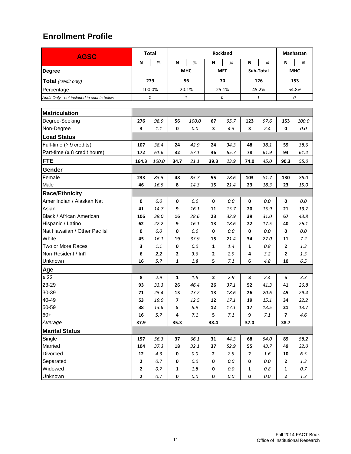| <b>AGSC</b>                               |                         | <b>Total</b> | Rockland       |            |              |            |              |           | Manhattan               |            |  |  |
|-------------------------------------------|-------------------------|--------------|----------------|------------|--------------|------------|--------------|-----------|-------------------------|------------|--|--|
|                                           | N                       | %            | N              | %          | N            | %          | N            | %         | N                       | %          |  |  |
| <b>Degree</b>                             |                         |              |                | <b>MHC</b> |              | <b>MFT</b> |              | Sub-Total |                         | <b>MHC</b> |  |  |
| Total (credit only)                       |                         | 279          |                | 56         |              | 70         |              | 126       |                         | 153        |  |  |
| Percentage                                |                         | 100.0%       |                | 20.1%      |              | 25.1%      | 45.2%        |           | 54.8%                   |            |  |  |
| Audit Only - not included in counts below |                         | 1            |                | 1          |              | 0          | 1            |           | 0                       |            |  |  |
|                                           |                         |              |                |            |              |            |              |           |                         |            |  |  |
| <b>Matriculation</b>                      |                         |              |                |            |              |            |              |           |                         |            |  |  |
| Degree-Seeking                            | 276                     | 98.9         | 56             | 100.0      | 67           | 95.7       | 123          | 97.6      | 153                     | 100.0      |  |  |
| Non-Degree                                | 3                       | 1.1          | 0              | 0.0        | 3            | 4.3        | 3            | 2.4       | 0                       | 0.0        |  |  |
| <b>Load Status</b>                        |                         |              |                |            |              |            |              |           |                         |            |  |  |
| Full-time $(≥ 9$ credits)                 | 107                     | 38.4         | 24             | 42.9       | 24           | 34.3       | 48           | 38.1      | 59                      | 38.6       |  |  |
| Part-time ( $\leq 8$ credit hours)        | 172                     | 61.6         | 32             | 57.1       | 46           | 65.7       | 78           | 61.9      | 94                      | 61.4       |  |  |
| <b>FTE</b>                                | 164.3                   | 100.0        | 34.7           | 21.1       | 39.3         | 23.9       | 74.0         | 45.0      | 90.3                    | 55.0       |  |  |
| Gender                                    |                         |              |                |            |              |            |              |           |                         |            |  |  |
| Female                                    | 233                     | 83.5         | 48             | 85.7       | 55           | 78.6       | 103          | 81.7      | 130                     | 85.0       |  |  |
| Male                                      | 46                      | 16.5         | 8              | 14.3       | 15           | 21.4       | 23           | 18.3      | 23                      | 15.0       |  |  |
| <b>Race/Ethnicity</b>                     |                         |              |                |            |              |            |              |           |                         |            |  |  |
| Amer Indian / Alaskan Nat                 | 0                       | 0.0          | 0              | 0.0        | 0            | 0.0        | 0            | 0.0       | 0                       | 0.0        |  |  |
| Asian                                     | 41                      | 14.7         | 9              | 16.1       | 11           | 15.7       | 20           | 15.9      | 21                      | 13.7       |  |  |
| Black / African American                  | 106                     | 38.0         | 16             | 28.6       | 23           | 32.9       | 39           | 31.0      | 67                      | 43.8       |  |  |
| Hispanic / Latino                         | 62                      | 22.2         | 9              | 16.1       | 13           | 18.6       | 22           | 17.5      | 40                      | 26.1       |  |  |
| Nat Hawaiian / Other Pac Isl              | 0                       | 0.0          | 0              | $0.0\,$    | 0            | 0.0        | 0            | 0.0       | 0                       | 0.0        |  |  |
| White                                     | 45                      | 16.1         | 19             | 33.9       | 15           | 21.4       | 34           | 27.0      | 11                      | 7.2        |  |  |
| Two or More Races                         | 3                       | 1.1          | 0              | $0.0\,$    | 1            | 1.4        | 1            | 0.8       | 2                       | 1.3        |  |  |
| Non-Resident / Int'l                      | 6                       | 2.2          | 2              | 3.6        | $\mathbf{2}$ | 2.9        | 4            | 3.2       | 2                       | 1.3        |  |  |
| Unknown                                   | 16                      | 5.7          | 1              | 1.8        | 5            | 7.1        | 6            | 4.8       | 10                      | 6.5        |  |  |
| Age                                       |                         |              |                |            |              |            |              |           |                         |            |  |  |
| $\leq 22$                                 | 8                       | 2.9          | 1              | 1.8        | 2            | 2.9        | 3            | 2.4       | 5                       | 3.3        |  |  |
| 23-29                                     | 93                      | 33.3         | 26             | 46.4       | 26           | 37.1       | 52           | 41.3      | 41                      | 26.8       |  |  |
| 30-39                                     | 71                      | 25.4         | 13             | 23.2       | 13           | 18.6       | 26           | 20.6      | 45                      | 29.4       |  |  |
| 40-49                                     | 53                      | 19.0         | $\overline{7}$ | 12.5       | 12           | 17.1       | 19           | 15.1      | 34                      | 22.2       |  |  |
| 50-59                                     | 38                      | 13.6         | 5              | 8.9        | ${\bf 12}$   | 17.1       | 17           | 13.5      | 21                      | 13.7       |  |  |
| $60+$                                     | 16                      | 5.7          | 4              | $7.1\,$    | 5            | 7.1        | 9            | $7.1\,$   | $\overline{\mathbf{z}}$ | 4.6        |  |  |
| Average                                   | 37.9                    |              | 35.3           |            | 38.4         |            | 37.0         |           | 38.7                    |            |  |  |
| <b>Marital Status</b>                     |                         |              |                |            |              |            |              |           |                         |            |  |  |
| Single                                    | 157                     | 56.3         | 37             | 66.1       | 31           | 44.3       | 68           | 54.0      | 89                      | 58.2       |  |  |
| Married                                   | 104                     | 37.3         | 18             | 32.1       | 37           | 52.9       | 55           | 43.7      | 49                      | 32.0       |  |  |
| Divorced                                  | 12                      | 4.3          | $\pmb{0}$      | $0.0\,$    | $\mathbf{2}$ | 2.9        | $\mathbf{2}$ | $1.6\,$   | 10                      | $6.5\,$    |  |  |
| Separated                                 | $\mathbf 2$             | 0.7          | $\mathbf 0$    | $0.0\,$    | $\pmb{0}$    | 0.0        | 0            | 0.0       | $\mathbf 2$             | 1.3        |  |  |
| Widowed                                   | $\overline{\mathbf{2}}$ | $0.7\,$      | $\mathbf 1$    | $1.8\,$    | 0            | 0.0        | $\mathbf{1}$ | $0.8\,$   | 1                       | $0.7\,$    |  |  |
| Unknown                                   | $\mathbf{2}$            | $0.7\,$      | $\pmb{0}$      | $0.0\,$    | 0            | $0.0\,$    | 0            | $0.0\,$   | $\mathbf{2}$            | 1.3        |  |  |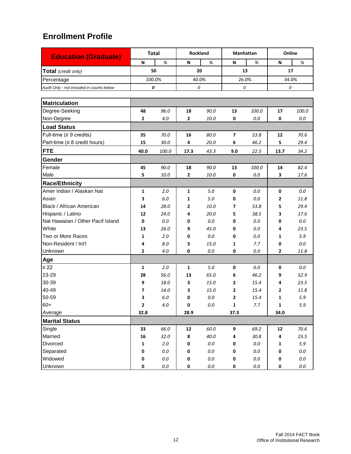| <b>Education (Graduate)</b>               | <b>Total</b> |         | Rockland  |         |                         | Manhattan | Online         |         |
|-------------------------------------------|--------------|---------|-----------|---------|-------------------------|-----------|----------------|---------|
|                                           | N            | %       | N         | %       | N                       | %         | N              | %       |
| Total (credit only)                       | 50           |         |           | 20      |                         | 13        | 17             |         |
| Percentage                                |              | 100.0%  | 40.0%     |         | 26.0%                   |           | 34.0%          |         |
| Audit Only - not included in counts below |              | 0       | 0         |         | 0                       |           | 0              |         |
|                                           |              |         |           |         |                         |           |                |         |
| <b>Matriculation</b>                      |              |         |           |         |                         |           |                |         |
| Degree-Seeking                            | 48           | 96.0    | 18        | 90.0    | 13                      | 100.0     | 17             | 100.0   |
| Non-Degree                                | 2            | 4.0     | 2         | 10.0    | 0                       | 0.0       | 0              | 0.0     |
| <b>Load Status</b>                        |              |         |           |         |                         |           |                |         |
| Full-time $(≥ 9 \text{ credits})$         | 35           | 70.0    | 16        | 80.0    | $\overline{\mathbf{z}}$ | 53.8      | 12             | 70.6    |
| Part-time ( $\leq 8$ credit hours)        | 15           | 30.0    | 4         | 20.0    | 6                       | 46.2      | 5              | 29.4    |
| <b>FTE</b>                                | 40.0         | 100.0   | 17.3      | 43.3    | 9.0                     | 22.5      | 13.7           | 34.2    |
| Gender                                    |              |         |           |         |                         |           |                |         |
| Female                                    | 45           | 90.0    | 18        | 90.0    | 13                      | 100.0     | 14             | 82.4    |
| Male                                      | 5            | 10.0    | 2         | 10.0    | 0                       | 0.0       | 3              | 17.6    |
| <b>Race/Ethnicity</b>                     |              |         |           |         |                         |           |                |         |
| Amer Indian / Alaskan Nat                 | 1            | 2.0     | 1         | 5.0     | 0                       | 0.0       | 0              | 0.0     |
| Asian                                     | 3            | 6.0     | 1         | 5.0     | 0                       | 0.0       | 2              | 11.8    |
| Black / African American                  | 14           | 28.0    | 2         | 10.0    | 7                       | 53.8      | 5              | 29.4    |
| Hispanic / Latino                         | 12           | 24.0    | 4         | 20.0    | 5                       | 38.5      | 3              | 17.6    |
| Nat Hawaiian / Other Pacif Island         | 0            | 0.0     | 0         | 0.0     | 0                       | 0.0       | 0              | 0.0     |
| White                                     | 13           | 26.0    | 9         | 45.0    | 0                       | 0.0       | 4              | 23.5    |
| Two or More Races                         | 1            | 2.0     | 0         | 0.0     | 0                       | 0.0       | 1              | 5.9     |
| Non-Resident / Int'l                      | 4            | 8.0     | 3         | 15.0    | 1                       | 7.7       | 0              | $0.0\,$ |
| Unknown                                   | 2            | 4.0     | 0         | 0.0     | 0                       | 0.0       | 2              | 11.8    |
| Age                                       |              |         |           |         |                         |           |                |         |
| $\leq 22$                                 | 1            | 2.0     | 1         | 5.0     | 0                       | 0.0       | $\pmb{0}$      | 0.0     |
| 23-29                                     | 28           | 56.0    | 13        | 65.0    | 6                       | 46.2      | 9              | 52.9    |
| 30-39                                     | 9            | 18.0    | 3         | 15.0    | 2                       | 15.4      | 4              | 23.5    |
| 40-49                                     | 7            | 14.0    | 3         | 15.0    | 2                       | 15.4      | $\overline{2}$ | 11.8    |
| 50-59                                     | 3            | 6.0     | 0         | 0.0     | $\mathbf{z}$            | 15.4      | 1              | 5.9     |
| $60+$                                     | $\mathbf{2}$ | $4.0\,$ | 0         | $0.0\,$ | 1                       | 7.7       | $\mathbf 1$    | $5.9$   |
| Average                                   | 32.8         |         | 28.9      |         | 37.3                    |           | 34.0           |         |
| <b>Marital Status</b>                     |              |         |           |         |                         |           |                |         |
| Single                                    | 33           | 66.0    | 12        | 60.0    | 9                       | 69.2      | 12             | 70.6    |
| Married                                   | 16           | 32.0    | 8         | 40.0    | 4                       | 30.8      | 4              | 23.5    |
| Divorced                                  | $\mathbf{1}$ | $2.0\,$ | 0         | $0.0\,$ | 0                       | 0.0       | $\mathbf 1$    | $5.9$   |
| Separated                                 | 0            | $0.0\,$ | 0         | $0.0\,$ | 0                       | $0.0\,$   | 0              | $0.0\,$ |
| Widowed                                   | 0            | $0.0\,$ | $\pmb{0}$ | $0.0\,$ | 0                       | $0.0\,$   | $\pmb{0}$      | $0.0\,$ |
| Unknown                                   | 0            | $0.0\,$ | $\pmb{0}$ | $0.0\,$ | 0                       | $0.0\,$   | $\pmb{0}$      | $0.0\,$ |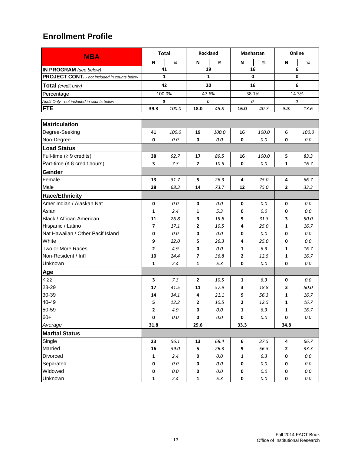| <b>MBA</b>                                          |              | <b>Total</b> |                | Rockland     |      | Manhattan   | Online       |          |  |
|-----------------------------------------------------|--------------|--------------|----------------|--------------|------|-------------|--------------|----------|--|
|                                                     | N            | $\%$         | N              | %            | N    | %           | N            | $\%$     |  |
| IN PROGRAM (see below)                              |              | 41           |                | 19           |      | 16          |              | 6        |  |
| <b>PROJECT CONT.</b> - not included in counts below |              | $\mathbf{1}$ |                | $\mathbf{1}$ |      | $\mathbf 0$ |              | 0        |  |
| Total (credit only)                                 |              | 42           |                | 20           |      | 16          |              | 6        |  |
| Percentage                                          |              | 100.0%       |                | 47.6%        |      | 38.1%       |              | 14.3%    |  |
| Audit Only - not included in counts below           |              | 0            |                | 0            |      | 0           | 0            |          |  |
| <b>FTE</b>                                          | 39.3         | 100.0        | 18.0           | 45.8         | 16.0 | 40.7        | 5.3          | 13.6     |  |
|                                                     |              |              |                |              |      |             |              |          |  |
| <b>Matriculation</b>                                |              |              |                |              |      |             |              |          |  |
| Degree-Seeking                                      | 41           | 100.0        | 19             | 100.0        | 16   | 100.0       | 6            | 100.0    |  |
| Non-Degree                                          | 0            | 0.0          | 0              | 0.0          | 0    | 0.0         | 0            | 0.0      |  |
| <b>Load Status</b>                                  |              |              |                |              |      |             |              |          |  |
| Full-time $(≥ 9$ credits)                           | 38           | 92.7         | 17             | 89.5         | 16   | 100.0       | 5            | 83.3     |  |
| Part-time ( $\leq 8$ credit hours)                  | 3            | 7.3          | $\mathbf{2}$   | 10.5         | 0    | 0.0         | 1            | 16.7     |  |
| Gender                                              |              |              |                |              |      |             |              |          |  |
| Female                                              | 13           | 31.7         | 5              | 26.3         | 4    | 25.0        | 4            | 66.7     |  |
| Male                                                | 28           | 68.3         | 14             | 73.7         | 12   | 75.0        | 2            | 33.3     |  |
| <b>Race/Ethnicity</b>                               |              |              |                |              |      |             |              |          |  |
| Amer Indian / Alaskan Nat                           | 0            | 0.0          | 0              | 0.0          | 0    | 0.0         | 0            | 0.0      |  |
| Asian                                               | 1            | 2.4          | 1              | 5.3          | 0    | 0.0         | 0            | $0.0\,$  |  |
| Black / African American                            | 11           | 26.8         | 3              | 15.8         | 5    | 31.3        | 3            | 50.0     |  |
| Hispanic / Latino                                   | 7            | 17.1         | 2              | 10.5         | 4    | 25.0        | 1            | 16.7     |  |
| Nat Hawaiian / Other Pacif Island                   | 0            | 0.0          | 0              | 0.0          | 0    | 0.0         | 0            | 0.0      |  |
| White                                               | 9            | 22.0         | 5              | 26.3         | 4    | 25.0        | 0            | 0.0      |  |
| Two or More Races                                   | 2            | 4.9          | 0              | 0.0          | 1    | 6.3         | 1            | 16.7     |  |
| Non-Resident / Int'l                                | 10           | 24.4         | 7              | 36.8         | 2    | 12.5        | 1            | 16.7     |  |
| Unknown                                             | 1            | 2.4          | 1              | 5.3          | 0    | 0.0         | 0            | 0.0      |  |
| Age                                                 |              |              |                |              |      |             |              |          |  |
| $\leq 22$                                           | 3            | 7.3          | $\overline{2}$ | 10.5         | 1    | 6.3         | 0            | 0.0      |  |
| 23-29                                               | 17           | 41.5         | 11             | 57.9         | 3    | 18.8        | 3            | 50.0     |  |
| 30-39                                               | 14           | 34.1         | 4              | 21.1         | 9    | 56.3        | 1            | 16.7     |  |
| 40-49                                               | 5            | 12.2         | $\mathbf{2}$   | $10.5\,$     | 2    | 12.5        | 1            | $16.7\,$ |  |
| 50-59                                               | $\mathbf{2}$ | 4.9          | 0              | $0.0\,$      | 1    | $6.3\,$     | $\mathbf 1$  | 16.7     |  |
| $60+$                                               | $\pmb{0}$    | $0.0\,$      | 0              | $0.0\,$      | 0    | $0.0\,$     | 0            | $0.0\,$  |  |
| Average                                             | 31.8         |              | 29.6           |              | 33.3 |             | 34.8         |          |  |
| <b>Marital Status</b>                               |              |              |                |              |      |             |              |          |  |
| Single                                              | 23           | 56.1         | 13             | 68.4         | 6    | 37.5        | 4            | 66.7     |  |
| Married                                             | 16           | 39.0         | 5              | 26.3         | 9    | 56.3        | $\mathbf{2}$ | 33.3     |  |
| Divorced                                            | $\mathbf 1$  | 2.4          | 0              | $0.0\,$      | 1    | $6.3\,$     | 0            | $0.0\,$  |  |
| Separated                                           | 0            | $0.0\,$      | 0              | $0.0\,$      | 0    | $0.0\,$     | 0            | $0.0\,$  |  |
| Widowed                                             | $\pmb{0}$    | $0.0\,$      | 0              | $0.0\,$      | 0    | $0.0\,$     | 0            | $0.0\,$  |  |
| Unknown                                             | $\mathbf 1$  | $2.4\,$      | 1              | $5.3$        | 0    | $0.0\,$     | $\pmb{0}$    | $0.0\,$  |  |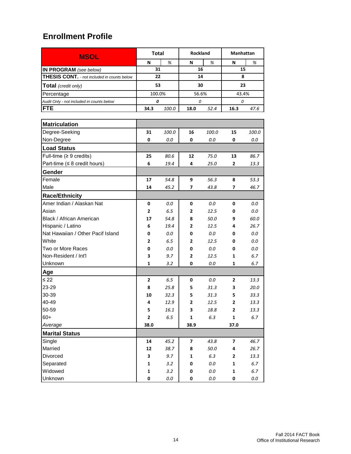| <b>MSOL</b>                                        | <b>Total</b>            |         | Rockland |         | Manhattan      |         |  |
|----------------------------------------------------|-------------------------|---------|----------|---------|----------------|---------|--|
|                                                    | N                       | %       | N        | %       | N              | %       |  |
| IN PROGRAM (see below)                             | 31                      |         | 16       |         | 15             |         |  |
| <b>THESIS CONT.</b> - not included in counts below | 22                      |         | 14       |         | 8              |         |  |
| <b>Total</b> (credit only)                         | 53                      |         | 30       |         | 23             |         |  |
| Percentage                                         | 100.0%                  |         | 56.6%    |         | 43.4%          |         |  |
| Audit Only - not included in counts below          | 0                       |         | 0        |         | 0              |         |  |
| <b>FTE</b>                                         | 34.3                    | 100.0   | 18.0     | 52.4    | 16.3           | 47.6    |  |
|                                                    |                         |         |          |         |                |         |  |
| <b>Matriculation</b>                               |                         |         |          |         |                |         |  |
| Degree-Seeking                                     | 31                      | 100.0   | 16       | 100.0   | 15             | 100.0   |  |
| Non-Degree                                         | 0                       | 0.0     | 0        | 0.0     | 0              | 0.0     |  |
| <b>Load Status</b>                                 |                         |         |          |         |                |         |  |
| Full-time $(≥ 9$ credits)                          | 25                      | 80.6    | 12       | 75.0    | 13             | 86.7    |  |
| Part-time ( $\leq 8$ credit hours)                 | 6                       | 19.4    | 4        | 25.0    | 2              | 13.3    |  |
| Gender                                             |                         |         |          |         |                |         |  |
| Female                                             | 17                      | 54.8    | 9        | 56.3    | 8              | 53.3    |  |
| Male                                               | 14                      | 45.2    | 7        | 43.8    | 7              | 46.7    |  |
| <b>Race/Ethnicity</b>                              |                         |         |          |         |                |         |  |
| Amer Indian / Alaskan Nat                          | 0                       | 0.0     | 0        | 0.0     | 0              | 0.0     |  |
| Asian                                              | 2                       | 6.5     | 2        | 12.5    | 0              | 0.0     |  |
| Black / African American                           | 17                      | 54.8    | 8        | 50.0    | 9              | 60.0    |  |
| Hispanic / Latino                                  | 6                       | 19.4    | 2        | 12.5    | 4              | 26.7    |  |
| Nat Hawaiian / Other Pacif Island                  | 0                       | 0.0     | 0        | 0.0     | 0              | 0.0     |  |
| White                                              | 2                       | 6.5     | 2        | 12.5    | 0              | 0.0     |  |
| Two or More Races                                  | 0                       | 0.0     | 0        | 0.0     | 0              | 0.0     |  |
| Non-Resident / Int'l                               | 3                       | 9.7     | 2        | 12.5    | 1              | 6.7     |  |
| Unknown                                            | 1                       | 3.2     | 0        | 0.0     | 1              | 6.7     |  |
| Age                                                |                         |         |          |         |                |         |  |
| $\leq 22$                                          | 2                       | 6.5     | 0        | 0.0     | $\overline{2}$ | 13.3    |  |
| 23-29                                              | 8                       | 25.8    | 5        | 31.3    | 3              | 20.0    |  |
| 30-39                                              | 10                      | 32.3    | 5        | 31.3    | 5              | 33.3    |  |
| 40-49                                              | 4                       | 12.9    | 2        | 12.5    | 2              | 13.3    |  |
| 50-59                                              | 5                       | 16.1    | 3        | 18.8    | $\mathbf{2}$   | 13.3    |  |
| $60+$                                              | $\overline{\mathbf{c}}$ | $6.5\,$ | 1        | 6.3     | $\mathbf 1$    | $6.7\,$ |  |
| Average                                            | 38.0                    |         | 38.9     |         | 37.0           |         |  |
| <b>Marital Status</b>                              |                         |         |          |         |                |         |  |
| Single                                             | 14                      | 45.2    | 7        | 43.8    | 7              | 46.7    |  |
| Married                                            | 12                      | 38.7    | 8        | 50.0    | 4              | 26.7    |  |
| Divorced                                           | 3                       | 9.7     | 1        | 6.3     | $\mathbf 2$    | 13.3    |  |
| Separated                                          | 1                       | 3.2     | 0        | $0.0\,$ | $\mathbf 1$    | $6.7\,$ |  |
| Widowed                                            | 1                       | 3.2     | 0        | $0.0\,$ | 1              | $6.7\,$ |  |
| Unknown                                            | 0                       | $0.0\,$ | 0        | $0.0\,$ | 0              | $0.0\,$ |  |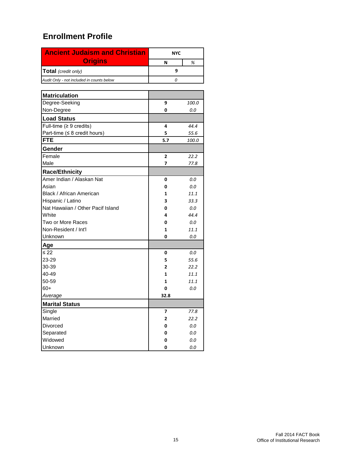| <b>Ancient Judaism and Christian</b>      | <b>NYC</b>     |         |
|-------------------------------------------|----------------|---------|
| <b>Origins</b>                            | N              | %       |
| Total (credit only)                       | 9              |         |
| Audit Only - not included in counts below | 0              |         |
|                                           |                |         |
| <b>Matriculation</b>                      |                |         |
| Degree-Seeking                            | 9              | 100.0   |
| Non-Degree                                | 0              | 0.0     |
| <b>Load Status</b>                        |                |         |
| Full-time ( $\geq 9$ credits)             | 4              | 44.4    |
| Part-time ( $\leq 8$ credit hours)        | 5              | 55.6    |
| <b>FTE</b>                                | 5.7            | 100.0   |
| Gender                                    |                |         |
| Female                                    | $\overline{2}$ | 22.2    |
| Male                                      | 7              | 77.8    |
| <b>Race/Ethnicity</b>                     |                |         |
| Amer Indian / Alaskan Nat                 | 0              | 0.0     |
| Asian                                     | 0              | 0.0     |
| Black / African American                  | 1              | 11.1    |
| Hispanic / Latino                         | 3              | 33.3    |
| Nat Hawaiian / Other Pacif Island         | 0              | 0.0     |
| White                                     | 4              | 44.4    |
| Two or More Races                         | 0              | 0.0     |
| Non-Resident / Int'l                      | 1              | 11.1    |
| Unknown                                   | 0              | 0.0     |
| Age                                       |                |         |
| $\leq 22$                                 | 0              | 0.0     |
| 23-29                                     | 5              | 55.6    |
| 30-39                                     | 2              | 22.2    |
| 40-49                                     | 1              | 11.1    |
| 50-59                                     | 1              | 11.1    |
| $60+$                                     | 0              | 0.0     |
| Average                                   | 32.8           |         |
| <b>Marital Status</b>                     |                |         |
| Single                                    | 7              | 77.8    |
| Married                                   | 2              | 22.2    |
| Divorced                                  | 0              | $0.0\,$ |
| Separated                                 | 0              | $0.0\,$ |
| Widowed                                   | 0              | $0.0\,$ |
| Unknown                                   | 0              | $0.0\,$ |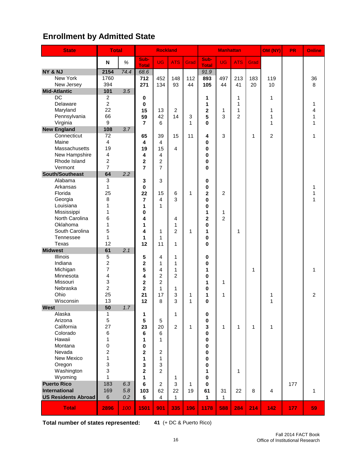# **Enrollment by Admitted State**

| <b>State</b>                  | <b>Total</b>            |      |                      | <b>Rockland</b> |                |              |                         | <b>Manhattan</b>    |                |      | OM (NY)        | <b>PR</b> | Online         |
|-------------------------------|-------------------------|------|----------------------|-----------------|----------------|--------------|-------------------------|---------------------|----------------|------|----------------|-----------|----------------|
|                               | $\mathsf N$             | $\%$ | Sub-<br><b>Total</b> | UG              | <b>ATS</b>     | Grad         | Sub-<br><b>Total</b>    | <b>UG</b>           | <b>ATS</b>     | Grad |                |           |                |
| NY & NJ                       | 2154                    | 74.4 | 68.6                 |                 |                |              | 91.9                    |                     |                |      |                |           |                |
| <b>New York</b>               | 1760                    |      | 712                  | 452             | 148            | 112          | 893                     | 497                 | 213            | 183  | 119            |           | 36             |
| New Jersey                    | 394                     |      | 271                  | 134             | 93             | 44           | 105                     | 44                  | 41             | 20   | 10             |           | 8              |
| <b>Mid-Atlantic</b>           | 101                     | 3.5  |                      |                 |                |              |                         |                     |                |      |                |           |                |
| DC                            | $\overline{c}$          |      | $\pmb{0}$            |                 |                |              | 1                       |                     | 1              |      | 1              |           |                |
| Delaware                      | $\overline{c}$          |      | $\mathbf 0$          |                 |                |              | 1                       |                     | $\mathbf{1}$   |      |                |           | 1              |
| Maryland                      | 22                      |      | 15                   | 13              | $\overline{2}$ |              | $\overline{\mathbf{2}}$ | 1                   | 1              |      | 1              |           | 4              |
| Pennsylvania                  | 66                      |      | 59                   | 42              | 14             | 3            | 5                       | 3                   | $\overline{2}$ |      | 1              |           | 1              |
| Virginia                      | 9                       |      | $\overline{7}$       | 6               |                | 1            | 0                       |                     |                |      | 1              |           | 1              |
| <b>New England</b>            | 108                     | 3.7  |                      |                 |                |              |                         |                     |                |      |                |           |                |
| Connecticut                   | 72                      |      | 65                   | 39              | 15             | 11           | 4                       | 3                   |                | 1    | $\overline{2}$ |           | 1              |
| Maine                         | $\overline{4}$          |      | 4                    | $\overline{4}$  |                |              | 0                       |                     |                |      |                |           |                |
| Massachusetts                 | 19                      |      | 19                   | 15              | 4              |              | 0                       |                     |                |      |                |           |                |
| New Hampshire                 | $\overline{\mathbf{4}}$ |      | 4                    | 4               |                |              | 0                       |                     |                |      |                |           |                |
| Rhode Island                  | $\overline{c}$          |      | $\mathbf{2}$         | $\overline{c}$  |                |              | 0                       |                     |                |      |                |           |                |
| Vermont                       | $\overline{7}$          |      | $\overline{7}$       | $\overline{7}$  |                |              | 0                       |                     |                |      |                |           |                |
| South/Southeast               | 64                      | 2.2  |                      |                 |                |              |                         |                     |                |      |                |           |                |
| Alabama                       | $\overline{3}$          |      | 3                    | 3               |                |              | 0                       |                     |                |      |                |           |                |
| Arkansas                      | $\mathbf{1}$            |      | $\mathbf 0$          |                 |                |              | 0                       |                     |                |      |                |           | 1              |
| Florida                       | 25                      |      | 22                   | 15              | 6              | 1            | $\mathbf 2$             | $\overline{c}$      |                |      |                |           | 1              |
| Georgia                       | 8<br>1                  |      | $\overline{7}$       | 4<br>1          | 3              |              | 0                       |                     |                |      |                |           | 1              |
| Louisiana                     | 1                       |      | 1                    |                 |                |              | 0                       |                     |                |      |                |           |                |
| Mississippi<br>North Carolina | 6                       |      | 0<br>4               |                 | 4              |              | 1<br>2                  | 1<br>$\overline{2}$ |                |      |                |           |                |
| Oklahoma                      | $\mathbf{1}$            |      | 1                    |                 | 1              |              | 0                       |                     |                |      |                |           |                |
| South Carolina                | 5                       |      | 4                    | 1               | $\overline{2}$ | 1            | 1                       |                     | 1              |      |                |           |                |
| Tennessee                     | $\mathbf{1}$            |      | 1                    | 1               |                |              | 0                       |                     |                |      |                |           |                |
| Texas                         | 12                      |      | 12                   | 11              | 1              |              | 0                       |                     |                |      |                |           |                |
| <b>Midwest</b>                | 61                      | 2.1  |                      |                 |                |              |                         |                     |                |      |                |           |                |
| Illinois                      | 5                       |      | 5                    | 4               | 1              |              | 0                       |                     |                |      |                |           |                |
| Indiana                       | $\overline{c}$          |      | $\overline{2}$       | 1               | 1              |              | 0                       |                     |                |      |                |           |                |
| Michigan                      | $\overline{7}$          |      | 5                    | 4               | 1              |              | 1                       |                     |                | 1    |                |           | 1              |
| Minnesota                     | 4                       |      | 4                    | $\overline{2}$  | $\overline{2}$ |              | 0                       |                     |                |      |                |           |                |
| Missouri                      | 3                       |      | $\overline{2}$       | $\overline{2}$  |                |              | 1                       | 1                   |                |      |                |           |                |
| Nebraska                      | $\boldsymbol{2}$        |      | $\mathbf{2}$         | 1               | 1              |              | 0                       |                     |                |      |                |           |                |
| Ohio                          | 25                      |      | 21                   | 17              | 3              | 1            | 1                       | 1                   |                |      | 1              |           | $\overline{c}$ |
| Wisconsin                     | 13                      |      | 12                   | 8               | 3              | 1            | $\bf{0}$                |                     |                |      | 1              |           |                |
| <b>West</b>                   | 50                      | 1.7  |                      |                 |                |              |                         |                     |                |      |                |           |                |
| Alaska                        | 1                       |      | 1                    |                 | 1              |              | 0                       |                     |                |      |                |           |                |
| Arizona                       | $\sqrt{5}$              |      | 5                    | 5               |                |              | 0                       |                     |                |      |                |           |                |
| California                    | 27                      |      | 23                   | 20              | $\overline{2}$ | $\mathbf{1}$ | 3                       | 1                   | $\mathbf{1}$   | 1    | 1              |           |                |
| Colorado                      | 6                       |      | 6                    | 6               |                |              | 0                       |                     |                |      |                |           |                |
| Hawaii                        | 1                       |      | 1                    | 1               |                |              | 0                       |                     |                |      |                |           |                |
| Montana<br>Nevada             | 0<br>$\overline{c}$     |      | 0                    |                 |                |              | 0                       |                     |                |      |                |           |                |
| New Mexico                    | $\mathbf{1}$            |      | $\overline{2}$       | $\overline{2}$  |                |              | 0                       |                     |                |      |                |           |                |
| Oregon                        | 3                       |      | 1<br>3               | 1<br>3          |                |              | 0<br>0                  |                     |                |      |                |           |                |
| Washington                    | 3                       |      | $\overline{2}$       | $\overline{2}$  |                |              | 1                       |                     | 1              |      |                |           |                |
| Wyoming                       | 1                       |      | 1                    |                 | 1              |              | 0                       |                     |                |      |                |           |                |
| <b>Puerto Rico</b>            | 183                     | 6.3  | 6                    | $\overline{2}$  | 3              | 1            | 0                       |                     |                |      |                | 177       |                |
| <b>International</b>          | 169                     | 5.8  | 103                  | 62              | 22             | 19           | 61                      | 31                  | 22             | 8    | $\overline{4}$ |           | 1              |
| <b>US Residents Abroad</b>    | $\,6$                   | 0.2  | $5\phantom{.0}$      | $\overline{4}$  | $\mathbf{1}$   |              | 1                       | $\mathbf{1}$        |                |      |                |           |                |
| <b>Total</b>                  | 2896                    | 100  | 1501                 | 901             | 335            | 196          | 1178                    | 588                 | 284            | 214  | 142            | 177       | 59             |

**Total number of states represented: 41** (+ DC & Puerto Rico)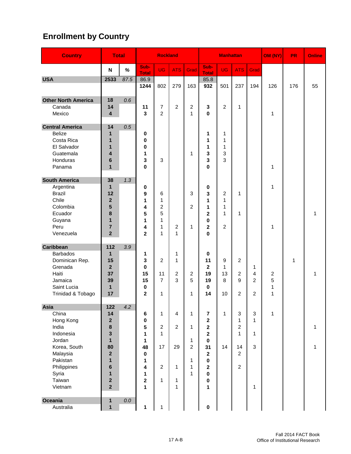# **Enrollment by Country**

| <b>Country</b>             | <b>Total</b>                |         |                         | <b>Rockland</b> |                |                |                             | <b>Manhattan</b> |                      |                | OM (NY)          | <b>PR</b> | Online |
|----------------------------|-----------------------------|---------|-------------------------|-----------------|----------------|----------------|-----------------------------|------------------|----------------------|----------------|------------------|-----------|--------|
|                            | N                           | %       | Sub-<br><b>Total</b>    | <b>UG</b>       | <b>ATS</b>     | Grad           | Sub-<br><b>Total</b>        | <b>UG</b>        | <b>ATS</b>           | Grad           |                  |           |        |
| <b>USA</b>                 | 2533                        | 87.5    | 86.9                    |                 |                |                | 85.8                        |                  |                      |                |                  |           |        |
|                            |                             |         | 1244                    | 802             | 279            | 163            | 932                         | 501              | 237                  | 194            | 126              | 176       | 55     |
| <b>Other North America</b> | 18                          | 0.6     |                         |                 |                |                |                             |                  |                      |                |                  |           |        |
| Canada                     | 14                          |         | 11                      | $\overline{7}$  | $\overline{2}$ | 2              | 3                           | $\overline{2}$   | 1                    |                |                  |           |        |
| Mexico                     | $\overline{\mathbf{4}}$     |         | $\overline{3}$          | $\overline{2}$  |                | 1              | 0                           |                  |                      |                | 1                |           |        |
| <b>Central America</b>     | 14                          | 0.5     |                         |                 |                |                |                             |                  |                      |                |                  |           |        |
| <b>Belize</b>              | 1                           |         | 0                       |                 |                |                | 1                           | 1                |                      |                |                  |           |        |
| Costa Rica                 | $\mathbf{1}$                |         | 0                       |                 |                |                | 1                           | 1                |                      |                |                  |           |        |
| El Salvador                | $\mathbf{1}$                |         | $\bf{0}$                |                 |                |                | 1                           | 1                |                      |                |                  |           |        |
| Guatemala                  | 4                           |         | 1                       |                 |                | 1              | 3                           | 3                |                      |                |                  |           |        |
| Honduras                   | $6\phantom{1}6$             |         | 3                       | 3               |                |                | 3                           | 3                |                      |                |                  |           |        |
| Panama                     | $\mathbf{1}$                |         | $\mathbf{0}$            |                 |                |                | $\bf{0}$                    |                  |                      |                | 1                |           |        |
| <b>South America</b>       | 38                          | 1.3     |                         |                 |                |                |                             |                  |                      |                |                  |           |        |
| Argentina                  | $\mathbf{1}$                |         | 0                       |                 |                |                | 0                           |                  |                      |                | 1                |           |        |
| <b>Brazil</b>              | 12                          |         | 9                       | 6               |                | 3              | 3                           | 2                | 1                    |                |                  |           |        |
| Chile                      | $\mathbf{2}$                |         | 1                       | 1               |                |                | 1                           | $\mathbf 1$      |                      |                |                  |           |        |
| Colombia                   | 5                           |         | 4                       | 2               |                | $\overline{2}$ | 1                           | 1                |                      |                |                  |           |        |
| Ecuador                    | 8                           |         | 5                       | 5               |                |                | $\overline{2}$              | 1                | 1                    |                |                  |           | 1      |
| Guyana                     | $\mathbf{1}$                |         | 1                       | 1               |                |                | 0                           |                  |                      |                |                  |           |        |
| Peru                       | $\overline{7}$              |         | 4                       | 1               | 2              | 1              | 2                           | $\overline{c}$   |                      |                | 1                |           |        |
| Venezuela                  | $\overline{2}$              |         | $\overline{2}$          | 1               | 1              |                | 0                           |                  |                      |                |                  |           |        |
| Caribbean                  | 112                         | 3.9     |                         |                 |                |                |                             |                  |                      |                |                  |           |        |
| <b>Barbados</b>            | 1                           |         | 1                       |                 | 1              |                | 0                           |                  |                      |                |                  |           |        |
| Dominican Rep.             | 15                          |         | 3                       | 2               | 1              |                | 11                          | 9                | $\overline{c}$       |                |                  | 1         |        |
| Grenada                    | $\overline{2}$              |         | $\bf{0}$                |                 |                |                | $\mathbf 2$                 | 1                |                      | 1              |                  |           |        |
| Haiti                      | 37                          |         | 15                      | 11              | $\overline{c}$ | 2              | 19                          | 13               | 2                    | 4              | $\boldsymbol{2}$ |           | 1      |
| Jamaica                    | 39                          |         | 15                      | $\overline{7}$  | 3              | 5              | 19                          | 8                | 9                    | $\overline{2}$ | 5                |           |        |
| Saint Lucia                | $\mathbf{1}$                |         | 0                       |                 |                |                | 0                           |                  |                      |                | 1                |           |        |
| Trinidad & Tobago          | 17                          |         | $\mathbf{2}$            | 1               |                | 1              | 14                          | 10               | $\overline{c}$       | 2              | 1                |           |        |
| Asia                       | 122                         | 4.2     |                         |                 |                |                |                             |                  |                      |                |                  |           |        |
| China                      | 14                          |         | 6                       | $\mathbf{1}$    | $\overline{4}$ | 1              | 7                           | $\mathbf{1}$     | 3                    | 3              | $\mathbf{1}$     |           |        |
| Hong Kong                  | $\mathbf 2$                 |         | $\pmb{0}$               |                 |                |                | $\mathbf 2$                 |                  | 1                    | 1              |                  |           |        |
| India                      | 8                           |         | 5                       | $\overline{2}$  | $\overline{2}$ | 1              | $\overline{\mathbf{2}}$     |                  | $\overline{2}$       |                |                  |           | 1      |
| Indonesia                  | 3                           |         | 1                       | $\mathbf{1}$    |                |                | $\overline{\mathbf{2}}$     |                  | 1                    | 1              |                  |           |        |
| Jordan                     | $\mathbf{1}$                |         | 1                       |                 |                | 1              | $\pmb{0}$                   |                  |                      |                |                  |           |        |
| Korea, South               | 80                          |         | 48                      | 17              | 29             | $\overline{2}$ | 31                          | 14               | 14<br>$\overline{2}$ | 3              |                  |           | 1      |
| Malaysia<br>Pakistan       | $\mathbf 2$<br>$\mathbf{1}$ |         | $\pmb{0}$<br>1          |                 |                | 1              | $\mathbf{2}$<br>$\mathbf 0$ |                  |                      |                |                  |           |        |
| Philippines                | $\bf 6$                     |         | 4                       | $\overline{2}$  | $\mathbf{1}$   | $\mathbf{1}$   | 2                           |                  | $\overline{2}$       |                |                  |           |        |
| Syria                      | $\mathbf{1}$                |         | 1                       |                 |                | $\mathbf{1}$   | 0                           |                  |                      |                |                  |           |        |
| Taiwan                     | $\overline{\mathbf{2}}$     |         | $\overline{\mathbf{2}}$ | $\mathbf{1}$    | 1              |                | 0                           |                  |                      |                |                  |           |        |
| Vietnam                    | $\overline{\mathbf{2}}$     |         | 1                       |                 | $\mathbf{1}$   |                | 1                           |                  |                      | $\mathbf{1}$   |                  |           |        |
|                            |                             |         |                         |                 |                |                |                             |                  |                      |                |                  |           |        |
| Oceania                    | $\mathbf{1}$                | $0.0\,$ |                         |                 |                |                |                             |                  |                      |                |                  |           |        |
| Australia                  | $\mathbf{1}$                |         | 1                       | 1               |                |                | $\pmb{0}$                   |                  |                      |                |                  |           |        |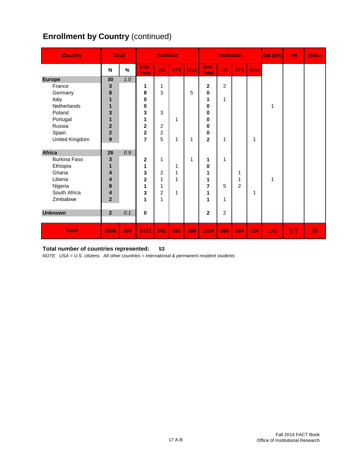# **Enrollment by Country (continued)**

| <b>Country</b> | <b>Total</b>            |      |                      | <b>Rockland</b>  |            |      | <b>Manhattan</b>     |                |                |      | OM (NY) | <b>PR</b> | <b>Online</b> |
|----------------|-------------------------|------|----------------------|------------------|------------|------|----------------------|----------------|----------------|------|---------|-----------|---------------|
|                | N                       | $\%$ | Sub-<br><b>Total</b> | <b>UG</b>        | <b>ATS</b> | Grad | Sub-<br><b>Total</b> | <b>UG</b>      | <b>ATS</b>     | Grad |         |           |               |
| <b>Europe</b>  | 30                      | 1.0  |                      |                  |            |      |                      |                |                |      |         |           |               |
| France         | 3                       |      | 1                    | 1                |            |      | $\mathbf 2$          | $\overline{c}$ |                |      |         |           |               |
| Germany        | 8                       |      | 8                    | 3                |            | 5    | 0                    |                |                |      |         |           |               |
| Italy          | $\mathbf{1}$            |      | 0                    |                  |            |      | 1                    | 1              |                |      |         |           |               |
| Netherlands    | $\mathbf{1}$            |      | 0                    |                  |            |      | 0                    |                |                |      | 1       |           |               |
| Poland         | 3                       |      | 3                    | 3                |            |      | 0                    |                |                |      |         |           |               |
| Portugal       | 1                       |      | 1                    |                  | 1          |      | 0                    |                |                |      |         |           |               |
| Russia         | $\overline{2}$          |      | 2                    | $\overline{c}$   |            |      | 0                    |                |                |      |         |           |               |
| Spain          | $\overline{\mathbf{2}}$ |      | $\overline{2}$       | $\boldsymbol{2}$ |            |      | 0                    |                |                |      |         |           |               |
| United Kingdom | $\mathbf{9}$            |      | 7                    | 5                | 1          | 1    | $\mathbf{2}$         | 1              |                | 1    |         |           |               |
|                |                         |      |                      |                  |            |      |                      |                |                |      |         |           |               |
| <b>Africa</b>  | 26                      | 0.9  |                      |                  |            |      |                      |                |                |      |         |           |               |
| Burkina Faso   | $\mathbf{3}$            |      | $\mathbf 2$          | 1                |            | 1    | 1                    | 1              |                |      |         |           |               |
| Ethiopia       | $\mathbf{1}$            |      | 1                    |                  | 1          |      | 0                    |                |                |      |         |           |               |
| Ghana          | 4                       |      | 3                    | $\overline{c}$   | 1          |      | 1                    |                | 1              |      |         |           |               |
| Liberia        | 4                       |      | $\overline{2}$       | 1                | 1          |      | 1                    |                | 1              |      | 1       |           |               |
| Nigeria        | 8                       |      | 1                    | 1                |            |      | 7                    | 5              | $\overline{2}$ |      |         |           |               |
| South Africa   | 4                       |      | 3                    | $\overline{2}$   | 1          |      | 1                    |                |                | 1    |         |           |               |
| Zimbabwe       | $\overline{\mathbf{2}}$ |      | 1                    | 1                |            |      | 1                    | 1              |                |      |         |           |               |
|                |                         |      |                      |                  |            |      |                      |                |                |      |         |           |               |
| <b>Unknown</b> | $\overline{2}$          | 0.1  | $\bf{0}$             |                  |            |      | $\mathbf 2$          | $\overline{c}$ |                |      |         |           |               |
|                |                         |      |                      |                  |            |      |                      |                |                |      |         |           |               |
| <b>Total</b>   | 2896                    | 100  | 1432                 | 901              | 335        | 196  | 1086                 | 588            | 284            | 214  | 142     | 177       | 59            |

#### **Total number of countries represented: 53**

*NOTE: USA = U.S. citizens. All other countries = international & permanent resident students*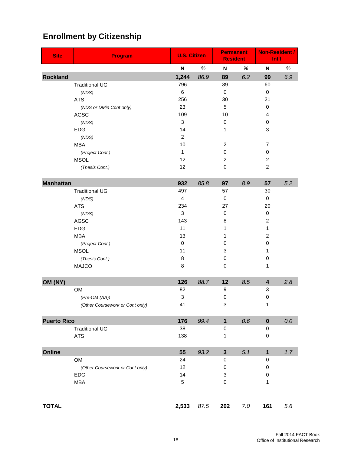| <b>Site</b>        | <b>Program</b>                  | <b>U.S. Citizen</b>       |      | <b>Permanent</b><br><b>Resident</b> |      | <b>Non-Resident /</b><br>Int'l |     |  |
|--------------------|---------------------------------|---------------------------|------|-------------------------------------|------|--------------------------------|-----|--|
|                    |                                 | Ν                         | $\%$ | N                                   | $\%$ | N                              | %   |  |
| <b>Rockland</b>    |                                 | 1,244                     | 86.9 | 89                                  | 6.2  | 99                             | 6.9 |  |
|                    | <b>Traditional UG</b>           | 796                       |      | 39                                  |      | 60                             |     |  |
|                    | (NDS)                           | 6                         |      | $\mathbf 0$                         |      | 0                              |     |  |
|                    | <b>ATS</b>                      | 256                       |      | 30                                  |      | 21                             |     |  |
|                    | (NDS or DMin Cont only)         | 23                        |      | 5                                   |      | 0                              |     |  |
|                    | <b>AGSC</b>                     | 109                       |      | 10                                  |      | 4                              |     |  |
|                    | (NDS)                           | 3                         |      | 0                                   |      | 0                              |     |  |
|                    | <b>EDG</b>                      | 14                        |      | 1                                   |      | 3                              |     |  |
|                    | (NDS)                           | $\overline{c}$            |      |                                     |      |                                |     |  |
|                    | <b>MBA</b>                      | 10<br>$\mathbf{1}$        |      | $\overline{c}$<br>0                 |      | 7<br>0                         |     |  |
|                    | (Project Cont.)<br><b>MSOL</b>  | 12                        |      | $\overline{2}$                      |      | $\overline{c}$                 |     |  |
|                    | (Thesis Cont.)                  | 12                        |      | 0                                   |      | $\overline{c}$                 |     |  |
|                    |                                 |                           |      |                                     |      |                                |     |  |
| <b>Manhattan</b>   |                                 | 932                       | 85.8 | 97                                  | 8.9  | 57                             | 5.2 |  |
|                    | <b>Traditional UG</b>           | 497                       |      | 57                                  |      | 30                             |     |  |
|                    | (NDS)                           | 4                         |      | 0                                   |      | 0                              |     |  |
|                    | <b>ATS</b>                      | 234                       |      | 27                                  |      | 20                             |     |  |
|                    | (NDS)                           | 3                         |      | 0                                   |      | 0                              |     |  |
|                    | <b>AGSC</b>                     | 143                       |      | 8                                   |      | $\overline{\mathbf{c}}$        |     |  |
|                    | <b>EDG</b>                      | 11                        |      | 1                                   |      | 1                              |     |  |
|                    | <b>MBA</b>                      | 13                        |      | 1                                   |      | $\overline{c}$                 |     |  |
|                    | (Project Cont.)                 | 0                         |      | 0                                   |      | 0                              |     |  |
|                    | <b>MSOL</b>                     | 11                        |      | 3                                   |      | 1                              |     |  |
|                    | (Thesis Cont.)                  | 8                         |      | 0                                   |      | $\,0\,$                        |     |  |
|                    | <b>MAJCO</b>                    | 8                         |      | 0                                   |      | 1                              |     |  |
| OM (NY)            |                                 | 126                       | 88.7 | 12                                  | 8.5  | 4                              | 2.8 |  |
|                    | <b>OM</b>                       | 82                        |      | 9                                   |      | 3                              |     |  |
|                    | (Pre-OM (AA))                   | $\ensuremath{\mathsf{3}}$ |      | 0                                   |      | 0                              |     |  |
|                    | (Other Coursework or Cont only) | 41                        |      | 3                                   |      | 1                              |     |  |
|                    |                                 |                           |      |                                     |      |                                |     |  |
| <b>Puerto Rico</b> |                                 | 176                       | 99.4 | $\overline{\mathbf{1}}$             | 0.6  | $\mathbf 0$                    | 0.0 |  |
|                    | <b>Traditional UG</b>           | 38                        |      | $\pmb{0}$                           |      | 0                              |     |  |
|                    | <b>ATS</b>                      | 138                       |      | 1                                   |      | 0                              |     |  |
| Online             |                                 | 55                        | 93.2 | $\mathbf{3}$                        | 5.1  | $\mathbf{1}$                   | 1.7 |  |
|                    | OM                              | 24                        |      | $\pmb{0}$                           |      | 0                              |     |  |
|                    | (Other Coursework or Cont only) | 12                        |      | 0                                   |      | 0                              |     |  |
|                    | <b>EDG</b>                      | 14                        |      | 3                                   |      | 0                              |     |  |
|                    | <b>MBA</b>                      | 5                         |      | 0                                   |      | 1                              |     |  |
|                    |                                 |                           |      |                                     |      |                                |     |  |
| <b>TOTAL</b>       |                                 | 2,533                     | 87.5 | 202                                 | 7.0  | 161                            | 5.6 |  |

# **Enrollment by Citizenship**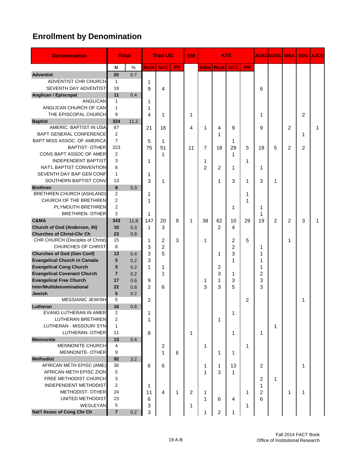# **Enrollment by Denomination**

| <b>Denomination</b>                          |                | <b>Total</b> |                | <b>Trad UG</b> |           | <b>OM</b> |                | <b>ATS</b>           |                |           |                | <b>AGSCIMSOLI</b> | <b>MBA</b>     | <b>EDG</b>     | <b>AJCO</b> |
|----------------------------------------------|----------------|--------------|----------------|----------------|-----------|-----------|----------------|----------------------|----------------|-----------|----------------|-------------------|----------------|----------------|-------------|
|                                              | N              | $\%$         | <b>Rock</b>    | <b>NYC</b>     | <b>PR</b> |           |                | <b>DMin Rock NYC</b> |                | <b>PR</b> |                |                   |                |                |             |
| <b>Adventist</b>                             | 20             | 0.7          |                |                |           |           |                |                      |                |           |                |                   |                |                |             |
| <b>ADVENTIST CHR CHURCH</b>                  | 1              |              | 1              |                |           |           |                |                      |                |           |                |                   |                |                |             |
| SEVENTH DAY ADVENTIST                        | 19             |              | 9              | 4              |           |           |                |                      |                |           | 6              |                   |                |                |             |
| Anglican / Episcopal                         | 11             | 0.4          |                |                |           |           |                |                      |                |           |                |                   |                |                |             |
| <b>ANGLICAN</b>                              | $\mathbf{1}$   |              | 1              |                |           |           |                |                      |                |           |                |                   |                |                |             |
| ANGLICAN CHURCH OF CAN                       | $\mathbf{1}$   |              | 1              |                |           |           |                |                      |                |           |                |                   |                |                |             |
| THE EPISCOPAL CHURCH                         | 9              |              | 4              | 1              |           | 1         |                |                      |                |           | 1              |                   |                | $\overline{2}$ |             |
| <b>Baptist</b>                               | 324            | 11.2         |                |                |           |           |                |                      |                |           |                |                   |                |                |             |
| AMERIC, BAPTIST IN USA                       | 67             |              | 21             | 16             |           | 4         | 1              | 4                    | 9              |           | 9              |                   | $\overline{c}$ |                | 1           |
| BAPT GENERAL CONFERENCE                      | 2              |              |                |                |           |           |                | 1                    |                |           |                |                   |                | 1              |             |
| BAPT MISS ASSOC. OF AMERICA                  | $\overline{7}$ |              | 5              | 1              |           |           |                |                      | 1              |           |                |                   |                |                |             |
| <b>BAPTIST- OTHER</b>                        | 223            |              | 75             | 51             |           | 11        | 7              | 18                   | 29             | 5         | 18             | 5                 | $\overline{2}$ | $\overline{2}$ |             |
| CONS BAPT ASSOC OF AMER                      | 2              |              |                | 1              |           |           |                |                      | 1              |           |                |                   |                |                |             |
| <b>INDEPENDENT BAPTIST</b>                   | 3              |              | 1              |                |           |           | 1              |                      |                | 1         |                |                   |                |                |             |
| NAT'L BAPTIST CONVENTION                     | 6              |              |                |                |           |           | $\overline{2}$ | 2                    | 1              |           | 1              |                   |                |                |             |
| SEVENTH DAY BAP GEN CONF                     | $\mathbf{1}$   |              | 1              |                |           |           |                |                      |                |           |                |                   |                |                |             |
| SOUTHERN BAPTIST CONV                        | 13             |              | 3              | 1              |           |           |                | 1                    | 3              | 1         | 3              | 1                 |                |                |             |
| <b>Brethren</b>                              | 8              | 0.3          |                |                |           |           |                |                      |                |           |                |                   |                |                |             |
| BRETHREN CHURCH (ASHLAND)                    | 2              |              | 1              |                |           |           |                |                      |                | 1         |                |                   |                |                |             |
| <b>CHURCH OF THE BRETHREN</b>                | 2              |              | 1              |                |           |           |                |                      |                | 1         |                |                   |                |                |             |
| PLYMOUTH BRETHREN                            | 2              |              |                |                |           |           |                |                      | 1              |           | 1              |                   |                |                |             |
| <b>BRETHREN- OTHER</b>                       | $\overline{2}$ |              | 1              |                |           |           |                |                      |                |           | 1              |                   |                |                |             |
| C&MA                                         | 343            | 11.8         | 147            | 20             | 9         | 1         | 38             | 62                   | 10             | 29        | 19             | 2                 | $\overline{2}$ | 3              | 1           |
| Church of God (Anderson, IN)                 | 10             | 0.3          | 1              | 3              |           |           |                | 2                    | 4              |           |                |                   |                |                |             |
| <b>Churches of Christ-Chr Ch</b>             | 23             | 0.8          |                |                |           |           |                |                      |                |           |                |                   |                |                |             |
| CHR CHURCH (Disciples of Christ)             | 15             |              | 1              | $\overline{2}$ | 3         |           | 1              |                      | $\overline{2}$ | 5         |                |                   | 1              |                |             |
| <b>CHURCHES OF CHRIST</b>                    | 8              |              | 3              | $\overline{2}$ |           |           |                |                      | $\overline{2}$ |           | 1              |                   |                |                |             |
| <b>Churches of God (Gen Conf)</b>            | 13             | 0.4          | 3              | 5              |           |           |                | 1                    | 3              |           | 1              |                   |                |                |             |
| <b>Evangelical Church in Canada</b>          | 5              | 0.2          | 3              |                |           |           |                |                      | 1              |           | 1              |                   |                |                |             |
| <b>Evangelical Cong Church</b>               | 5              | 0.2          | 1              | 1              |           |           |                | 2                    |                |           | 1              |                   |                |                |             |
| <b>Evangelical Covenant Church</b>           | $\overline{7}$ | 0.2          |                | 1              |           |           |                | 3                    | 1              |           | $\overline{c}$ |                   |                |                |             |
| <b>Evangelical Free Church</b>               | 17             | 0.6          | 9              |                |           |           | 1              | 1                    | 3              |           | 3              |                   |                |                |             |
| Inter/Multidenominational                    | 22             | 0.8          | $\overline{2}$ | 6              |           |           | 3              | 3                    | 5              |           | 3              |                   |                |                |             |
| Jewish                                       | 5              | 0.2          |                |                |           |           |                |                      |                |           |                |                   |                |                |             |
| <b>MESSIANIC JEWISH</b>                      | 5              |              | 2              |                |           |           |                |                      |                | 2         |                |                   |                | 1              |             |
| Lutheran                                     | 16             | 0.6          |                |                |           |           |                |                      |                |           |                |                   |                |                |             |
| EVANG LUTHERAN IN AMER                       | $\overline{2}$ |              | 1              |                |           |           |                |                      | 1              |           |                |                   |                |                |             |
| LUTHERAN BRETHREN                            | $\overline{c}$ |              | 1              |                |           |           |                | 1                    |                |           |                |                   |                |                |             |
| LUTHERAN - MISSOURI SYN                      | $\mathbf{1}$   |              |                |                |           |           |                |                      |                |           |                | 1                 |                |                |             |
| LUTHERAN- OTHER                              | 11             |              | 8              |                |           | 1         |                |                      | 1              |           | 1              |                   |                |                |             |
| <b>Mennonite</b>                             | 13             | 0.4          |                |                |           |           |                |                      |                |           |                |                   |                |                |             |
| <b>MENNONITE CHURCH</b><br>MENNONITE- OTHER  | 4<br>9         |              |                | $\overline{c}$ |           |           | 1              |                      |                | 1         |                |                   |                |                |             |
|                                              |                |              |                | 1              | 6         |           |                | 1                    | 1              |           |                |                   |                |                |             |
| <b>Methodist</b><br>AFRICAN METH EPISC (AME) | 92<br>30       | 3.2          |                |                |           |           |                |                      |                |           | 2              |                   |                |                |             |
| AFRICAN METH EPISC ZION                      | 5              |              | 6              | 6              |           |           | 1              | 1<br>3               | 13             |           |                |                   |                | 1              |             |
| <b>FREE METHODIST CHURCH</b>                 | 3              |              |                |                |           |           | 1              |                      | 1              |           |                |                   |                |                |             |
| <b>INDEPENDENT METHODIST</b>                 | 2              |              |                |                |           |           |                |                      |                |           | 2              | 1                 |                |                |             |
| <b>METHODIST- OTHER</b>                      | 24             |              | 1              | 4              | 1         |           |                |                      |                |           | 1              |                   | 1              |                |             |
| UNITED METHODIST                             | 23             |              | 11             |                |           | 2         | 1<br>1         |                      |                | 1         | 2<br>6         |                   |                | 1              |             |
| WESLEYAN                                     | 5              |              | 6              |                |           |           |                | 6                    | 4              |           |                |                   |                |                |             |
| Nat'l Assoc of Cong Chr Ch                   | $\overline{7}$ | 0.2          | 3              |                |           | 1         |                |                      |                | 1         |                |                   |                |                |             |
|                                              |                |              | 3              |                |           |           | 1              | 2                    | 1              |           |                |                   |                |                |             |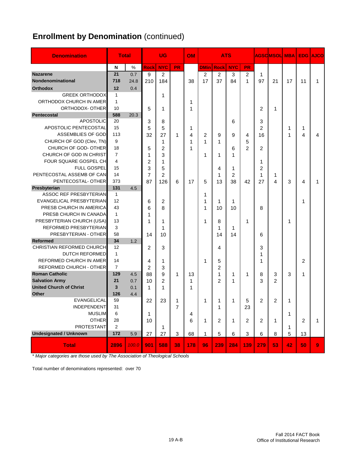# **Enrollment by Denomination** (continued)

| <b>Denomination</b>                                 | <b>Total</b>   |       |                     | <b>UG</b>      |              | OM  |              |                     | <b>ATS</b> |     |                | <b>AGSC MSOL</b> | <b>MBA</b> | <b>EDG</b> | <b>AJCO</b> |
|-----------------------------------------------------|----------------|-------|---------------------|----------------|--------------|-----|--------------|---------------------|------------|-----|----------------|------------------|------------|------------|-------------|
|                                                     | N              | $\%$  | <b>Rock</b>         | <b>NYC</b>     | <b>PR</b>    |     | <b>DMinl</b> | <b>Rock</b>         | <b>NYC</b> | PR  |                |                  |            |            |             |
| <b>Nazarene</b>                                     | 21             | 0.7   | 9                   | $\overline{c}$ |              |     | 2            | 2                   | 3          | 2   | 1              |                  |            |            |             |
| Nondenominational                                   | 718            | 24.8  | 210                 | 184            |              | 38  | 17           | 37                  | 84         | 1   | 97             | 21               | 17         | 11         | 1           |
| <b>Orthodox</b>                                     | 12             | 0.4   |                     |                |              |     |              |                     |            |     |                |                  |            |            |             |
| <b>GREEK ORTHODOX</b>                               | 1              |       |                     | 1              |              |     |              |                     |            |     |                |                  |            |            |             |
| ORTHODOX CHURCH IN AMER                             | $\mathbf{1}$   |       |                     |                |              | 1   |              |                     |            |     |                |                  |            |            |             |
| ORTHODOX- OTHER                                     | 10             |       | 5                   | 1              |              | 1   |              |                     |            |     | $\overline{2}$ | 1                |            |            |             |
| <b>Pentecostal</b>                                  | 588            | 20.3  |                     |                |              |     |              |                     |            |     |                |                  |            |            |             |
| <b>APOSTOLIC</b>                                    | 20             |       | 3                   | 8              |              |     |              |                     | 6          |     | 3              |                  |            |            |             |
| APOSTOLIC PENTECOSTAL                               | 15             |       | 5                   | 5              |              | 1   |              |                     |            |     | $\overline{2}$ |                  | 1          | 1          |             |
| ASSEMBLIES OF GOD                                   | 113            |       | 32                  | 27             | 1            | 4   | 2            | 9                   | 9          | 4   | 16             |                  | 1          | 4          | 4           |
| CHURCH OF GOD (Clev, TN)                            | 9              |       |                     | 1              |              | 1   | 1            | 1                   |            | 5   |                |                  |            |            |             |
| CHURCH OF GOD-OTHER                                 | 18             |       | 5                   | 2              |              | 1   |              |                     | 6          | 2   | 2              |                  |            |            |             |
| CHURCH OF GOD IN CHRIST                             | $\overline{7}$ |       | 1                   | 3              |              |     | 1            | 1                   | 1          |     |                |                  |            |            |             |
| FOUR SQUARE GOSPEL CH                               | 4              |       | $\overline{2}$      | 1              |              |     |              |                     |            |     | 1              |                  |            |            |             |
| <b>FULL GOSPEL</b>                                  | 15             |       | 3                   | 5              |              |     |              | 4                   | 1          |     | 2              |                  |            |            |             |
| PENTECOSTAL ASSEMB OF CAN                           | 14             |       | $\overline{7}$      | $\overline{c}$ |              |     |              | 1                   | 2          |     | 1              | 1                |            |            |             |
| PENTECOSTAL-OTHER                                   | 373            |       | 87                  | 126            | 6            | 17  | 5            | 13                  | 38         | 42  | 27             | 4                | 3          | 4          |             |
| Presbyterian                                        | 131            | 4.5   |                     |                |              |     |              |                     |            |     |                |                  |            |            |             |
| <b>ASSOC REF PRESBYTERIAN</b>                       | $\mathbf{1}$   |       |                     |                |              |     | 1            |                     |            |     |                |                  |            |            |             |
| EVANGELICAL PRESBYTERIAN                            | 12             |       | 6                   | 2              |              |     | 1            | 1                   | 1          |     |                |                  |            | 1          |             |
| PRESB CHURCH IN AMERICA                             | 43             |       | 6                   | 8              |              |     | 1            | 10                  | 10         |     | 8              |                  |            |            |             |
| PRESB CHURCH IN CANADA                              | $\mathbf{1}$   |       | 1                   |                |              |     |              |                     |            |     |                |                  |            |            |             |
| PRESBYTERIAN CHURCH (USA)                           | 13             |       | 1                   | 1              |              |     | 1            | 8                   |            | 1   |                |                  | 1          |            |             |
| REFORMED PRESBYTERIAN                               | 3              |       |                     | 1              |              |     |              | 1                   | 1          |     |                |                  |            |            |             |
| PRESBYTERIAN - OTHER                                | 58             |       | 14                  | 10             |              |     |              | 14                  | 14         |     | 6              |                  |            |            |             |
| <b>Reformed</b><br><b>CHRISTIAN REFORMED CHURCH</b> | 34<br>12       | 1.2   |                     |                |              |     |              |                     |            |     |                |                  |            |            |             |
| <b>DUTCH REFORMED</b>                               | $\mathbf{1}$   |       | $\overline{c}$      | 3              |              |     |              | 4                   |            |     | 3              |                  |            |            |             |
| REFORMED CHURCH IN AMER                             | 14             |       |                     |                |              |     |              |                     |            |     | 1              |                  |            |            |             |
| REFORMED CHURCH - OTHER                             | $\overline{7}$ |       | 4<br>$\overline{2}$ | 1<br>3         |              |     | 1            | 5<br>$\overline{c}$ |            |     | 1              |                  |            | 2          |             |
| <b>Roman Catholic</b>                               | 129            | 4.5   | 88                  | 9              | $\mathbf{1}$ | 13  |              | 1                   | 1          | 1   | 8              | 3                | 3          | 1          |             |
| <b>Salvation Army</b>                               | 21             | 0.7   | 10                  | $\overline{c}$ |              | 1   |              | $\overline{2}$      | 1          |     | 3              | $\overline{2}$   |            |            |             |
| <b>United Church of Christ</b>                      | 3              | 0.1   | 1                   | 1              |              | 1   |              |                     |            |     |                |                  |            |            |             |
| <b>Other</b>                                        | 126            | 4.4   |                     |                |              |     |              |                     |            |     |                |                  |            |            |             |
| EVANGELICAL                                         | 59             |       | 22                  | 23             | 1            |     | 1            | 1                   | 1          | 5   | 2              | 2                | 1          |            |             |
| <b>INDEPENDENT</b>                                  | 31             |       |                     |                | 7            |     |              | 1                   |            | 23  |                |                  |            |            |             |
| <b>MUSLIM</b>                                       | 6              |       | 1                   |                |              | 4   |              |                     |            |     |                |                  | 1          |            |             |
| <b>OTHER</b>                                        | 28             |       | 10                  |                |              | 6   | 1            | 2                   | 1          | 2   | $\overline{2}$ | 1                |            | 2          | 1           |
| <b>PROTESTANT</b>                                   | 2              |       |                     | 1              |              |     |              |                     |            |     |                |                  | 1          |            |             |
| <b>Undesignated / Unknown</b>                       | 172            | 5.9   | 27                  | 27             | 3            | 68  | 1            | 5                   | 6          | 3   | 6              | 8                | 5          | 13         |             |
| <b>Total</b>                                        | 2896           | 100.0 | 901                 | 588            | 38           | 178 | 96           | 239                 | 284        | 139 | 279            | 53               | 42         | 50         | 9           |

*\* Major categories are those used by The Association of Theological Schools*

Total number of denominations represented: over 70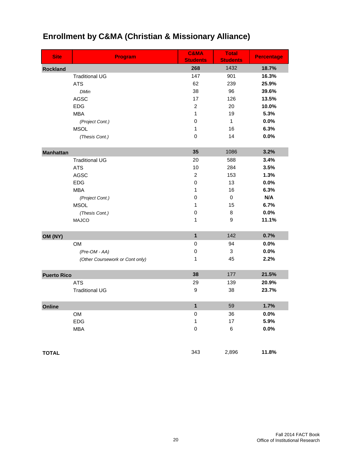| <b>Site</b>        | Program                         | C&MA<br><b>Students</b> | <b>Total</b><br><b>Students</b> | <b>Percentage</b> |
|--------------------|---------------------------------|-------------------------|---------------------------------|-------------------|
| <b>Rockland</b>    |                                 | 268                     | 1432                            | 18.7%             |
|                    | <b>Traditional UG</b>           | 147                     | 901                             | 16.3%             |
|                    | <b>ATS</b>                      | 62                      | 239                             | 25.9%             |
|                    | <b>DMin</b>                     | 38                      | 96                              | 39.6%             |
|                    | <b>AGSC</b>                     | 17                      | 126                             | 13.5%             |
|                    | <b>EDG</b>                      | $\boldsymbol{2}$        | 20                              | 10.0%             |
|                    | <b>MBA</b>                      | 1                       | 19                              | 5.3%              |
|                    | (Project Cont.)                 | 0                       | $\mathbf{1}$                    | 0.0%              |
|                    | <b>MSOL</b>                     | 1                       | 16                              | 6.3%              |
|                    | (Thesis Cont.)                  | $\mathbf 0$             | 14                              | 0.0%              |
| <b>Manhattan</b>   |                                 | 35                      | 1086                            | 3.2%              |
|                    | <b>Traditional UG</b>           | 20                      | 588                             | 3.4%              |
|                    | <b>ATS</b>                      | 10                      | 284                             | 3.5%              |
|                    | AGSC                            | $\boldsymbol{2}$        | 153                             | 1.3%              |
|                    | <b>EDG</b>                      | 0                       | 13                              | 0.0%              |
|                    | <b>MBA</b>                      | 1                       | 16                              | 6.3%              |
|                    | (Project Cont.)                 | $\mathbf 0$             | $\mathbf 0$                     | N/A               |
|                    | <b>MSOL</b>                     | 1                       | 15                              | 6.7%              |
|                    | (Thesis Cont.)                  | $\mathbf 0$             | 8                               | 0.0%              |
|                    | <b>MAJCO</b>                    | 1                       | 9                               | 11.1%             |
| OM (NY)            |                                 | 1                       | 142                             | 0.7%              |
|                    | OM                              | $\pmb{0}$               | 94                              | 0.0%              |
|                    | $(Pre-OM - AA)$                 | $\,0\,$                 | 3                               | 0.0%              |
|                    | (Other Coursework or Cont only) | 1                       | 45                              | 2.2%              |
| <b>Puerto Rico</b> |                                 | 38                      | 177                             | 21.5%             |
|                    | <b>ATS</b>                      | 29                      | 139                             | 20.9%             |
|                    | <b>Traditional UG</b>           | $\boldsymbol{9}$        | 38                              | 23.7%             |
| Online             |                                 | $\mathbf{1}$            | 59                              | 1.7%              |
|                    | OM                              | $\pmb{0}$               | 36                              | 0.0%              |
|                    | <b>EDG</b>                      | $\mathbf{1}$            | 17                              | 5.9%              |
|                    | <b>MBA</b>                      | $\mathbf 0$             | 6                               | 0.0%              |
| <b>TOTAL</b>       |                                 | 343                     | 2,896                           | 11.8%             |

# **Enrollment by C&MA (Christian & Missionary Alliance)**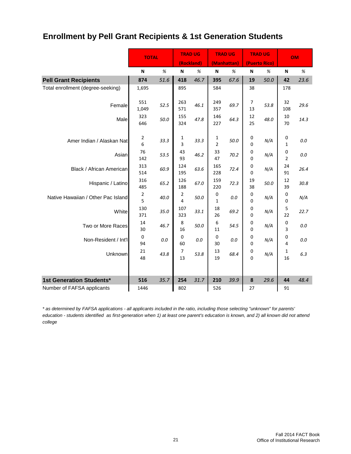## **Enrollment by Pell Grant Recipients & 1st Generation Students**

|                                    | <b>TOTAL</b>    |         | <b>TRAD UG</b>      |            | <b>TRAD UG</b> |             | <b>TRAD UG</b> |               |                     | <b>OM</b> |
|------------------------------------|-----------------|---------|---------------------|------------|----------------|-------------|----------------|---------------|---------------------|-----------|
|                                    |                 |         |                     | (Rockland) |                | (Manhattan) |                | (Puerto Rico) |                     |           |
|                                    | N               | $\%$    | N                   | $\%$       | N              | %           | N              | $\%$          | N                   | %         |
| <b>Pell Grant Recipients</b>       | 874             | 51.6    | 418                 | 46.7       | 395            | 67.6        | 19             | 50.0          | 42                  | 23.6      |
| Total enrollment (degree-seeking)  | 1,695           |         | 895                 |            | 584            |             | 38             |               | 178                 |           |
| Female                             | 551<br>1,049    | 52.5    | 263<br>571          | 46.1       | 249<br>357     | 69.7        | 7<br>13        | 53.8          | 32<br>108           | 29.6      |
| Male                               | 323<br>646      | 50.0    | 155<br>324          | 47.8       | 146<br>227     | 64.3        | 12<br>25       | 48.0          | 10<br>70            | 14.3      |
| Amer Indian / Alaskan Nat          | 2<br>6          | 33.3    | 1<br>3              | 33.3       | 1<br>2         | 50.0        | 0<br>0         | N/A           | 0<br>$\mathbf{1}$   | $0.0\,$   |
| Asian                              | 76<br>142       | 53.5    | 43<br>93            | 46.2       | 33<br>47       | 70.2        | 0<br>0         | N/A           | 0<br>$\overline{2}$ | 0.0       |
| Black / African American           | 313<br>514      | 60.9    | 124<br>195          | 63.6       | 165<br>228     | 72.4        | 0<br>0         | N/A           | 24<br>91            | 26.4      |
| Hispanic / Latino                  | 316<br>485      | 65.2    | 126<br>188          | 67.0       | 159<br>220     | 72.3        | 19<br>38       | 50.0          | 12<br>39            | 30.8      |
| Native Hawaiian / Other Pac Island | 2<br>5          | 40.0    | 2<br>$\overline{4}$ | 50.0       | 0<br>1         | $0.0\,$     | 0<br>0         | N/A           | 0<br>0              | N/A       |
| White                              | 130<br>371      | 35.0    | 107<br>323          | 33.1       | 18<br>26       | 69.2        | 0<br>0         | N/A           | 5<br>22             | 22.7      |
| Two or More Races                  | 14<br>30        | 46.7    | $\,$ 8 $\,$<br>16   | 50.0       | 6<br>11        | 54.5        | 0<br>0         | N/A           | 0<br>3              | 0.0       |
| Non-Resident / Int'l               | $\pmb{0}$<br>94 | $0.0\,$ | $\mathbf 0$<br>60   | 0.0        | 0<br>30        | $0.0\,$     | 0<br>0         | N/A           | 0<br>4              | 0.0       |
| Unknown                            | 21<br>48        | 43.8    | 7<br>13             | 53.8       | 13<br>19       | 68.4        | 0<br>0         | N/A           | 1<br>16             | 6.3       |
| 1st Generation Students*           | 516             | 35.7    | 254                 | 31.7       | 210            | 39.9        | 8              | 29.6          | 44                  | 48.4      |
| Number of FAFSA applicants         | 1446            |         | 802                 |            | 526            |             | 27             |               | 91                  |           |

*\* as determined by FAFSA applications - all applicants included in the ratio, including those selecting "unknown" for parents' education - students identified as first-generation when 1) at least one parent's education is known, and 2) all known did not attend college*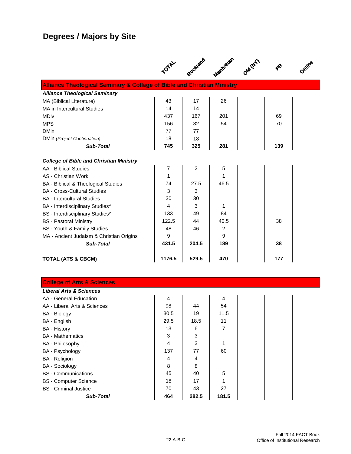# **Degrees / Majors by Site**

|                                                                                    | TOTAL  | Rockland       | Manhatan | OM/VET) | $\mathbf{e}^{\mathbf{e}}$ |  |
|------------------------------------------------------------------------------------|--------|----------------|----------|---------|---------------------------|--|
| <b>Alliance Theological Seminary &amp; College of Bible and Christian Ministry</b> |        |                |          |         |                           |  |
| <b>Alliance Theological Seminary</b>                                               |        |                |          |         |                           |  |
| MA (Biblical Literature)                                                           | 43     | 17             | 26       |         |                           |  |
| MA in Intercultural Studies                                                        | 14     | 14             |          |         |                           |  |
| <b>MDiv</b>                                                                        | 437    | 167            | 201      |         | 69                        |  |
| <b>MPS</b>                                                                         | 156    | 32             | 54       |         | 70                        |  |
| <b>DMin</b>                                                                        | 77     | 77             |          |         |                           |  |
| DMin (Project Continuation)                                                        | 18     | 18             |          |         |                           |  |
| Sub-Total                                                                          | 745    | 325            | 281      |         | 139                       |  |
| <b>College of Bible and Christian Ministry</b>                                     |        |                |          |         |                           |  |
| AA - Biblical Studies                                                              | 7      | $\overline{c}$ | 5        |         |                           |  |
| AS - Christian Work                                                                | 1      |                | 1        |         |                           |  |
| BA - Biblical & Theological Studies                                                | 74     | 27.5           | 46.5     |         |                           |  |
| <b>BA</b> - Cross-Cultural Studies                                                 | 3      | 3              |          |         |                           |  |
| <b>BA</b> - Intercultural Studies                                                  | 30     | 30             |          |         |                           |  |
| BA - Interdisciplinary Studies^                                                    | 4      | 3              | 1        |         |                           |  |
| BS - Interdisciplinary Studies^                                                    | 133    | 49             | 84       |         |                           |  |
| <b>BS</b> - Pastoral Ministry                                                      | 122.5  | 44             | 40.5     |         | 38                        |  |
| BS - Youth & Family Studies                                                        | 48     | 46             | 2        |         |                           |  |
| MA - Ancient Judaism & Christian Origins                                           | 9      |                | 9        |         |                           |  |
| Sub-Total                                                                          | 431.5  | 204.5          | 189      |         | 38                        |  |
| <b>TOTAL (ATS &amp; CBCM)</b>                                                      | 1176.5 | 529.5          | 470      |         | 177                       |  |

| <b>College of Arts &amp; Sciences</b> |                |       |       |  |  |
|---------------------------------------|----------------|-------|-------|--|--|
| <b>Liberal Arts &amp; Sciences</b>    |                |       |       |  |  |
| AA - General Education                | $\overline{4}$ |       | 4     |  |  |
| AA - Liberal Arts & Sciences          | 98             | 44    | 54    |  |  |
| <b>BA</b> - Biology                   | 30.5           | 19    | 11.5  |  |  |
| BA - English                          | 29.5           | 18.5  | 11    |  |  |
| <b>BA</b> - History                   | 13             | 6     | 7     |  |  |
| <b>BA</b> - Mathematics               | 3              | 3     |       |  |  |
| <b>BA</b> - Philosophy                | 4              | 3     | 1     |  |  |
| BA - Psychology                       | 137            | 77    | 60    |  |  |
| <b>BA</b> - Religion                  | 4              | 4     |       |  |  |
| <b>BA</b> - Sociology                 | 8              | 8     |       |  |  |
| <b>BS</b> - Communications            | 45             | 40    | 5     |  |  |
| <b>BS</b> - Computer Science          | 18             | 17    |       |  |  |
| <b>BS</b> - Criminal Justice          | 70             | 43    | 27    |  |  |
| <b>Sub-Total</b>                      | 464            | 282.5 | 181.5 |  |  |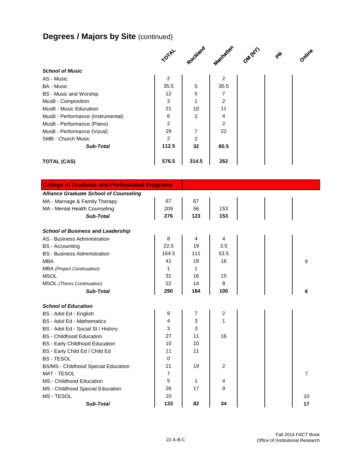# **Degrees / Majors by Site (continued)**

|                                   | TOTAL          | Rockland | Manhatian      | OM (NY) | $\mathbf{e}^{\mathbf{e}}$ | Online |
|-----------------------------------|----------------|----------|----------------|---------|---------------------------|--------|
| <b>School of Music</b>            |                |          |                |         |                           |        |
| AS - Music                        | $\overline{c}$ |          | 2              |         |                           |        |
| <b>BA</b> - Music                 | 35.5           | 5        | 30.5           |         |                           |        |
| <b>BS</b> - Music and Worship     | 12             | 5        | 7              |         |                           |        |
| MusB - Composition                | 3              | 1        | $\overline{2}$ |         |                           |        |
| MusB - Music Education            | 21             | 10       | 11             |         |                           |        |
| MusB - Performance (Instrumental) | 6              | 2        | 4              |         |                           |        |
| MusB - Performance (Piano)        | $\overline{2}$ |          | $\overline{2}$ |         |                           |        |
| MusB - Performance (Vocal)        | 29             | 7        | 22             |         |                           |        |
| <b>SMB - Church Music</b>         | $\overline{2}$ | 2        |                |         |                           |        |
| <b>Sub-Total</b>                  | 112.5          | 32       | 80.5           |         |                           |        |
| <b>TOTAL (CAS)</b>                | 576.5          | 314.5    | 262            |         |                           |        |

| <b>College of Graduate and Professional Programs</b> |                |     |                |    |
|------------------------------------------------------|----------------|-----|----------------|----|
| <b>Alliance Graduate School of Counseling</b>        |                |     |                |    |
| MA - Marriage & Family Therapy                       | 67             | 67  |                |    |
| MA - Mental Health Counseling                        | 209            | 56  | 153            |    |
| Sub-Total                                            | 276            | 123 | 153            |    |
| <b>School of Business and Leadership</b>             |                |     |                |    |
| AS - Business Administration                         | 8              | 4   | 4              |    |
| <b>BS</b> - Accounting                               | 22.5           | 19  | 3.5            |    |
| <b>BS</b> - Business Administration                  | 164.5          | 111 | 53.5           |    |
| <b>MBA</b>                                           | 41             | 19  | 16             | 6  |
| <b>MBA</b> (Project Continuation)                    | 1              | 1   |                |    |
| <b>MSOL</b>                                          | 31             | 16  | 15             |    |
| <b>MSOL</b> (Thesis Continuation)                    | 22             | 14  | 8              |    |
| Sub-Total                                            | 290            | 184 | 100            | 6  |
| <b>School of Education</b>                           |                |     |                |    |
| BS - Adol Ed - English                               | 9              | 7   | 2              |    |
| <b>BS</b> - Adol Ed - Mathematics                    | 4              | 3   | 1              |    |
| BS - Adol Ed - Social St / History                   | 3              | 3   |                |    |
| <b>BS</b> - Childhood Education                      | 27             | 11  | 16             |    |
| <b>BS</b> - Early Childhood Education                | 10             | 10  |                |    |
| BS - Early Child Ed / Child Ed                       | 11             | 11  |                |    |
| <b>BS-TESOL</b>                                      | 0              |     |                |    |
| <b>BS/MS - Childhood Special Education</b>           | 21             | 19  | $\overline{2}$ |    |
| <b>MAT - TESOL</b>                                   | $\overline{7}$ |     |                | 7  |
| MS - Childhood Education                             | 5              | 1   | 4              |    |
| MS - Childhood Special Education                     | 26             | 17  | 9              |    |
| MS - TESOL                                           | 10             |     |                | 10 |
| <b>Sub-Total</b>                                     | 133            | 82  | 34             | 17 |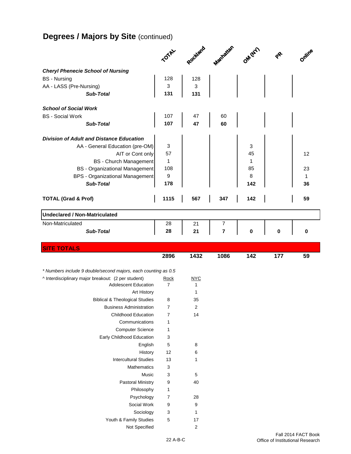# **Degrees / Majors by Site (continued)**

|                                                                | <b>TOTAL</b>   | Rockland         | Manhatan       | OM (NY) |     | Online |
|----------------------------------------------------------------|----------------|------------------|----------------|---------|-----|--------|
| <b>Cheryl Phenecie School of Nursing</b>                       |                |                  |                |         |     |        |
| <b>BS</b> - Nursing                                            | 128            | 128              |                |         |     |        |
| AA - LASS (Pre-Nursing)                                        | 3              | 3                |                |         |     |        |
| <b>Sub-Total</b>                                               | 131            | 131              |                |         |     |        |
|                                                                |                |                  |                |         |     |        |
| <b>School of Social Work</b>                                   |                |                  |                |         |     |        |
| <b>BS</b> - Social Work                                        | 107            | 47               | 60             |         |     |        |
| <b>Sub-Total</b>                                               | 107            | 47               | 60             |         |     |        |
| <b>Division of Adult and Distance Education</b>                |                |                  |                |         |     |        |
| AA - General Education (pre-OM)                                | 3              |                  |                | 3       |     |        |
| AIT or Cont only                                               | 57             |                  |                | 45      |     | 12     |
| <b>BS</b> - Church Management                                  | 1              |                  |                | 1       |     |        |
| <b>BS</b> - Organizational Management                          | 108            |                  |                | 85      |     | 23     |
| <b>BPS - Organizational Management</b>                         | 9              |                  |                | 8       |     | 1      |
| <b>Sub-Total</b>                                               | 178            |                  |                | 142     |     | 36     |
|                                                                |                |                  |                |         |     |        |
| <b>TOTAL (Grad &amp; Prof)</b>                                 | 1115           | 567              | 347            | 142     |     | 59     |
| <b>Undeclared / Non-Matriculated</b>                           |                |                  |                |         |     |        |
| Non-Matriculated                                               | 28             | 21               | 7              |         |     |        |
| <b>Sub-Total</b>                                               | 28             | 21               | $\overline{7}$ | 0       | 0   | 0      |
|                                                                |                |                  |                |         |     |        |
|                                                                |                |                  |                |         |     |        |
| <b>SITE TOTALS</b>                                             |                |                  |                |         |     |        |
|                                                                | 2896           | 1432             | 1086           | 142     | 177 | 59     |
|                                                                |                |                  |                |         |     |        |
| * Numbers include 9 double/second majors, each counting as 0.5 |                |                  |                |         |     |        |
| ^ Interdisciplinary major breakout: (2 per student)            | <u>Rock</u>    | <u>NYC</u>       |                |         |     |        |
| <b>Adolescent Education</b>                                    | $\overline{7}$ | 1                |                |         |     |        |
| <b>Art History</b>                                             |                | 1                |                |         |     |        |
| <b>Biblical &amp; Theological Studies</b>                      | 8              | 35               |                |         |     |        |
| <b>Business Administration</b>                                 | 7              | $\mathbf 2$      |                |         |     |        |
| <b>Childhood Education</b>                                     | 7              | 14               |                |         |     |        |
| Communications                                                 | 1              |                  |                |         |     |        |
| <b>Computer Science</b>                                        | 1              |                  |                |         |     |        |
| Early Childhood Education                                      | 3              |                  |                |         |     |        |
| English                                                        | 5              | 8                |                |         |     |        |
| History                                                        | 12             | 6                |                |         |     |        |
| <b>Intercultural Studies</b>                                   | 13             | 1                |                |         |     |        |
| Mathematics                                                    | 3              |                  |                |         |     |        |
| Music                                                          | 3              | $\sqrt{5}$       |                |         |     |        |
| <b>Pastoral Ministry</b>                                       | 9              | 40               |                |         |     |        |
| Philosophy                                                     | 1              |                  |                |         |     |        |
| Psychology                                                     | $\overline{7}$ | 28               |                |         |     |        |
| Social Work                                                    | 9              | 9                |                |         |     |        |
| Sociology                                                      | 3              | 1                |                |         |     |        |
| Youth & Family Studies<br>Not Specified                        | 5              | 17<br>$\sqrt{2}$ |                |         |     |        |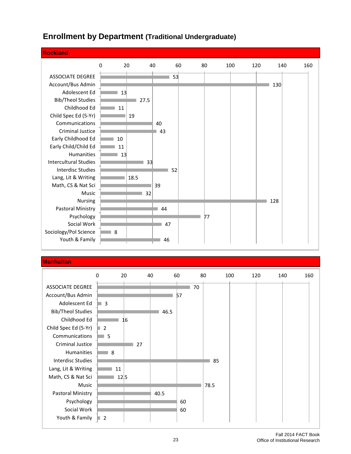#### **Rockland** 0 20 40 60 80 100 120 140 160 ASSOCIATE DEGREE 53 Account/Bus Admin  $130$ Adolescent Ed  $13$ Bib/Theol Studies  $\blacksquare$  27.5 Childhood Ed 11 man. Child Spec Ed (5-Yr) 19 ۰ Communications 40 Criminal Justice  $\blacksquare$  43 Early Childhood Ed 10 Early Child/Child Ed 11 Humanities 13 Intercultural Studies 33 Interdisc Studies 52 ٠ Lang, Lit & Writing 18.5 Math, CS & Nat Sci 39 Music 32 Nursing  $128$ Pastoral Ministry  $\blacksquare$  44 Psychology 77 Social Work 47 Sociology/Pol Science 8 Youth & Family  $-46$

#### **Enrollment by Department (Traditional Undergraduate)**

#### **Manhattan**

|                          | 0              | 20   | 40 |      | 60 | 80 |      | 100 | 120 | 140 | 160 |
|--------------------------|----------------|------|----|------|----|----|------|-----|-----|-----|-----|
| <b>ASSOCIATE DEGREE</b>  |                |      |    |      |    | 70 |      |     |     |     |     |
| Account/Bus Admin        |                |      |    |      | 57 |    |      |     |     |     |     |
| Adolescent Ed            | 3              |      |    |      |    |    |      |     |     |     |     |
| <b>Bib/Theol Studies</b> |                |      |    | 46.5 |    |    |      |     |     |     |     |
| Childhood Ed             |                | 16   |    |      |    |    |      |     |     |     |     |
| Child Spec Ed (5-Yr)     | $\overline{2}$ |      |    |      |    |    |      |     |     |     |     |
| Communications           | 5              |      |    |      |    |    |      |     |     |     |     |
| Criminal Justice         |                |      | 27 |      |    |    |      |     |     |     |     |
| Humanities               | 8              |      |    |      |    |    |      |     |     |     |     |
| <b>Interdisc Studies</b> |                |      |    |      |    |    | 85   |     |     |     |     |
| Lang, Lit & Writing      |                | 11   |    |      |    |    |      |     |     |     |     |
| Math, CS & Nat Sci       |                | 12 5 |    |      |    |    |      |     |     |     |     |
| Music                    |                |      |    |      |    |    | 78.5 |     |     |     |     |
| Pastoral Ministry        |                |      |    | 40.5 |    |    |      |     |     |     |     |
| Psychology               |                |      |    |      | 60 |    |      |     |     |     |     |
| Social Work              |                |      |    |      | 60 |    |      |     |     |     |     |
| Youth & Family           | $\overline{2}$ |      |    |      |    |    |      |     |     |     |     |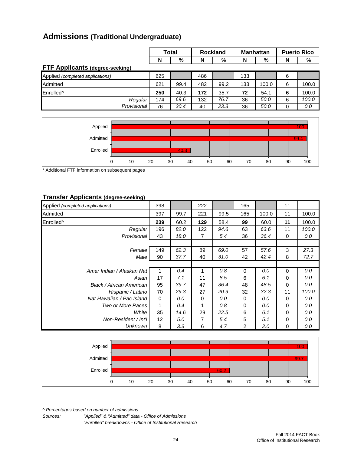## **Admissions (Traditional Undergraduate)**

|                                        | <b>Total</b> |      |     | <b>Rockland</b> |     | <b>Manhattan</b> | <b>Puerto Rico</b> |       |  |
|----------------------------------------|--------------|------|-----|-----------------|-----|------------------|--------------------|-------|--|
|                                        | N            | %    | N   | %               | N   | %                | N                  | %     |  |
| <b>FTF Applicants (degree-seeking)</b> |              |      |     |                 |     |                  |                    |       |  |
| Applied (completed applications)       | 625          |      | 486 |                 | 133 |                  | 6                  |       |  |
| Admitted                               | 621          | 99.4 | 482 | 99.2            | 133 | 100.0            | 6                  | 100.0 |  |
| Enrolled <sup>^</sup>                  | 250          | 40.3 | 172 | 35.7            | 72  | 54.1             | 6                  | 100.0 |  |
| Regular                                | 174          | 69.6 | 132 | 76.7            | 36  | 50.0             | 6                  | 100.0 |  |
| Provisional                            | 76           | 30.4 | 40  | 23.3            | 36  | 50.0             | 0                  | 0.0   |  |



\* Additional FTF information on subsequent pages

#### **Transfer Applicants (degree-seeking)**

| Applied <i>(completed applications)</i> | 398         |      | 222 |      | 165 |       | 11       |       |
|-----------------------------------------|-------------|------|-----|------|-----|-------|----------|-------|
| Admitted                                | 397         | 99.7 | 221 | 99.5 | 165 | 100.0 | 11       | 100.0 |
| Enrolled <sup>^</sup>                   | 239         | 60.2 | 129 | 58.4 | 99  | 60.0  | 11       | 100.0 |
| Regular                                 | 196         | 82.0 | 122 | 94.6 | 63  | 63.6  | 11       | 100.0 |
| <b>Provisional</b>                      | 43          | 18.0 | 7   | 5.4  | 36  | 36.4  | 0        | 0.0   |
|                                         |             |      |     |      |     |       |          |       |
| Female                                  | 149         | 62.3 | 89  | 69.0 | 57  | 57.6  | 3        | 27.3  |
| Male                                    | 90          | 37.7 | 40  | 31.0 | 42  | 42.4  | 8        | 72.7  |
|                                         |             |      |     |      |     |       |          |       |
| Amer Indian / Alaskan Natl              | 1           | 0.4  |     | 0.8  | 0   | 0.0   | 0        | 0.0   |
| Asian                                   | 17          | 7.1  | 11  | 8.5  | 6   | 6.1   | 0        | 0.0   |
| Black / African American                | 95          | 39.7 | 47  | 36.4 | 48  | 48.5  | 0        | 0.0   |
| Hispanic / Latino                       | 70          | 29.3 | 27  | 20.9 | 32  | 32.3  | 11       | 100.0 |
| Nat Hawaiian / Pac Island               | $\mathbf 0$ | 0.0  | 0   | 0.0  | 0   | 0.0   | 0        | 0.0   |
| Two or More Races                       | 1           | 0.4  | 1   | 0.8  | 0   | 0.0   | $\Omega$ | 0.0   |
| White                                   | 35          | 14.6 | 29  | 22.5 | 6   | 6.1   | 0        | 0.0   |
| Non-Resident / Int'l                    | 12          | 5.0  | 7   | 5.4  | 5   | 5.1   | 0        | 0.0   |
| <b>Unknown</b>                          | 8           | 3.3  | 6   | 4.7  | 2   | 2.0   | 0        | 0.0   |



*^ Percentages based on number of admissions*

*Sources: "Applied" & "Admitted" data - Office of Admissions "Enrolled" breakdowns - Office of Institutional Research*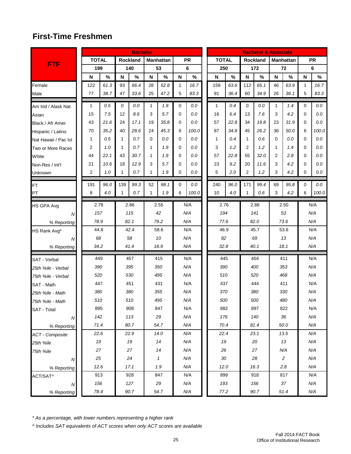## **First-Time Freshmen**

|                             |                |      |              | <b>Bachelor</b> |              |                  |   |            |              |      |                | <b>Bachelor &amp; Associate</b> |    |                  |   |            |
|-----------------------------|----------------|------|--------------|-----------------|--------------|------------------|---|------------|--------------|------|----------------|---------------------------------|----|------------------|---|------------|
|                             | <b>TOTAL</b>   |      |              | Rockland        |              | <b>Manhattan</b> |   | <b>PR</b>  | <b>TOTAL</b> |      |                | Rockland                        |    | <b>Manhattan</b> |   | <b>PR</b>  |
| <b>FTF</b>                  | 199            |      |              | 140             |              | 53               |   | 6          | 250          |      |                | 172                             |    | 72               |   | 6          |
|                             | N              | $\%$ | $\mathbf N$  | $\%$            | ${\sf N}$    | %                | N | $\%$       | N            | $\%$ | N              | $\%$                            | N  | $\%$             | N | $\%$       |
| Female                      | 122            | 61.3 | 93           | 66.4            | 28           | 52.8             | 1 | 16.7       | 159          | 63.6 | 112            | 65.1                            | 46 | 63.9             | 1 | 16.7       |
| Male                        | 77             | 38.7 | 47           | 33.6            | 25           | 47.2             | 5 | 83.3       | 91           | 36.4 | 60             | 34.9                            | 26 | 36.1             | 5 | 83.3       |
| Am Ind / Alask Nat          | $\mathbf{1}$   | 0.5  | 0            | 0.0             | 1            | 1.9              | 0 | 0.0        | 1            | 0.4  | $\mathbf 0$    | 0.0                             | 1  | 1.4              | 0 | 0.0        |
| Asian                       | 15             | 7.5  | 12           | 8.6             | 3            | 5.7              | 0 | 0.0        | 16           | 6.4  | 13             | 7.6                             | 3  | 4.2              | 0 | 0.0        |
| Black / Afr Amer            | 43             | 21.6 | 24           | 17.1            | 19           | 35.8             | 0 | 0.0        | 57           | 22.8 | 34             | 19.8                            | 23 | 31.9             | 0 | 0.0        |
| Hispanic / Latino           | 70             | 35.2 | 40           | 28.6            | 24           | 45.3             | 6 | 100.0      | 87           | 34.8 | 45             | 26.2                            | 36 | 50.0             | 6 | 100.0      |
| Nat Hawaii / Pac Isl        | 1              | 0.5  | 1            | 0.7             | 0            | 0.0              | 0 | 0.0        | 1            | 0.4  | $\mathbf{1}$   | 0.6                             | 0  | 0.0              | 0 | 0.0        |
| Two or More Races           | 2              | 1.0  | 1            | 0.7             | 1            | 1.9              | 0 | 0.0        | 3            | 1.2  | 2              | 1.2                             | 1  | 1.4              | 0 | 0.0        |
| White                       | 44             | 22.1 | 43           | 30.7            | 1            | 1.9              | 0 | 0.0        | 57           | 22.8 | 55             | 32.0                            | 2  | 2.8              | 0 | 0.0        |
| Non-Res / Int'l             | 21             | 10.6 | 18           | 12.9            | 3            | 5.7              | 0 | 0.0        | 23           | 9.2  | 20             | 11.6                            | 3  | 4.2              | 0 | 0.0        |
| Unknown                     | $\overline{2}$ | 1.0  | 1            | 0.7             | 1            | 1.9              | 0 | 0.0        | 5            | 2.0  | $\overline{2}$ | 1.2                             | 3  | 4.2              | 0 | 0.0        |
| <b>FT</b>                   | 191            | 96.0 | 139          | 99.3            | 52           | 98.1             | 0 | 0.0        | 240          | 96.0 | 171            | 99.4                            | 69 | 95.8             | 0 | 0.0        |
| PT                          | 8              | 4.0  | $\mathbf{1}$ | 0.7             | $\mathbf{1}$ | 1.9              | 6 | 100.0      | 10           | 4.0  | $\mathbf{1}$   | 0.6                             | 3  | 4.2              | 6 | 100.0      |
|                             | 2.78           |      |              | 2.86            |              | 2.55             |   | N/A        | 2.76         |      |                | 2.86                            |    | 2.50             |   | N/A        |
| <b>HS GPA Avg</b>           | 157            |      |              | 115             |              | 42               |   | N/A        | 194          |      |                | 141                             |    | 53               |   | N/A        |
| N.                          | 78.9           |      |              | 82.1            |              | 79.2             |   | N/A        | 77.6         |      |                | 82.0                            |    | 73.6             |   | N/A        |
| % Reporting<br>HS Rank Avg* | 44.8           |      |              | 42.4            |              | 58.6             |   | N/A        | 46.9         |      |                | 45.7                            |    | 53.6             |   | N/A        |
| Ν                           | 68             |      |              | 58              |              | 10               |   | N/A        | 82           |      |                | 69                              |    | 13               |   | N/A        |
| % Reporting                 | 34.2           |      |              | 41.4            |              | 18.9             |   | N/A        | 32.8         |      |                | 40.1                            |    | 18.1             |   | N/A        |
|                             |                |      |              |                 |              |                  |   |            |              |      |                |                                 |    |                  |   |            |
| SAT - Verbal                | 449            |      |              | 457             |              | 415              |   | N/A        | 445          |      |                | 454                             |    | 411              |   | N/A        |
| 25th %ile - Verbal          | 390            |      |              | 395             |              | 350              |   | N/A        | 390          |      |                | 400                             |    | 353              |   | N/A        |
| 75th %ile - Verbal          | 520            |      |              | 530             |              | 495              |   | N/A        | 510          |      |                | 520                             |    | 468              |   | N/A        |
| SAT - Math                  | 447            |      |              | 451             |              | 431              |   | N/A        | 437          |      |                | 444                             |    | 411              |   | N/A        |
| 25th %ile - Math            | 380            |      |              | 380             |              | 355              |   | N/A        | 370          |      |                | 380                             |    | 330              |   | N/A        |
| 75th %ile - Math            | 510            |      |              | 510             |              | 495              |   | N/A        | 500          |      |                | 500                             |    | 480              |   | N/A        |
| SAT - Total                 | 895            |      |              | 908             |              | 847              |   | N/A        | 882          |      |                | 897<br>140                      |    | 822<br>36        |   | N/A        |
| $\boldsymbol{N}$            | 142<br>71.4    |      |              | 113<br>80.7     |              | 29<br>54.7       |   | N/A<br>N/A | 176<br>70.4  |      |                | 81.4                            |    | 50.0             |   | N/A<br>N/A |
| % Reporting                 | 22.6           |      |              | 22.9            |              | 14.0             |   | N/A        | 22.4         |      |                | 23.1                            |    | 13.5             |   | N/A        |
| ACT - Composite             |                | 19   |              | 19              |              | 14               |   | N/A        | 19           |      |                | 20                              |    | 13               |   | N/A        |
| 25th %ile                   | 27             |      |              | 27              |              | 14               |   | N/A        | 26           |      |                | 27                              |    | N/A              |   | N/A        |
| 75th %ile                   | 25             |      |              | 24              |              | $\mathbf{1}$     |   | N/A        | 30           |      |                | 28                              |    | $\overline{c}$   |   | N/A        |
| N                           |                | 12.6 |              | 17.1            |              | 1.9              |   | N/A        | 12.0         |      |                | 16.3                            |    | 2.8              |   | N/A        |
| % Reporting<br>ACT/SAT^     | 913            |      |              | 928             |              | 847              |   | N/A        | 899          |      |                | 918                             |    | 817              |   | N/A        |
| ${\cal N}$                  | 156            |      |              | 127             |              | 29               |   | N/A        | 193          |      |                | 156                             |    | 37               |   | N/A        |
| % Reporting                 |                | 78.4 |              | $90.7\,$        |              | 54.7             |   | N/A        | 77.2         |      |                | $90.7$                          |    | 51.4             |   | N/A        |

*\* As a percentage, with lower numbers representing a higher rank*

*^ Includes SAT equivalents of ACT scores when only ACT scores are available*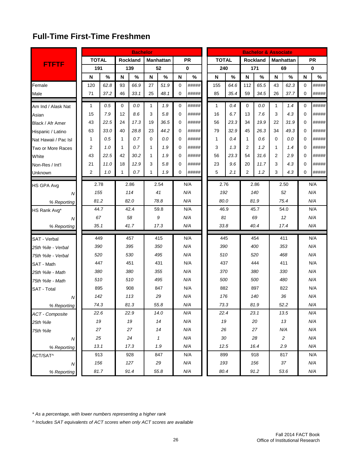## **Full-Time First-Time Freshmen**

|                        |              |      |              | <b>Bachelor</b> |    |                  |             |             |              |      |                | <b>Bachelor &amp; Associate</b> |              |                  |          |           |
|------------------------|--------------|------|--------------|-----------------|----|------------------|-------------|-------------|--------------|------|----------------|---------------------------------|--------------|------------------|----------|-----------|
|                        | <b>TOTAL</b> |      |              | Rockland        |    | <b>Manhattan</b> |             | <b>PR</b>   | <b>TOTAL</b> |      |                | <b>Rockland</b>                 |              | <b>Manhattan</b> |          | <b>PR</b> |
| <b>FTFTF</b>           | 191          |      |              | 139             |    | 52               |             | $\mathbf 0$ | 240          |      |                | 171                             |              | 69               |          | 0         |
|                        | N            | $\%$ | N            | $\%$            | N  | $\%$             | N           | $\%$        | $\mathbf N$  | $\%$ | N              | $\%$                            | N            | $\%$             | N        | $\%$      |
| Female                 | 120          | 62.8 | 93           | 66.9            | 27 | 51.9             | 0           | #####       | 155          | 64.6 | 112            | 65.5                            | 43           | 62.3             | 0        | #####     |
| Male                   | 71           | 37.2 | 46           | 33.1            | 25 | 48.1             | 0           | #####       | 85           | 35.4 | 59             | 34.5                            | 26           | 37.7             | 0        | #####     |
| Am Ind / Alask Nat     | 1            | 0.5  | 0            | 0.0             | 1  | 1.9              | 0           | #####       | 1            | 0.4  | $\Omega$       | 0.0                             | $\mathbf{1}$ | 1.4              | 0        | #####     |
| Asian                  | 15           | 7.9  | 12           | 8.6             | 3  | 5.8              | $\mathbf 0$ | #####       | 16           | 6.7  | 13             | 7.6                             | 3            | 4.3              | $\Omega$ | #####     |
| Black / Afr Amer       | 43           | 22.5 | 24           | 17.3            | 19 | 36.5             | 0           | #####       | 56           | 23.3 | 34             | 19.9                            | 22           | 31.9             | 0        | #####     |
| Hispanic / Latino      | 63           | 33.0 | 40           | 28.8            | 23 | 44.2             | 0           | #####       | 79           | 32.9 | 45             | 26.3                            | 34           | 49.3             | 0        | #####     |
| Nat Hawaii / Pac Isl   | 1            | 0.5  | $\mathbf{1}$ | 0.7             | 0  | 0.0              | 0           | #####       | 1            | 0.4  | $\mathbf{1}$   | 0.6                             | 0            | 0.0              | 0        | #####     |
| Two or More Races      | 2            | 1.0  | $\mathbf{1}$ | 0.7             | 1  | 1.9              | 0           | #####       | 3            | 1.3  | 2              | 1.2                             | 1            | 1.4              | 0        | #####     |
| White                  | 43           | 22.5 | 42           | 30.2            | 1  | 1.9              | 0           | #####       | 56           | 23.3 | 54             | 31.6                            | 2            | 2.9              | 0        | #####     |
| Non-Res / Int'l        | 21           | 11.0 | 18           | 12.9            | 3  | 5.8              | 0           | #####       | 23           | 9.6  | 20             | 11.7                            | 3            | 4.3              | 0        | #####     |
| Unknown                | 2            | 1.0  | 1            | 0.7             | 1  | 1.9              | 0           | #####       | 5            | 2.1  | $\overline{2}$ | 1.2                             | 3            | 4.3              | 0        | #####     |
| HS GPA Avg             |              | 2.78 |              | 2.86            |    | 2.54             |             | N/A         | 2.76         |      |                | 2.86                            |              | 2.50             |          | N/A       |
| N                      |              | 155  |              | 114             |    | 41               |             | N/A         | 192          |      |                | 140                             |              | 52               |          | N/A       |
| % Reporting            |              | 81.2 |              | 82.0            |    | 78.8             |             | N/A         | 80.0         |      |                | 81.9                            |              | 75.4             |          | N/A       |
| HS Rank Avg*           |              | 44.7 |              | 42.4            |    | 59.8             |             | N/A         | 46.9         |      |                | 45.7                            |              | 54.0             |          | N/A       |
| Ν                      |              | 67   |              | 58              |    | 9                |             | N/A         | 81           |      |                | 69                              |              | 12               |          | N/A       |
| % Reporting            |              | 35.1 |              | 41.7            |    | 17.3             |             | N/A         | 33.8         |      |                | 40.4                            |              | 17.4             |          | N/A       |
| <b>SAT</b> - Verbal    |              | 449  |              | 457             |    | 415              |             | N/A         | 445          |      |                | 454                             |              | 411              |          | N/A       |
| 25th %ile - Verbal     |              | 390  |              | 395             |    | 350              |             | N/A         | 390          |      |                | 400                             |              | 353              |          | N/A       |
| 75th %ile - Verbal     |              | 520  |              | 530             |    | 495              |             | N/A         | 510          |      |                | 520                             |              | 468              |          | N/A       |
| SAT - Math             |              | 447  |              | 451             |    | 431              |             | N/A         | 437          |      |                | 444                             |              | 411              |          | N/A       |
| 25th %ile - Math       |              | 380  |              | 380             |    | 355              |             | N/A         | 370          |      |                | 380                             |              | 330              |          | N/A       |
| 75th %ile - Math       |              | 510  |              | 510             |    | 495              |             | N/A         | 500          |      |                | 500                             |              | 480              |          | N/A       |
| <b>SAT</b> - Total     |              | 895  |              | 908             |    | 847              |             | N/A         | 882          |      |                | 897                             |              | 822              |          | N/A       |
| Ν                      |              | 142  |              | 113             |    | 29               |             | N/A         | 176          |      |                | 140                             |              | 36               |          | N/A       |
| % Reporting            |              | 74.3 |              | 81.3            |    | 55.8             |             | N/A         | 73.3         |      |                | 81.9                            |              | 52.2             |          | N/A       |
| <b>ACT</b> - Composite |              | 22.6 |              | 22.9            |    | 14.0             |             | N/A         | 22.4         |      |                | 23.1                            |              | 13.5             |          | N/A       |
| 25th %ile              |              | 19   |              | 19              |    | 14               |             | N/A         | 19           |      |                | 20                              |              | 13               |          | N/A       |
| 75th %ile              |              | 27   |              | 27              |    | 14               |             | N/A         | 26           |      |                | 27                              |              | N/A              |          | N/A       |
| N                      |              | 25   |              | 24              |    | $\mathbf{1}$     |             | N/A         | 30           |      |                | 28                              |              | $\overline{c}$   |          | N/A       |
| % Reporting            |              | 13.1 |              | 17.3            |    | 1.9              |             | N/A         | 12.5         |      |                | 16.4                            |              | 2.9              |          | N/A       |
| ACT/SAT^               |              | 913  |              | 928             |    | 847              |             | N/A         | 899          |      |                | 918                             |              | 817              |          | N/A       |
| ${\cal N}$             |              | 156  |              | 127             |    | 29               |             | N/A         | 193          |      |                | 156                             |              | 37               |          | N/A       |
| % Reporting            |              | 81.7 |              | 91.4            |    | 55.8             |             | N/A         | 80.4         |      |                | 91.2                            |              | 53.6             |          | N/A       |

*\* As a percentage, with lower numbers representing a higher rank*

*^ Includes SAT equivalents of ACT scores when only ACT scores are available*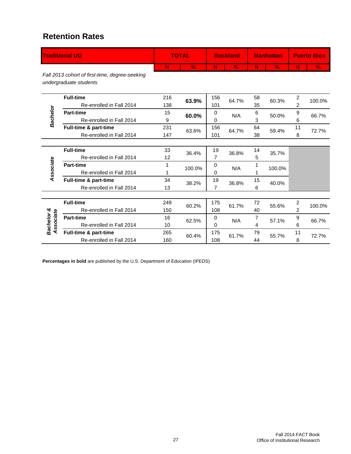#### **Retention Rates**

|                        | <b>Traditional UG</b>                                                    |     | <b>TOTAL</b> |                | <b>Rockland</b> |    | <b>Manhattan</b> |                | <b>Puerto Rico</b> |
|------------------------|--------------------------------------------------------------------------|-----|--------------|----------------|-----------------|----|------------------|----------------|--------------------|
|                        |                                                                          | N   | $\%$         | N              | $\%$            | N  | $\frac{9}{6}$    | N              | %                  |
|                        | Fall 2013 cohort of first-time, degree-seeking<br>undergraduate students |     |              |                |                 |    |                  |                |                    |
|                        | <b>Full-time</b>                                                         | 216 | 63.9%        | 156            | 64.7%           | 58 | 60.3%            | $\overline{c}$ |                    |
|                        | Re-enrolled in Fall 2014                                                 | 138 |              | 101            |                 | 35 |                  | $\overline{c}$ | 100.0%             |
|                        | <b>Part-time</b>                                                         | 15  | 60.0%        | 0              | N/A             | 6  | 50.0%            | 9              | 66.7%              |
| Bachelor               | Re-enrolled in Fall 2014                                                 | 9   |              | 0              |                 | 3  |                  | 6              |                    |
|                        | Full-time & part-time                                                    | 231 | 63.6%        | 156            | 64.7%           | 64 | 59.4%            | 11             | 72.7%              |
|                        | Re-enrolled in Fall 2014                                                 | 147 |              | 101            |                 | 38 |                  | 8              |                    |
|                        |                                                                          |     |              |                |                 |    |                  |                |                    |
|                        | <b>Full-time</b>                                                         | 33  | 36.4%        | 19             | 36.8%           | 14 | 35.7%            |                |                    |
|                        | Re-enrolled in Fall 2014                                                 | 12  |              | 7              |                 | 5  |                  |                |                    |
| Associate              | <b>Part-time</b>                                                         | 1   | 100.0%       | $\Omega$       | N/A             | 1  | 100.0%           |                |                    |
|                        | Re-enrolled in Fall 2014                                                 | 1   |              | 0              |                 |    |                  |                |                    |
|                        | Full-time & part-time                                                    | 34  | 38.2%        | 19             | 36.8%           | 15 | 40.0%            |                |                    |
|                        | Re-enrolled in Fall 2014                                                 | 13  |              | $\overline{7}$ |                 | 6  |                  |                |                    |
|                        |                                                                          |     |              |                |                 |    |                  |                |                    |
|                        | <b>Full-time</b>                                                         | 249 | 60.2%        | 175            | 61.7%           | 72 | 55.6%            | 2              | 100.0%             |
|                        | Re-enrolled in Fall 2014                                                 | 150 |              | 108            |                 | 40 |                  | $\overline{2}$ |                    |
|                        | <b>Part-time</b>                                                         | 16  | 62.5%        | 0              | N/A             | 7  | 57.1%            | 9              | 66.7%              |
| Bachelor &<br>ssociate | Re-enrolled in Fall 2014                                                 | 10  |              | 0              |                 | 4  |                  | 6              |                    |
| ₹                      | Full-time & part-time                                                    | 265 | 60.4%        | 175            | 61.7%           | 79 | 55.7%            | 11             | 72.7%              |
|                        | Re-enrolled in Fall 2014                                                 | 160 |              | 108            |                 | 44 |                  | 8              |                    |

**Percentages in bold** are published by the U.S. Department of Education (IPEDS)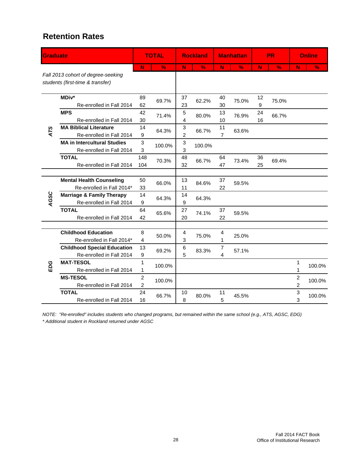#### **Retention Rates**

| <b>Graduate</b> |                                                                        |                                    | <b>TOTAL</b>  |          | <b>Rockland</b> |                      | <b>Manhattan</b> |          | <b>PR</b>     |                                  | <b>Online</b> |
|-----------------|------------------------------------------------------------------------|------------------------------------|---------------|----------|-----------------|----------------------|------------------|----------|---------------|----------------------------------|---------------|
|                 |                                                                        | N                                  | $\frac{9}{6}$ | N        | $\frac{9}{6}$   | N                    | $\frac{9}{6}$    | N        | $\frac{9}{6}$ | N.                               | $\frac{9}{6}$ |
|                 | Fall 2013 cohort of degree-seeking<br>students (first-time & transfer) |                                    |               |          |                 |                      |                  |          |               |                                  |               |
|                 | MDiv*<br>Re-enrolled in Fall 2014                                      | 89<br>62                           | 69.7%         | 37<br>23 | 62.2%           | 40<br>30             | 75.0%            | 12<br>9  | 75.0%         |                                  |               |
|                 | <b>MPS</b><br>Re-enrolled in Fall 2014                                 | 42<br>30                           | 71.4%         | 5<br>4   | 80.0%           | 13<br>10             | 76.9%            | 24<br>16 | 66.7%         |                                  |               |
| ATS             | <b>MA Biblical Literature</b><br>Re-enrolled in Fall 2014              | 14<br>9                            | 64.3%         | 3<br>2   | 66.7%           | 11<br>$\overline{7}$ | 63.6%            |          |               |                                  |               |
|                 | <b>MA in Intercultural Studies</b><br>Re-enrolled in Fall 2014         | $\mathsf 3$<br>3                   | 100.0%        | 3<br>3   | 100.0%          |                      |                  |          |               |                                  |               |
|                 | <b>TOTAL</b><br>Re-enrolled in Fall 2014                               | 148<br>104                         | 70.3%         | 48<br>32 | 66.7%           | 64<br>47             | 73.4%            | 36<br>25 | 69.4%         |                                  |               |
|                 |                                                                        |                                    |               |          |                 |                      |                  |          |               |                                  |               |
|                 | <b>Mental Health Counseling</b><br>Re-enrolled in Fall 2014*           | 50<br>33                           | 66.0%         | 13<br>11 | 84.6%           | 37<br>22             | 59.5%            |          |               |                                  |               |
| AGSC            | <b>Marriage &amp; Family Therapy</b><br>Re-enrolled in Fall 2014       | 14<br>9                            | 64.3%         | 14<br>9  | 64.3%           |                      |                  |          |               |                                  |               |
|                 | <b>TOTAL</b><br>Re-enrolled in Fall 2014                               | 64<br>42                           | 65.6%         | 27<br>20 | 74.1%           | 37<br>22             | 59.5%            |          |               |                                  |               |
|                 |                                                                        |                                    |               |          |                 |                      |                  |          |               |                                  |               |
|                 | <b>Childhood Education</b><br>Re-enrolled in Fall 2014*                | 8<br>$\overline{4}$                | 50.0%         | 4<br>3   | 75.0%           | 4<br>1               | 25.0%            |          |               |                                  |               |
|                 | <b>Childhood Special Education</b><br>Re-enrolled in Fall 2014         | 13<br>9                            | 69.2%         | 6<br>5   | 83.3%           | 7<br>4               | 57.1%            |          |               |                                  |               |
| EDG             | <b>MAT-TESOL</b><br>Re-enrolled in Fall 2014                           | 1<br>1                             | 100.0%        |          |                 |                      |                  |          |               | 1<br>1                           | 100.0%        |
|                 | <b>MS-TESOL</b><br>Re-enrolled in Fall 2014                            | $\boldsymbol{2}$<br>$\overline{c}$ | 100.0%        |          |                 |                      |                  |          |               | $\overline{c}$<br>$\overline{2}$ | 100.0%        |
|                 | <b>TOTAL</b><br>Re-enrolled in Fall 2014                               | 24<br>16                           | 66.7%         | 10<br>8  | 80.0%           | 11<br>5              | 45.5%            |          |               | 3<br>3                           | 100.0%        |

*NOTE: "Re-enrolled" includes students who changed programs, but remained within the same school (e.g., ATS, AGSC, EDG) \* Additional student in Rockland returned under AGSC*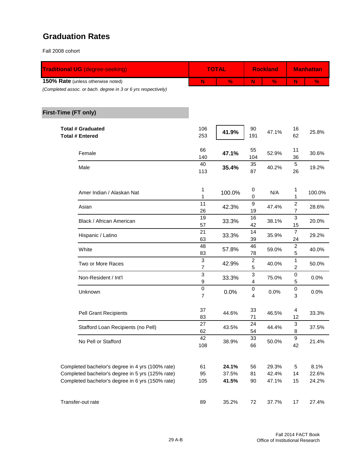## **Graduation Rates**

Fall 2008 cohort

| <b>Traditional UG (degree-seeking)</b>                                                               |                                | <b>TOTAL</b>   |                       | <b>Rockland</b> | <b>Manhattan</b>               |               |  |
|------------------------------------------------------------------------------------------------------|--------------------------------|----------------|-----------------------|-----------------|--------------------------------|---------------|--|
| 150% Rate (unless otherwise noted)<br>(Completed assoc. or bach. degree in 3 or 6 yrs respectively)  | N                              | $\frac{9}{6}$  | N                     | $\%$            | N                              | $\%$          |  |
| First-Time (FT only)                                                                                 |                                |                |                       |                 |                                |               |  |
| <b>Total # Graduated</b><br><b>Total # Entered</b>                                                   | 106<br>253                     | 41.9%          | 90<br>191             | 47.1%           | 16<br>62                       | 25.8%         |  |
| Female                                                                                               | 66<br>140                      | 47.1%          | 55<br>104             | 52.9%           | 11<br>36                       | 30.6%         |  |
| Male                                                                                                 | 40<br>113                      | 35.4%          | 35<br>87              | 40.2%           | $\,$ 5 $\,$<br>26              | 19.2%         |  |
| Amer Indian / Alaskan Nat                                                                            | 1<br>1                         | 100.0%         | $\boldsymbol{0}$<br>0 | N/A             | 1<br>1                         | 100.0%        |  |
| Asian                                                                                                | 11<br>26                       | 42.3%          | 9<br>19               | 47.4%           | $\boldsymbol{2}$<br>7          | 28.6%         |  |
| Black / African American                                                                             | 19<br>57                       | 33.3%          | 16<br>42              | 38.1%           | 3<br>15                        | 20.0%         |  |
| Hispanic / Latino                                                                                    | 21<br>63                       | 33.3%          | 14<br>39              | 35.9%           | $\overline{7}$<br>24           | 29.2%         |  |
| White                                                                                                | 48<br>83                       | 57.8%          | 46<br>78              | 59.0%           | 2<br>5                         | 40.0%         |  |
| Two or More Races                                                                                    | 3<br>7                         | 42.9%          | $\boldsymbol{2}$<br>5 | 40.0%           | 1<br>2                         | 50.0%         |  |
| Non-Resident / Int'l                                                                                 | $\ensuremath{\mathsf{3}}$<br>9 | 33.3%          | 3<br>4                | 75.0%           | 0<br>5                         | 0.0%          |  |
| Unknown                                                                                              | $\pmb{0}$<br>$\overline{7}$    | 0.0%           | $\,0\,$<br>4          | 0.0%            | $\,0\,$<br>3                   | 0.0%          |  |
| Pell Grant Recipients                                                                                | 37<br>83                       | 44.6%          | 33<br>71              | 46.5%           | 4<br>12                        | 33.3%         |  |
| Stafford Loan Recipients (no Pell)                                                                   | 27<br>62                       | 43.5%          | 24<br>54              | 44.4%           | $\ensuremath{\mathsf{3}}$<br>8 | 37.5%         |  |
| No Pell or Stafford                                                                                  | 42<br>108                      | 38.9%          | 33<br>66              | 50.0%           | $\boldsymbol{9}$<br>42         | 21.4%         |  |
| Completed bachelor's degree in 4 yrs (100% rate)<br>Completed bachelor's degree in 5 yrs (125% rate) | 61<br>95                       | 24.1%<br>37.5% | 56<br>81              | 29.3%<br>42.4%  | 5                              | 8.1%<br>22.6% |  |
| Completed bachelor's degree in 6 yrs (150% rate)                                                     | 105                            | 41.5%          | 90                    | 47.1%           | 14<br>15                       | 24.2%         |  |
| Transfer-out rate                                                                                    | 89                             | 35.2%          | 72                    | 37.7%           | 17                             | 27.4%         |  |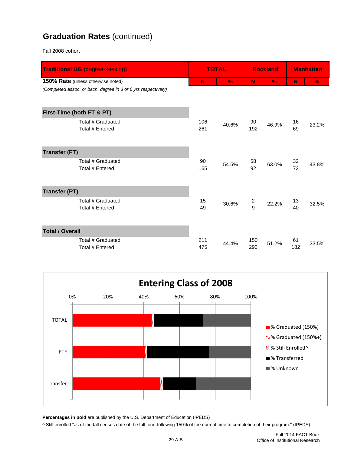## **Graduation Rates** (continued)

Fall 2008 cohort

| <b>Traditional UG (degree-seeking)</b>                        |            | <b>TOTAL</b> |                                           | <b>Rockland</b> |           | <b>Manhattan</b> |
|---------------------------------------------------------------|------------|--------------|-------------------------------------------|-----------------|-----------|------------------|
| 150% Rate (unless otherwise noted)                            | N          | $\%$         | N                                         | $\%$            | N         | $\frac{9}{6}$    |
| (Completed assoc. or bach. degree in 3 or 6 yrs respectively) |            |              |                                           |                 |           |                  |
| First-Time (both FT & PT)                                     |            |              |                                           |                 |           |                  |
| Total # Graduated<br>Total # Entered                          | 106<br>261 | 40.6%        | 90<br>192                                 | 46.9%           | 16<br>69  | 23.2%            |
| <b>Transfer (FT)</b>                                          |            |              |                                           |                 |           |                  |
| Total # Graduated<br>Total # Entered                          | 90<br>165  | 54.5%        | 58<br>92                                  | 63.0%           | 32<br>73  | 43.8%            |
| <b>Transfer (PT)</b>                                          |            |              |                                           |                 |           |                  |
| Total # Graduated<br>Total # Entered                          | 15<br>49   | 30.6%        | $\overline{\mathbf{c}}$<br>$\overline{9}$ | 22.2%           | 13<br>40  | 32.5%            |
| <b>Total / Overall</b>                                        |            |              |                                           |                 |           |                  |
| Total # Graduated<br>Total # Entered                          | 211<br>475 | 44.4%        | 150<br>293                                | 51.2%           | 61<br>182 | 33.5%            |



**Percentages in bold** are published by the U.S. Department of Education (IPEDS)

^ Still enrolled "as of the fall census date of the fall term following 150% of the normal time to completion of their program." (IPEDS)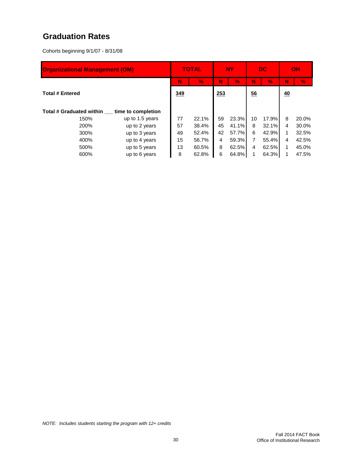## **Graduation Rates**

Cohorts beginning 9/1/07 - 8/31/08

| <b>Organizational Management (OM)</b> |                 |    | <b>TOTAL</b> |    | <b>NY</b>      | <b>DC</b> |       | OH |       |
|---------------------------------------|-----------------|----|--------------|----|----------------|-----------|-------|----|-------|
|                                       |                 | N  | $\%$         | N  | V.             | N         | V.    | N  | V.    |
| <b>Total # Entered</b>                | 349             |    | 253          |    | $\frac{56}{5}$ |           | 40    |    |       |
| Total # Graduated within              |                 |    |              |    |                |           |       |    |       |
| 150%                                  | up to 1.5 years | 77 | 22.1%        | 59 | 23.3%          | 10        | 17.9% | 8  | 20.0% |
| 200%                                  | up to 2 years   | 57 | 38.4%        | 45 | 41.1%          | 8         | 32.1% | 4  | 30.0% |
| 300%                                  | up to 3 years   | 49 | 52.4%        | 42 | 57.7%          | 6         | 42.9% | 1  | 32.5% |
| 400%                                  | up to 4 years   | 15 | 56.7%        | 4  | 59.3%          | 7         | 55.4% | 4  | 42.5% |
| 500%                                  | up to 5 years   | 13 | 60.5%        | 8  | 62.5%          | 4         | 62.5% | 1  | 45.0% |
| 600%                                  | up to 6 years   | 8  | 62.8%        | 6  | 64.8%          |           | 64.3% |    | 47.5% |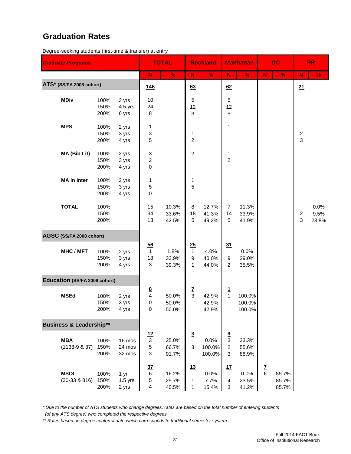#### **Graduation Rates**

Degree-seeking students (first-time & transfer) at entry

| <b>Graduate Programs</b>             |                      |                            |                                                            | <b>TOTAL</b>            |                              | <b>Rockland</b>          |                                                 | <b>Manhattan</b>           |               | <b>DC</b>               |                     | <b>PR</b>             |
|--------------------------------------|----------------------|----------------------------|------------------------------------------------------------|-------------------------|------------------------------|--------------------------|-------------------------------------------------|----------------------------|---------------|-------------------------|---------------------|-----------------------|
|                                      |                      |                            | N                                                          | $\frac{9}{6}$           | ${\sf N}$                    | $\frac{9}{6}$            | $\mathbf N$                                     | $\frac{0}{2}$              | $\mathbf N$   | $\%$                    | N                   | $\frac{9}{6}$         |
| ATS* (SS/FA 2008 cohort)             |                      |                            | 146                                                        |                         | 63                           |                          | 62                                              |                            |               |                         | 21                  |                       |
| <b>MDiv</b>                          | 100%<br>150%<br>200% | 3 yrs<br>4.5 yrs<br>6 yrs  | 10<br>24<br>8                                              |                         | 5<br>12<br>3                 |                          | 5<br>12<br>5                                    |                            |               |                         |                     |                       |
| <b>MPS</b>                           | 100%<br>150%<br>200% | 2 yrs<br>3 yrs<br>4 yrs    | 1<br>3<br>5                                                |                         | 1<br>$\overline{c}$          |                          | 1                                               |                            |               |                         | $\overline{c}$<br>3 |                       |
| MA (Bib Lit)                         | 100%<br>150%<br>200% | 2 yrs<br>3 yrs<br>4 yrs    | 3<br>2<br>$\mathsf 0$                                      |                         | $\overline{a}$               |                          | 1<br>$\overline{2}$                             |                            |               |                         |                     |                       |
| <b>MA</b> in Inter                   | 100%<br>150%<br>200% | 2 yrs<br>3 yrs<br>4 yrs    | 1<br>5<br>0                                                |                         | 1<br>5                       |                          |                                                 |                            |               |                         |                     |                       |
| <b>TOTAL</b>                         | 100%<br>150%<br>200% |                            | 15<br>34<br>13                                             | 10.3%<br>33.6%<br>42.5% | 8<br>18<br>5                 | 12.7%<br>41.3%<br>49.2%  | $\overline{7}$<br>14<br>5                       | 11.3%<br>33.9%<br>41.9%    |               |                         | $\overline{2}$<br>3 | 0.0%<br>9.5%<br>23.8% |
| AGSC (SS/FA 2008 cohort)             |                      |                            |                                                            |                         |                              |                          |                                                 |                            |               |                         |                     |                       |
| <b>MHC/MFT</b>                       | 100%<br>150%<br>200% | 2 yrs<br>3 yrs<br>4 yrs    | $\overline{56}$<br>$\mathbf{1}$<br>18<br>3                 | 1.8%<br>33.9%<br>39.3%  | 25<br>$\mathbf{1}$<br>9<br>1 | 4.0%<br>40.0%<br>44.0%   | 31<br>9<br>2                                    | 0.0%<br>29.0%<br>35.5%     |               |                         |                     |                       |
| <b>Education (SS/FA 2008 cohort)</b> |                      |                            |                                                            |                         |                              |                          |                                                 |                            |               |                         |                     |                       |
| <b>MSEd</b>                          | 100%<br>150%<br>200% | 2 yrs<br>3 yrs<br>4 yrs    | $\frac{8}{4}$<br>0<br>0                                    | 50.0%<br>50.0%<br>50.0% | $rac{7}{3}$                  | 42.9%<br>42.9%<br>42.9%  | $\mathbf{1}$<br>$\mathbf{1}$                    | 100.0%<br>100.0%<br>100.0% |               |                         |                     |                       |
| <b>Business &amp; Leadership**</b>   |                      |                            |                                                            |                         |                              |                          |                                                 |                            |               |                         |                     |                       |
| <b>MBA</b><br>$(1138-9 & 37)$        | 100%<br>150%<br>200% | 16 mos<br>24 mos<br>32 mos | <u>12</u><br>$\ensuremath{\mathsf{3}}$<br>$\mathbf 5$<br>3 | 25.0%<br>66.7%<br>91.7% | $\overline{3}$<br>3          | 0.0%<br>100.0%<br>100.0% | $\frac{9}{3}$<br>$\overline{c}$<br>$\mathbf{3}$ | 33.3%<br>55.6%<br>88.9%    |               |                         |                     |                       |
| <b>MSOL</b><br>$(30-33 & 8816)$      | 100%<br>150%<br>200% | 1 yr<br>$1.5$ yrs<br>2 yrs | 37<br>$\,6$<br>$\mathbf 5$<br>$\overline{\mathbf{4}}$      | 16.2%<br>29.7%<br>40.5% | 13<br>1<br>1                 | 0.0%<br>7.7%<br>15.4%    | <u>17</u><br>4<br>$\ensuremath{\mathsf{3}}$     | 0.0%<br>23.5%<br>41.2%     | $\frac{7}{6}$ | 85.7%<br>85.7%<br>85.7% |                     |                       |

*\* Due to the number of ATS students who change degrees, rates are based on the total number of entering students*

 *(of any ATS degree) who completed the respective degrees*

*\*\* Rates based on degree conferral date which corresponds to traditional semester system*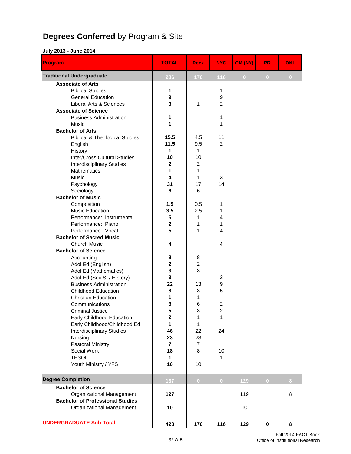# **Degrees Conferred** by Program & Site

#### **July 2013 - June 2014**

| Program                                   | <b>TOTAL</b>         | <b>Rock</b>         | <b>NYC</b>              | OM (NY)      | <b>PR</b>      | <b>ONL</b> |
|-------------------------------------------|----------------------|---------------------|-------------------------|--------------|----------------|------------|
| <b>Traditional Undergraduate</b>          | 286                  | 170                 | 116                     | $\mathbf{0}$ | $\overline{0}$ | $\bf{0}$   |
| <b>Associate of Arts</b>                  |                      |                     |                         |              |                |            |
| <b>Biblical Studies</b>                   | 1                    |                     | 1                       |              |                |            |
| <b>General Education</b>                  | 9                    |                     | 9                       |              |                |            |
| Liberal Arts & Sciences                   | 3                    | 1                   | $\overline{2}$          |              |                |            |
| <b>Associate of Science</b>               |                      |                     |                         |              |                |            |
| <b>Business Administration</b>            | 1                    |                     | 1                       |              |                |            |
| Music                                     | 1                    |                     | 1                       |              |                |            |
| <b>Bachelor of Arts</b>                   |                      |                     |                         |              |                |            |
| <b>Biblical &amp; Theological Studies</b> | 15.5                 | 4.5                 | 11                      |              |                |            |
| English                                   | 11.5                 | 9.5                 | $\overline{2}$          |              |                |            |
| History                                   | 1                    | 1                   |                         |              |                |            |
| <b>Inter/Cross Cultural Studies</b>       | 10                   | 10                  |                         |              |                |            |
| <b>Interdisciplinary Studies</b>          | 2                    | $\overline{c}$<br>1 |                         |              |                |            |
| <b>Mathematics</b><br><b>Music</b>        | 1<br>4               | 1                   | 3                       |              |                |            |
| Psychology                                | 31                   | 17                  | 14                      |              |                |            |
| Sociology                                 | 6                    | 6                   |                         |              |                |            |
| <b>Bachelor of Music</b>                  |                      |                     |                         |              |                |            |
| Composition                               | 1.5                  | 0.5                 | 1                       |              |                |            |
| Music Education                           | 3.5                  | 2.5                 | 1                       |              |                |            |
| Performance: Instrumental                 | 5                    | 1                   | $\overline{4}$          |              |                |            |
| Performance: Piano                        | $\mathbf{2}$         | 1                   | 1                       |              |                |            |
| Performance: Vocal                        | 5                    | 1                   | $\overline{\mathbf{4}}$ |              |                |            |
| <b>Bachelor of Sacred Music</b>           |                      |                     |                         |              |                |            |
| <b>Church Music</b>                       | 4                    |                     | 4                       |              |                |            |
| <b>Bachelor of Science</b>                |                      |                     |                         |              |                |            |
| Accounting                                | 8                    | 8                   |                         |              |                |            |
| Adol Ed (English)                         | $\bf 2$              | $\boldsymbol{2}$    |                         |              |                |            |
| Adol Ed (Mathematics)                     | 3                    | 3                   |                         |              |                |            |
| Adol Ed (Soc St / History)                | 3                    |                     | 3                       |              |                |            |
| <b>Business Administration</b>            | 22                   | 13                  | 9                       |              |                |            |
| <b>Childhood Education</b>                | 8                    | 3                   | 5                       |              |                |            |
| <b>Christian Education</b>                | 1                    | 1                   |                         |              |                |            |
| Communications                            | 8                    | 6                   | $\overline{c}$          |              |                |            |
| <b>Criminal Justice</b>                   | 5                    | 3                   | $\overline{2}$          |              |                |            |
| Early Childhood Education                 | $\mathbf 2$          | 1                   | 1                       |              |                |            |
| Early Childhood/Childhood Ed              | 1                    | 1                   |                         |              |                |            |
| <b>Interdisciplinary Studies</b>          | 46                   | 22                  | 24                      |              |                |            |
| Nursing                                   | 23                   | 23                  |                         |              |                |            |
| Pastoral Ministry                         | $\overline{7}$<br>18 | $\overline{7}$<br>8 |                         |              |                |            |
| Social Work<br><b>TESOL</b>               | $\mathbf{1}$         |                     | 10<br>1                 |              |                |            |
| Youth Ministry / YFS                      | 10                   | 10                  |                         |              |                |            |
|                                           |                      |                     |                         |              |                |            |
| <b>Degree Completion</b>                  | 137                  | $\overline{0}$      | $\overline{0}$          | 129          | $\overline{0}$ | 8          |
| <b>Bachelor of Science</b>                |                      |                     |                         |              |                |            |
| Organizational Management                 | 127                  |                     |                         | 119          |                | 8          |
| <b>Bachelor of Professional Studies</b>   |                      |                     |                         |              |                |            |
| Organizational Management                 | 10                   |                     |                         | 10           |                |            |
| <b>UNDERGRADUATE Sub-Total</b>            | 423                  | 170                 | 116                     | 129          | $\pmb{0}$      | 8          |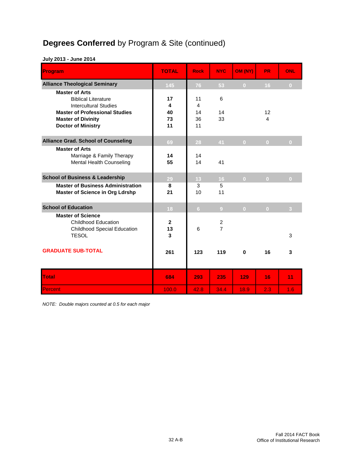# **Degrees Conferred** by Program & Site (continued)

#### **July 2013 - June 2014**

| Program                                                                                                                                                                                | <b>TOTAL</b>              | <b>Rock</b>                            | <b>NYC</b>                       | OM (NY)        | PR.            | <b>ONL</b>     |
|----------------------------------------------------------------------------------------------------------------------------------------------------------------------------------------|---------------------------|----------------------------------------|----------------------------------|----------------|----------------|----------------|
| <b>Alliance Theological Seminary</b>                                                                                                                                                   | 145                       | 76                                     | 53                               | $\overline{0}$ | 16             | $\overline{0}$ |
| <b>Master of Arts</b><br><b>Biblical Literature</b><br><b>Intercultural Studies</b><br><b>Master of Professional Studies</b><br><b>Master of Divinity</b><br><b>Doctor of Ministry</b> | 17<br>4<br>40<br>73<br>11 | 11<br>$\overline{4}$<br>14<br>36<br>11 | 6<br>14<br>33                    |                | 12<br>4        |                |
| <b>Alliance Grad. School of Counseling</b>                                                                                                                                             | 69                        | 28                                     | 41                               | $\overline{0}$ | $\overline{0}$ | $\overline{0}$ |
| <b>Master of Arts</b><br>Marriage & Family Therapy<br>Mental Health Counseling                                                                                                         | 14<br>55                  | 14<br>14                               | 41                               |                |                |                |
| <b>School of Business &amp; Leadership</b>                                                                                                                                             | 29                        | 13                                     | 16                               | $\overline{0}$ | $\overline{0}$ | $\overline{0}$ |
| <b>Master of Business Administration</b><br><b>Master of Science in Org Ldrshp</b>                                                                                                     | 8<br>21                   | 3<br>10                                | 5<br>11                          |                |                |                |
| <b>School of Education</b>                                                                                                                                                             | 18                        | 6 <sup>1</sup>                         | 9                                | $\overline{0}$ | $\overline{0}$ | 3              |
| <b>Master of Science</b><br><b>Childhood Education</b><br><b>Childhood Special Education</b><br><b>TESOL</b>                                                                           | $\mathbf{2}$<br>13<br>3   | 6                                      | $\overline{c}$<br>$\overline{7}$ |                |                | 3              |
| <b>GRADUATE SUB-TOTAL</b>                                                                                                                                                              | 261                       | 123                                    | 119                              | $\bf{0}$       | 16             | 3              |
| Total                                                                                                                                                                                  | 684                       | 293                                    | 235                              | 129            | 16             | 11             |
| Percent                                                                                                                                                                                | 100.0                     | 42.8                                   | 34.4                             | 18.9           | 2.3            | 1.6            |

*NOTE: Double majors counted at 0.5 for each major*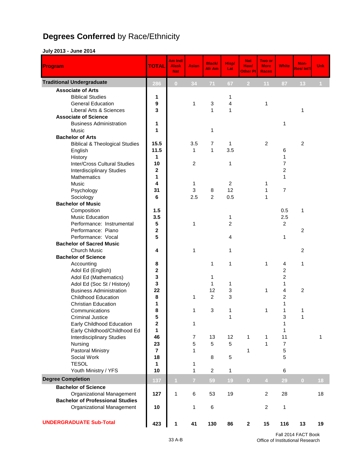# **Degrees Conferred** by Race/Ethnicity

#### **July 2013 - June 2014**

| Program                                   | <b>TOTAL</b>            | Am Ind/<br><b>Alask</b><br><b>Nat</b> | <b>Asian</b>   | <b>Black/</b><br>Afr Am | <b>Hisp/</b><br>Lat | <b>Nat</b><br>Haw/<br>Other PI | Two or<br><b>More</b><br><b>Races</b> | <b>White</b>   | Non-<br><b>Res/Int'll</b> | Unk            |
|-------------------------------------------|-------------------------|---------------------------------------|----------------|-------------------------|---------------------|--------------------------------|---------------------------------------|----------------|---------------------------|----------------|
| <b>Traditional Undergraduate</b>          | 286                     | $\overline{0}$                        | 34             | 71                      | 67                  | 2 <sup>1</sup>                 | 11                                    | 87             | 13                        | $\blacksquare$ |
| <b>Associate of Arts</b>                  |                         |                                       |                |                         |                     |                                |                                       |                |                           |                |
| <b>Biblical Studies</b>                   | 1                       |                                       |                |                         | 1                   |                                |                                       |                |                           |                |
| <b>General Education</b>                  | 9                       |                                       | 1              | 3                       | 4                   |                                | 1                                     |                |                           |                |
| Liberal Arts & Sciences                   | 3                       |                                       |                | 1                       | $\mathbf{1}$        |                                |                                       |                | $\mathbf{1}$              |                |
| <b>Associate of Science</b>               |                         |                                       |                |                         |                     |                                |                                       |                |                           |                |
| <b>Business Administration</b>            | 1                       |                                       |                |                         |                     |                                |                                       | 1              |                           |                |
| Music                                     | 1                       |                                       |                | 1                       |                     |                                |                                       |                |                           |                |
| <b>Bachelor of Arts</b>                   |                         |                                       |                |                         |                     |                                |                                       |                |                           |                |
| <b>Biblical &amp; Theological Studies</b> | 15.5                    |                                       | 3.5            | 7                       | 1                   |                                | 2                                     |                | $\overline{2}$            |                |
| English                                   | 11.5                    |                                       | 1              | $\mathbf{1}$            | 3.5                 |                                |                                       | 6              |                           |                |
| History                                   | 1                       |                                       |                |                         |                     |                                |                                       | 1              |                           |                |
| <b>Inter/Cross Cultural Studies</b>       | 10                      |                                       | 2              |                         | $\mathbf{1}$        |                                |                                       | 7              |                           |                |
| <b>Interdisciplinary Studies</b>          | 2                       |                                       |                |                         |                     |                                |                                       | 2              |                           |                |
| Mathematics                               | 1                       |                                       |                |                         |                     |                                |                                       | 1              |                           |                |
| <b>Music</b>                              | 4                       |                                       | 1              |                         | 2                   |                                | 1                                     |                |                           |                |
| Psychology                                | 31                      |                                       | 3              | 8                       | 12                  |                                | 1                                     | $\overline{7}$ |                           |                |
| Sociology                                 | 6                       |                                       | 2.5            | $\overline{c}$          | 0.5                 |                                | 1                                     |                |                           |                |
| <b>Bachelor of Music</b>                  |                         |                                       |                |                         |                     |                                |                                       |                |                           |                |
| Composition                               | 1.5                     |                                       |                |                         |                     |                                |                                       | 0.5            | 1                         |                |
| <b>Music Education</b>                    | 3.5                     |                                       |                |                         | 1                   |                                |                                       | 2.5            |                           |                |
| Performance: Instrumental                 | 5                       |                                       | $\mathbf{1}$   |                         | $\overline{2}$      |                                |                                       | $\overline{2}$ |                           |                |
| Performance: Piano                        | $\overline{2}$          |                                       |                |                         |                     |                                |                                       |                | $\overline{c}$            |                |
| Performance: Vocal                        | 5                       |                                       |                |                         | 4                   |                                |                                       | 1              |                           |                |
| <b>Bachelor of Sacred Music</b>           |                         |                                       |                |                         |                     |                                |                                       |                |                           |                |
| <b>Church Music</b>                       | 4                       |                                       | $\mathbf{1}$   |                         | 1                   |                                |                                       |                | $\overline{2}$            |                |
| <b>Bachelor of Science</b>                |                         |                                       |                |                         |                     |                                |                                       |                |                           |                |
| Accounting                                | 8                       |                                       |                | 1                       | 1                   |                                | 1                                     | 4              | 1                         |                |
| Adol Ed (English)                         | $\mathbf 2$             |                                       |                |                         |                     |                                |                                       | 2              |                           |                |
| Adol Ed (Mathematics)                     | 3                       |                                       |                | 1                       |                     |                                |                                       | 2              |                           |                |
| Adol Ed (Soc St / History)                | 3                       |                                       |                | 1                       | 1                   |                                |                                       | 1              |                           |                |
| <b>Business Administration</b>            | 22                      |                                       |                | 12                      | 3                   |                                | 1                                     | 4              | $\overline{c}$            |                |
| <b>Childhood Education</b>                | 8                       |                                       | 1              | 2                       | 3                   |                                |                                       | 2              |                           |                |
| <b>Christian Education</b>                | 1                       |                                       |                |                         |                     |                                |                                       | 1              |                           |                |
| Communications                            | 8                       |                                       | 1              | 3                       | 1                   |                                | 1                                     | 1              | 1                         |                |
| <b>Criminal Justice</b>                   | 5                       |                                       |                |                         | 1                   |                                |                                       | 3              | 1                         |                |
| Early Childhood Education                 | 2                       |                                       | 1              |                         |                     |                                |                                       | 1              |                           |                |
| Early Childhood/Childhood Ed              | 1                       |                                       |                |                         |                     |                                |                                       | 1              |                           |                |
| <b>Interdisciplinary Studies</b>          | 46                      |                                       | 7              | 13                      | 12                  | $\mathbf{1}$                   | 1                                     | 11             |                           | 1              |
| Nursing                                   | 23                      |                                       | 5              | 5                       | 5                   |                                | $\mathbf{1}$                          | $\overline{7}$ |                           |                |
| Pastoral Ministry                         | $\overline{\mathbf{r}}$ |                                       | 1              |                         |                     | 1                              |                                       | 5              |                           |                |
| Social Work                               | 18                      |                                       |                | 8                       | 5                   |                                |                                       | 5              |                           |                |
| <b>TESOL</b>                              | 1                       |                                       | 1              |                         |                     |                                |                                       |                |                           |                |
| Youth Ministry / YFS                      | 10                      |                                       | $\mathbf{1}$   | $\overline{c}$          | $\mathbf{1}$        |                                |                                       | 6              |                           |                |
| <b>Degree Completion</b>                  | 137                     | $\mathbf{1}$                          | $\overline{7}$ | 59                      | 19                  | $\bf{0}$                       | $\overline{4}$                        | 29             | $\bf{0}$                  | 18             |
| <b>Bachelor of Science</b>                |                         |                                       |                |                         |                     |                                |                                       |                |                           |                |
| Organizational Management                 | 127                     | 1                                     | 6              | 53                      | 19                  |                                | $\overline{2}$                        | 28             |                           | 18             |
| <b>Bachelor of Professional Studies</b>   |                         |                                       |                |                         |                     |                                |                                       |                |                           |                |
| Organizational Management                 | 10                      |                                       | 1              | 6                       |                     |                                | 2                                     | 1              |                           |                |
| <b>UNDERGRADUATE Sub-Total</b>            | 423                     | 1                                     | 41             | 130                     | 86                  | $\mathbf{2}$                   | 15                                    | 116            | 13                        | 19             |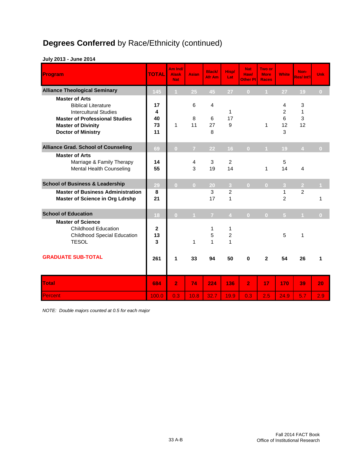# **Degrees Conferred** by Race/Ethnicity (continued)

| Program                                                                                                                                                                                | <b>TOTAL</b>              | Am Ind/<br><b>Alask</b><br><b>Nat</b> | <b>Asian</b>   | <b>Black/</b><br>Afr Am | Hisp/<br>Lat                   | <b>Nat</b><br><b>Haw/</b><br>Other PI İ | Two or<br><b>More</b><br><b>Races</b> | <b>White</b>                        | Non-<br><b>Res/Int'll</b> | Unk            |
|----------------------------------------------------------------------------------------------------------------------------------------------------------------------------------------|---------------------------|---------------------------------------|----------------|-------------------------|--------------------------------|-----------------------------------------|---------------------------------------|-------------------------------------|---------------------------|----------------|
| <b>Alliance Theological Seminary</b>                                                                                                                                                   | 145                       |                                       | 25             | 45                      | 27                             | $\overline{0}$                          |                                       | 27                                  | 19                        | $\overline{0}$ |
| <b>Master of Arts</b><br><b>Biblical Literature</b><br><b>Intercultural Studies</b><br><b>Master of Professional Studies</b><br><b>Master of Divinity</b><br><b>Doctor of Ministry</b> | 17<br>4<br>40<br>73<br>11 | 1                                     | 6<br>8<br>11   | 4<br>6<br>27<br>8       | 1<br>17<br>9                   |                                         | 1                                     | 4<br>$\overline{c}$<br>6<br>12<br>3 | 3<br>1<br>3<br>12         |                |
| <b>Alliance Grad. School of Counseling</b>                                                                                                                                             | 69                        | $\overline{0}$                        | $\overline{7}$ | 22                      | 16                             | $\overline{0}$                          | $\mathbf{1}$                          | 19                                  | $\overline{4}$            | $\bf{0}$       |
| <b>Master of Arts</b><br>Marriage & Family Therapy<br><b>Mental Health Counseling</b>                                                                                                  | 14<br>55                  |                                       | 4<br>3         | 3<br>19                 | $\overline{2}$<br>14           |                                         | 1                                     | 5<br>14                             | 4                         |                |
| <b>School of Business &amp; Leadership</b>                                                                                                                                             | 29                        | $\overline{0}$                        | $\overline{0}$ | 20                      | 3                              | $\overline{0}$                          | $\overline{0}$                        | $\overline{3}$                      | $\overline{2}$            |                |
| <b>Master of Business Administration</b><br><b>Master of Science in Org Ldrshp</b>                                                                                                     | 8<br>21                   |                                       |                | 3<br>17                 | $\overline{2}$<br>$\mathbf{1}$ |                                         |                                       | 1<br>$\overline{2}$                 | $\overline{2}$            | 1              |
| <b>School of Education</b>                                                                                                                                                             | 18                        | $\overline{0}$                        | $\overline{1}$ | $\overline{7}$          | $\overline{4}$                 | $\overline{0}$                          | $\overline{\mathbf{0}}$               | 5 <sup>5</sup>                      | $\overline{1}$            | $\overline{0}$ |
| <b>Master of Science</b><br><b>Childhood Education</b><br><b>Childhood Special Education</b><br><b>TESOL</b>                                                                           | 2<br>13<br>3              |                                       | 1              | 1<br>5<br>$\mathbf{1}$  | 1<br>$\overline{c}$<br>1       |                                         |                                       | 5                                   | $\mathbf{1}$              |                |
| <b>GRADUATE SUB-TOTAL</b>                                                                                                                                                              | 261                       | 1                                     | 33             | 94                      | 50                             | $\bf{0}$                                | $\mathbf{2}$                          | 54                                  | 26                        | 1              |
| <b>Total</b>                                                                                                                                                                           | 684                       | $\overline{2}$                        | 74             | 224                     | 136                            | $\overline{2}$                          | 17                                    | 170                                 | 39                        | 20             |
| Percent                                                                                                                                                                                | 100.0                     | 0.3                                   | 10.8           | 32.7                    | 19.9                           | 0.3                                     | 2.5                                   | 24.9                                | 5.7                       | 2.9            |

#### **July 2013 - June 2014**

*NOTE: Double majors counted at 0.5 for each major*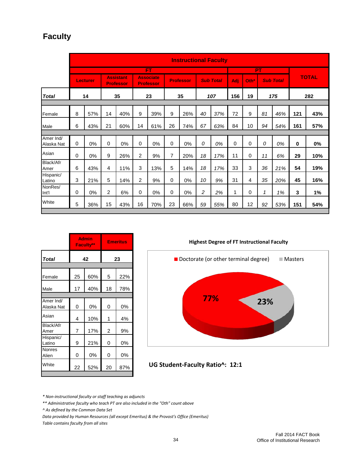## **Faculty**

|                         |          |                 |             |                                      |                |                                      |    | <b>Instructional Faculty</b> |    |                  |             |                  |           |                  |          |              |
|-------------------------|----------|-----------------|-------------|--------------------------------------|----------------|--------------------------------------|----|------------------------------|----|------------------|-------------|------------------|-----------|------------------|----------|--------------|
|                         |          |                 |             |                                      |                | FT                                   |    |                              |    |                  |             |                  | <b>PT</b> |                  |          |              |
|                         |          | <b>Lecturer</b> |             | <b>Assistant</b><br><b>Professor</b> |                | <b>Associate</b><br><b>Professor</b> |    | <b>Professor</b>             |    | <b>Sub Total</b> | Adj         | Oth <sup>*</sup> |           | <b>Sub Total</b> |          | <b>TOTAL</b> |
| <b>Total</b>            |          | 14              |             | 35                                   |                | 23                                   |    | 35                           |    | 107              | 156         | 19               |           | 175              |          | 282          |
|                         |          |                 |             |                                      |                |                                      |    |                              |    |                  |             |                  |           |                  |          |              |
| Female                  | 8        | 57%             | 14          | 40%                                  | 9              | 39%                                  | 9  | 26%                          | 40 | 37%              | 72          | 9                | 81        | 46%              | 121      | 43%          |
| Male                    | 6        | 43%             | 21          | 60%                                  | 14             | 61%                                  | 26 | 74%                          | 67 | 63%              | 84          | 10               | 94        | 54%              | 161      | 57%          |
|                         |          |                 |             |                                      |                |                                      |    |                              |    |                  |             |                  |           |                  |          |              |
| Amer Ind/<br>Alaska Nat | 0        | 0%              | $\mathbf 0$ | 0%                                   | 0              | 0%                                   | 0  | 0%                           | 0  | 0%               | $\mathbf 0$ | 0                | 0         | 0%               | $\bf{0}$ | 0%           |
| Asian                   | $\Omega$ | 0%              | 9           | 26%                                  | $\overline{c}$ | 9%                                   | 7  | 20%                          | 18 | 17%              | 11          | 0                | 11        | 6%               | 29       | 10%          |
| Black/Afr<br>Amer       | 6        | 43%             | 4           | 11%                                  | 3              | 13%                                  | 5  | 14%                          | 18 | 17%              | 33          | 3                | 36        | 21%              | 54       | 19%          |
| Hispanic/<br>Latino     | 3        | 21%             | 5           | 14%                                  | $\overline{2}$ | 9%                                   | 0  | 0%                           | 10 | 9%               | 31          | 4                | 35        | 20%              | 45       | 16%          |
| NonRes/<br>Int'l        | 0        | 0%              | 2           | 6%                                   | 0              | 0%                                   | 0  | 0%                           | 2  | 2%               | 1           | 0                | 1         | 1%               | 3        | 1%           |
| White                   | 5        | 36%             | 15          | 43%                                  | 16             | 70%                                  | 23 | 66%                          | 59 | 55%              | 80          | 12               | 92        | 53%              | 151      | 54%          |

|                         |           | <b>Admin</b><br>Faculty** |                | <b>Emeritus</b> |  |  |  |  |  |  |  |
|-------------------------|-----------|---------------------------|----------------|-----------------|--|--|--|--|--|--|--|
| <b>Total</b>            |           | 42                        |                | 23              |  |  |  |  |  |  |  |
|                         |           |                           |                |                 |  |  |  |  |  |  |  |
| Female                  | 25        | 60%                       | 5              | 22%             |  |  |  |  |  |  |  |
| Male                    | 40%<br>17 |                           | 18             | 78%             |  |  |  |  |  |  |  |
|                         |           |                           |                |                 |  |  |  |  |  |  |  |
| Amer Ind/<br>Alaska Nat | 0         | 0%                        | 0              | 0%              |  |  |  |  |  |  |  |
| Asian                   | 4         | 10%                       | 1              | 4%              |  |  |  |  |  |  |  |
| Black/Afr<br>Amer       | 7         | 17%                       | $\overline{c}$ | 9%              |  |  |  |  |  |  |  |
| Hispanic/<br>Latino     | 9         | 21%                       | 0              | 0%              |  |  |  |  |  |  |  |
| Nonres<br>Alien         | 0         | 0%                        | 0              | 0%              |  |  |  |  |  |  |  |
| White                   | 22        | 52%                       | 20             | 87%             |  |  |  |  |  |  |  |
|                         |           |                           |                |                 |  |  |  |  |  |  |  |

**Highest Degree of FT Instructional Faculty**



#### **UG Student-Faculty Ratio^: 12:1**

*\* Non-instructional faculty or staff teaching as adjuncts*

*\*\* Administrative faculty who teach PT are also included in the "Oth" count above*

*^ As defined by the Common Data Set*

*Data provided by Human Resources (all except Emeritus) & the Provost's Office (Emeritus) Table contains faculty from all sites*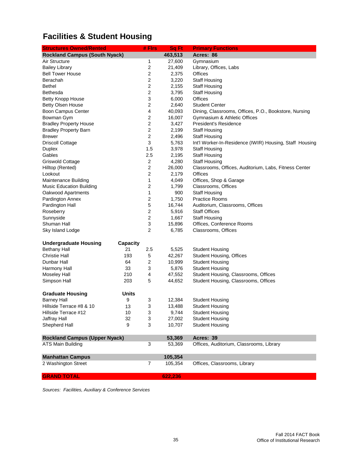# **Facilities & Student Housing**

| <b>Structures Owned/Rented</b>       |                 | # Firs                  | Sq Ft   | <b>Primary Functions</b>                                |
|--------------------------------------|-----------------|-------------------------|---------|---------------------------------------------------------|
| <b>Rockland Campus (South Nyack)</b> |                 |                         | 463,513 | Acres: 86                                               |
| Air Structure                        |                 | 1                       | 27,600  | Gymnasium                                               |
| <b>Bailey Library</b>                |                 | 2                       | 21,409  | Library, Offices, Labs                                  |
| <b>Bell Tower House</b>              |                 | $\boldsymbol{2}$        | 2,375   | Offices                                                 |
| Berachah                             |                 | $\overline{c}$          | 3,220   | <b>Staff Housing</b>                                    |
| <b>Bethel</b>                        |                 | $\overline{2}$          | 2,155   | <b>Staff Housing</b>                                    |
| Bethesda                             |                 | $\boldsymbol{2}$        | 3,795   | <b>Staff Housing</b>                                    |
| <b>Betty Knopp House</b>             |                 | 3                       | 6,000   | <b>Offices</b>                                          |
| <b>Betty Olsen House</b>             |                 | $\overline{c}$          | 2,640   | <b>Student Center</b>                                   |
| Boon Campus Center                   |                 | 4                       | 40,093  | Dining, Classrooms, Offices, P.O., Bookstore, Nursing   |
| Bowman Gym                           |                 | 2                       | 16,007  | Gymnasium & Athletic Offices                            |
| <b>Bradley Property House</b>        |                 | $\overline{c}$          | 3,427   | President's Residence                                   |
| <b>Bradley Property Barn</b>         |                 | 2                       | 2,199   | <b>Staff Housing</b>                                    |
| <b>Brewer</b>                        |                 | 2                       | 2,496   | <b>Staff Housing</b>                                    |
| <b>Driscoll Cottage</b>              |                 | 3                       | 5,763   | Int'l Worker-In-Residence (IWIR) Housing, Staff Housing |
| Duplex                               |                 | 1.5                     | 3,978   | <b>Staff Housing</b>                                    |
| Gables                               |                 | 2.5                     | 2,195   | <b>Staff Housing</b>                                    |
| Griswold Cottage                     |                 | 2                       | 4,280   | <b>Staff Housing</b>                                    |
| Hilltop (Rented)                     |                 | 2                       | 26,000  | Classrooms, Offices, Auditorium, Labs, Fitness Center   |
| Lookout                              |                 | $\overline{2}$          | 2,179   | Offices                                                 |
| Maintenance Building                 |                 | 1                       | 4,049   | Offices, Shop & Garage                                  |
| <b>Music Education Building</b>      |                 | 2                       | 1,799   | Classrooms, Offices                                     |
| Oakwood Apartments                   |                 | $\mathbf 1$             | 900     | <b>Staff Housing</b>                                    |
| Pardington Annex                     |                 | 2                       | 1,750   | <b>Practice Rooms</b>                                   |
| Pardington Hall                      |                 | 5                       | 16,744  | Auditorium, Classrooms, Offices                         |
| Roseberry                            |                 | $\boldsymbol{2}$        | 5,916   | <b>Staff Offices</b>                                    |
| Sunnyside                            |                 | $\boldsymbol{2}$        | 1,667   | <b>Staff Housing</b>                                    |
| Shuman Hall                          |                 | 3                       | 15,896  | Offices, Conference Rooms                               |
| Sky Island Lodge                     |                 | $\overline{c}$          | 6,785   | Classrooms, Offices                                     |
| <b>Undergraduate Housing</b>         | <b>Capacity</b> |                         |         |                                                         |
| <b>Bethany Hall</b>                  | 21              | 2.5                     | 5,525   | <b>Student Housing</b>                                  |
| <b>Christie Hall</b>                 | 193             | 5                       | 42,267  | <b>Student Housing, Offices</b>                         |
| Dunbar Hall                          | 64              | $\overline{\mathbf{c}}$ | 10,999  | <b>Student Housing</b>                                  |
| Harmony Hall                         | 33              | 3                       | 5,876   | <b>Student Housing</b>                                  |
| <b>Moseley Hall</b>                  | 210             | 4                       | 47,552  | Student Housing, Classrooms, Offices                    |
| Simpson Hall                         | 203             | 5                       | 44,652  | Student Housing, Classrooms, Offices                    |
| <b>Graduate Housing</b>              | <b>Units</b>    |                         |         |                                                         |
| <b>Barney Hall</b>                   | 9               | 3                       | 12,384  | <b>Student Housing</b>                                  |
| Hillside Terrace #8 & 10             | 13              | 3                       | 13,488  | <b>Student Housing</b>                                  |
| Hillside Terrace #12                 | 10              | 3                       | 9,744   | <b>Student Housing</b>                                  |
| Jaffray Hall                         | 32              | 3                       | 27,002  | <b>Student Housing</b>                                  |
| Shepherd Hall                        | 9               | 3                       | 10,707  | <b>Student Housing</b>                                  |
| <b>Rockland Campus (Upper Nyack)</b> |                 |                         | 53,369  | Acres: 39                                               |
| <b>ATS Main Building</b>             |                 | 3                       | 53,369  | Offices, Auditorium, Classrooms, Library                |
| <b>Manhattan Campus</b>              |                 |                         | 105,354 |                                                         |
| 2 Washington Street                  |                 | $\overline{7}$          | 105,354 | Offices, Classrooms, Library                            |
| <b>GRAND TOTAL</b>                   |                 |                         | 622,236 |                                                         |

*Sources: Facilities, Auxiliary & Conference Services*